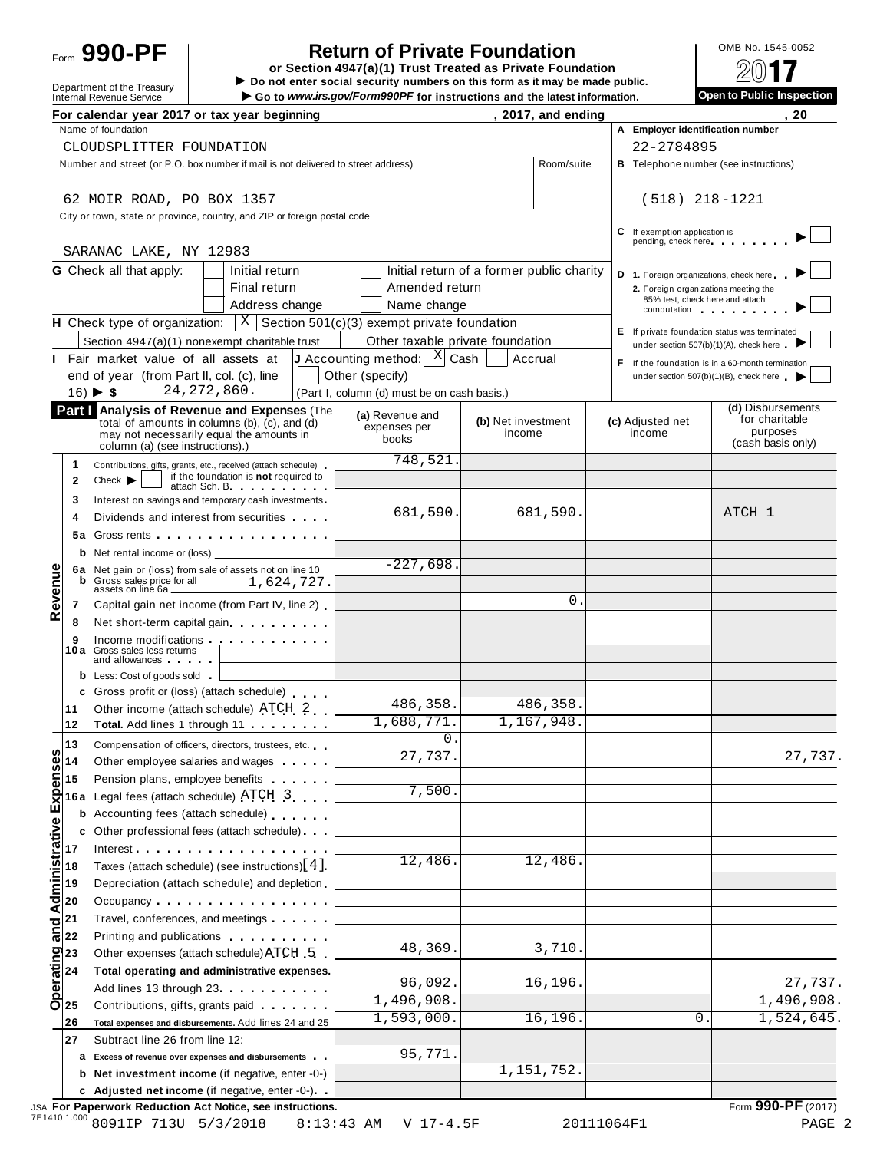# Form **990-PF**  $\begin{bmatrix} 1 & 0 \end{bmatrix}$  **Return of Private Foundation**  $\begin{bmatrix} 0 \end{bmatrix}$   $\begin{bmatrix} 0 \end{bmatrix}$   $\begin{bmatrix} 0 \end{bmatrix}$   $\begin{bmatrix} 0 \end{bmatrix}$   $\begin{bmatrix} 0 \end{bmatrix}$

 $\begin{array}{r|l}\n\hline\n\text{Definition} & \text{DOS} \\
\hline\n\text{Department of the Treasury} & \text{Do not enter social security numbers on this form as it may be made public.}\n\end{array}\n\begin{array}{r|l}\n\hline\n\text{Definition} & \text{DOS} \\
\hline\n\end{array}\n\begin{array}{r|l}\n\hline\n\text{Definition} & \text{DOS} \\
\hline\n\end{array}\n\end{array}$ Form  $\overline{O}$   $\overline{O}$   $\overline{O}$   $\overline{O}$   $\overline{O}$   $\overline{O}$   $\overline{O}$   $\overline{O}$   $\overline{O}$   $\overline{O}$   $\overline{O}$   $\overline{O}$   $\overline{O}$   $\overline{O}$   $\overline{O}$   $\overline{O}$   $\overline{O}$   $\overline{O}$   $\overline{O}$   $\overline{O}$   $\overline{O}$   $\overline{O}$   $\overline{O}$   $\overline{O}$ 

|  | OMB No. 1545-0052 |
|--|-------------------|
|  |                   |

| <b>Onen to Public Inconction</b> |  |
|----------------------------------|--|
|                                  |  |

|                    |                                                                                                                                                                                                                                                                                                                                                                                                                                                               | For calendar year 2017 or tax year beginning                                                                                                                                                                                         |                                                                    |                              | , 2017, and ending |    |                                        | 20                                                                   |
|--------------------|---------------------------------------------------------------------------------------------------------------------------------------------------------------------------------------------------------------------------------------------------------------------------------------------------------------------------------------------------------------------------------------------------------------------------------------------------------------|--------------------------------------------------------------------------------------------------------------------------------------------------------------------------------------------------------------------------------------|--------------------------------------------------------------------|------------------------------|--------------------|----|----------------------------------------|----------------------------------------------------------------------|
|                    |                                                                                                                                                                                                                                                                                                                                                                                                                                                               | Name of foundation                                                                                                                                                                                                                   |                                                                    |                              |                    |    | A Employer identification number       |                                                                      |
|                    |                                                                                                                                                                                                                                                                                                                                                                                                                                                               | CLOUDSPLITTER FOUNDATION                                                                                                                                                                                                             |                                                                    |                              |                    |    | 22-2784895                             |                                                                      |
|                    |                                                                                                                                                                                                                                                                                                                                                                                                                                                               | Number and street (or P.O. box number if mail is not delivered to street address)                                                                                                                                                    |                                                                    |                              | Room/suite         |    |                                        | <b>B</b> Telephone number (see instructions)                         |
|                    |                                                                                                                                                                                                                                                                                                                                                                                                                                                               | 62 MOIR ROAD, PO BOX 1357                                                                                                                                                                                                            |                                                                    |                              |                    |    | $(518)$ 218-1221                       |                                                                      |
|                    |                                                                                                                                                                                                                                                                                                                                                                                                                                                               | City or town, state or province, country, and ZIP or foreign postal code                                                                                                                                                             |                                                                    |                              |                    |    |                                        |                                                                      |
|                    |                                                                                                                                                                                                                                                                                                                                                                                                                                                               |                                                                                                                                                                                                                                      |                                                                    |                              |                    | C. | If exemption application is            |                                                                      |
|                    |                                                                                                                                                                                                                                                                                                                                                                                                                                                               | SARANAC LAKE, NY 12983                                                                                                                                                                                                               |                                                                    |                              |                    |    | pending, check here                    |                                                                      |
|                    |                                                                                                                                                                                                                                                                                                                                                                                                                                                               | <b>G</b> Check all that apply:<br>Initial return                                                                                                                                                                                     | Initial return of a former public charity                          |                              |                    |    | D 1. Foreign organizations, check here |                                                                      |
|                    |                                                                                                                                                                                                                                                                                                                                                                                                                                                               | Final return                                                                                                                                                                                                                         | Amended return                                                     |                              |                    |    | 2. Foreign organizations meeting the   |                                                                      |
|                    |                                                                                                                                                                                                                                                                                                                                                                                                                                                               | Address change                                                                                                                                                                                                                       | Name change                                                        |                              |                    |    | 85% test, check here and attach        | computation computation                                              |
|                    |                                                                                                                                                                                                                                                                                                                                                                                                                                                               | <b>H</b> Check type of organization: $X \mid S$ ection 501(c)(3) exempt private foundation                                                                                                                                           |                                                                    |                              |                    |    |                                        | E If private foundation status was terminated                        |
|                    |                                                                                                                                                                                                                                                                                                                                                                                                                                                               | Section 4947(a)(1) nonexempt charitable trust                                                                                                                                                                                        | Other taxable private foundation                                   |                              |                    |    |                                        | under section 507(b)(1)(A), check here                               |
|                    |                                                                                                                                                                                                                                                                                                                                                                                                                                                               | I Fair market value of all assets at                                                                                                                                                                                                 | <b>J</b> Accounting method: $\begin{bmatrix} X \end{bmatrix}$ Cash |                              | Accrual            |    |                                        | F If the foundation is in a 60-month termination                     |
|                    |                                                                                                                                                                                                                                                                                                                                                                                                                                                               | end of year (from Part II, col. (c), line                                                                                                                                                                                            | Other (specify)                                                    |                              |                    |    |                                        | under section 507(b)(1)(B), check here                               |
|                    |                                                                                                                                                                                                                                                                                                                                                                                                                                                               | 24, 272, 860.<br>$16)$ $\blacktriangleright$ \$                                                                                                                                                                                      | (Part I, column (d) must be on cash basis.)                        |                              |                    |    |                                        |                                                                      |
|                    |                                                                                                                                                                                                                                                                                                                                                                                                                                                               | Part   Analysis of Revenue and Expenses (The<br>total of amounts in columns (b), (c), and (d)<br>may not necessarily equal the amounts in                                                                                            | (a) Revenue and<br>expenses per<br>books                           | (b) Net investment<br>income |                    |    | (c) Adjusted net<br>income             | (d) Disbursements<br>for charitable<br>purposes<br>(cash basis only) |
|                    |                                                                                                                                                                                                                                                                                                                                                                                                                                                               | column (a) (see instructions).)                                                                                                                                                                                                      | 748,521                                                            |                              |                    |    |                                        |                                                                      |
|                    | 1<br>$\mathbf{2}$                                                                                                                                                                                                                                                                                                                                                                                                                                             | Contributions, gifts, grants, etc., received (attach schedule)<br>if the foundation is not required to<br>Check<br>attach Sch. B. Particular and The Parties                                                                         |                                                                    |                              |                    |    |                                        |                                                                      |
|                    | 3                                                                                                                                                                                                                                                                                                                                                                                                                                                             | Interest on savings and temporary cash investments                                                                                                                                                                                   |                                                                    |                              |                    |    |                                        |                                                                      |
|                    | 4                                                                                                                                                                                                                                                                                                                                                                                                                                                             | Dividends and interest from securities                                                                                                                                                                                               | 681,590.                                                           |                              | 681,590.           |    |                                        | ATCH 1                                                               |
|                    | 5а                                                                                                                                                                                                                                                                                                                                                                                                                                                            | Gross rents <b>contract and contract and contract and contract and contract and contract and contract and contract and contract and contract and contract and contract and contract and contract and contract and contract and c</b> |                                                                    |                              |                    |    |                                        |                                                                      |
|                    |                                                                                                                                                                                                                                                                                                                                                                                                                                                               | <b>b</b> Net rental income or (loss)                                                                                                                                                                                                 |                                                                    |                              |                    |    |                                        |                                                                      |
|                    |                                                                                                                                                                                                                                                                                                                                                                                                                                                               | 6a Net gain or (loss) from sale of assets not on line 10                                                                                                                                                                             | $-227,698.$                                                        |                              |                    |    |                                        |                                                                      |
|                    | b                                                                                                                                                                                                                                                                                                                                                                                                                                                             | Gross sales price for all<br>1,624,727.<br>assets on line 6a _                                                                                                                                                                       |                                                                    |                              |                    |    |                                        |                                                                      |
| Revenue            | 7                                                                                                                                                                                                                                                                                                                                                                                                                                                             | Capital gain net income (from Part IV, line 2)                                                                                                                                                                                       |                                                                    |                              | 0.                 |    |                                        |                                                                      |
|                    | 8                                                                                                                                                                                                                                                                                                                                                                                                                                                             | Net short-term capital gain.                                                                                                                                                                                                         |                                                                    |                              |                    |    |                                        |                                                                      |
|                    | 9                                                                                                                                                                                                                                                                                                                                                                                                                                                             | Income modifications experience in the set of the set of the set of the set of the set of the set of the set o<br>10a Gross sales less returns                                                                                       |                                                                    |                              |                    |    |                                        |                                                                      |
|                    |                                                                                                                                                                                                                                                                                                                                                                                                                                                               | and allowances <b>and</b> allowances                                                                                                                                                                                                 |                                                                    |                              |                    |    |                                        |                                                                      |
|                    |                                                                                                                                                                                                                                                                                                                                                                                                                                                               | <b>b</b> Less: Cost of goods sold<br>c Gross profit or (loss) (attach schedule)                                                                                                                                                      |                                                                    |                              |                    |    |                                        |                                                                      |
|                    | 11                                                                                                                                                                                                                                                                                                                                                                                                                                                            | Other income (attach schedule) ATCH 2                                                                                                                                                                                                | 486,358.                                                           |                              | 486,358.           |    |                                        |                                                                      |
|                    | 12                                                                                                                                                                                                                                                                                                                                                                                                                                                            | Total. Add lines 1 through 11                                                                                                                                                                                                        | 1,688,771.                                                         |                              | 1,167,948.         |    |                                        |                                                                      |
|                    | 13                                                                                                                                                                                                                                                                                                                                                                                                                                                            | Compensation of officers, directors, trustees, etc.                                                                                                                                                                                  | $\mathbf 0$ .                                                      |                              |                    |    |                                        |                                                                      |
| w                  |                                                                                                                                                                                                                                                                                                                                                                                                                                                               | Other employee salaries and wages                                                                                                                                                                                                    | 27,737.                                                            |                              |                    |    |                                        | $\overline{27,737}$ .                                                |
|                    | Expenses<br>Lis<br>16<br>16                                                                                                                                                                                                                                                                                                                                                                                                                                   | Pension plans, employee benefits                                                                                                                                                                                                     |                                                                    |                              |                    |    |                                        |                                                                      |
|                    | 16 a                                                                                                                                                                                                                                                                                                                                                                                                                                                          | Legal fees (attach schedule) ATCH 3                                                                                                                                                                                                  | 7,500                                                              |                              |                    |    |                                        |                                                                      |
|                    | b                                                                                                                                                                                                                                                                                                                                                                                                                                                             | Accounting fees (attach schedule)                                                                                                                                                                                                    |                                                                    |                              |                    |    |                                        |                                                                      |
|                    |                                                                                                                                                                                                                                                                                                                                                                                                                                                               | Other professional fees (attach schedule)                                                                                                                                                                                            |                                                                    |                              |                    |    |                                        |                                                                      |
|                    | 17                                                                                                                                                                                                                                                                                                                                                                                                                                                            | Interest $\cdots$                                                                                                                                                                                                                    |                                                                    |                              |                    |    |                                        |                                                                      |
|                    | 18                                                                                                                                                                                                                                                                                                                                                                                                                                                            | Taxes (attach schedule) (see instructions) [4]                                                                                                                                                                                       | 12,486                                                             |                              | 12,486             |    |                                        |                                                                      |
|                    | 19                                                                                                                                                                                                                                                                                                                                                                                                                                                            | Depreciation (attach schedule) and depletion.                                                                                                                                                                                        |                                                                    |                              |                    |    |                                        |                                                                      |
| and Administrative | 20                                                                                                                                                                                                                                                                                                                                                                                                                                                            |                                                                                                                                                                                                                                      |                                                                    |                              |                    |    |                                        |                                                                      |
|                    | 21                                                                                                                                                                                                                                                                                                                                                                                                                                                            | Travel, conferences, and meetings                                                                                                                                                                                                    |                                                                    |                              |                    |    |                                        |                                                                      |
|                    | 22                                                                                                                                                                                                                                                                                                                                                                                                                                                            | Printing and publications <b>Exercise 2.1 Fig. 1.1</b>                                                                                                                                                                               | 48,369                                                             |                              | 3,710              |    |                                        |                                                                      |
|                    | $\begin{array}{c}\n\mathbf{q} \\ \mathbf{p} \\ \mathbf{p} \\ \mathbf{p} \\ \mathbf{p} \\ \mathbf{p} \\ \mathbf{p} \\ \mathbf{p} \\ \mathbf{p} \\ \mathbf{p} \\ \mathbf{p} \\ \mathbf{p} \\ \mathbf{p} \\ \mathbf{p} \\ \mathbf{p} \\ \mathbf{p} \\ \mathbf{p} \\ \mathbf{p} \\ \mathbf{p} \\ \mathbf{p} \\ \mathbf{p} \\ \mathbf{p} \\ \mathbf{p} \\ \mathbf{p} \\ \mathbf{p} \\ \mathbf{p} \\ \mathbf{p} \\ \mathbf{p} \\ \mathbf{p} \\ \mathbf{p} \\ \math$ | Other expenses (attach schedule) ATCH 5                                                                                                                                                                                              |                                                                    |                              |                    |    |                                        |                                                                      |
|                    |                                                                                                                                                                                                                                                                                                                                                                                                                                                               | Total operating and administrative expenses.                                                                                                                                                                                         | 96,092.                                                            |                              | 16,196             |    |                                        | 27,737.                                                              |
|                    |                                                                                                                                                                                                                                                                                                                                                                                                                                                               | Add lines 13 through 23                                                                                                                                                                                                              | 1,496,908                                                          |                              |                    |    |                                        | 1,496,908.                                                           |
|                    | 26                                                                                                                                                                                                                                                                                                                                                                                                                                                            | Contributions, gifts, grants paid<br>Total expenses and disbursements. Add lines 24 and 25                                                                                                                                           | 1,593,000                                                          |                              | 16,196             |    | 0                                      | 1,524,645.                                                           |
|                    | 27                                                                                                                                                                                                                                                                                                                                                                                                                                                            | Subtract line 26 from line 12:                                                                                                                                                                                                       |                                                                    |                              |                    |    |                                        |                                                                      |
|                    |                                                                                                                                                                                                                                                                                                                                                                                                                                                               | a Excess of revenue over expenses and disbursements                                                                                                                                                                                  | 95,771                                                             |                              |                    |    |                                        |                                                                      |
|                    |                                                                                                                                                                                                                                                                                                                                                                                                                                                               | <b>b</b> Net investment income (if negative, enter -0-)                                                                                                                                                                              |                                                                    |                              | 1,151,752.         |    |                                        |                                                                      |
|                    |                                                                                                                                                                                                                                                                                                                                                                                                                                                               | c Adjusted net income (if negative, enter -0-).                                                                                                                                                                                      |                                                                    |                              |                    |    |                                        |                                                                      |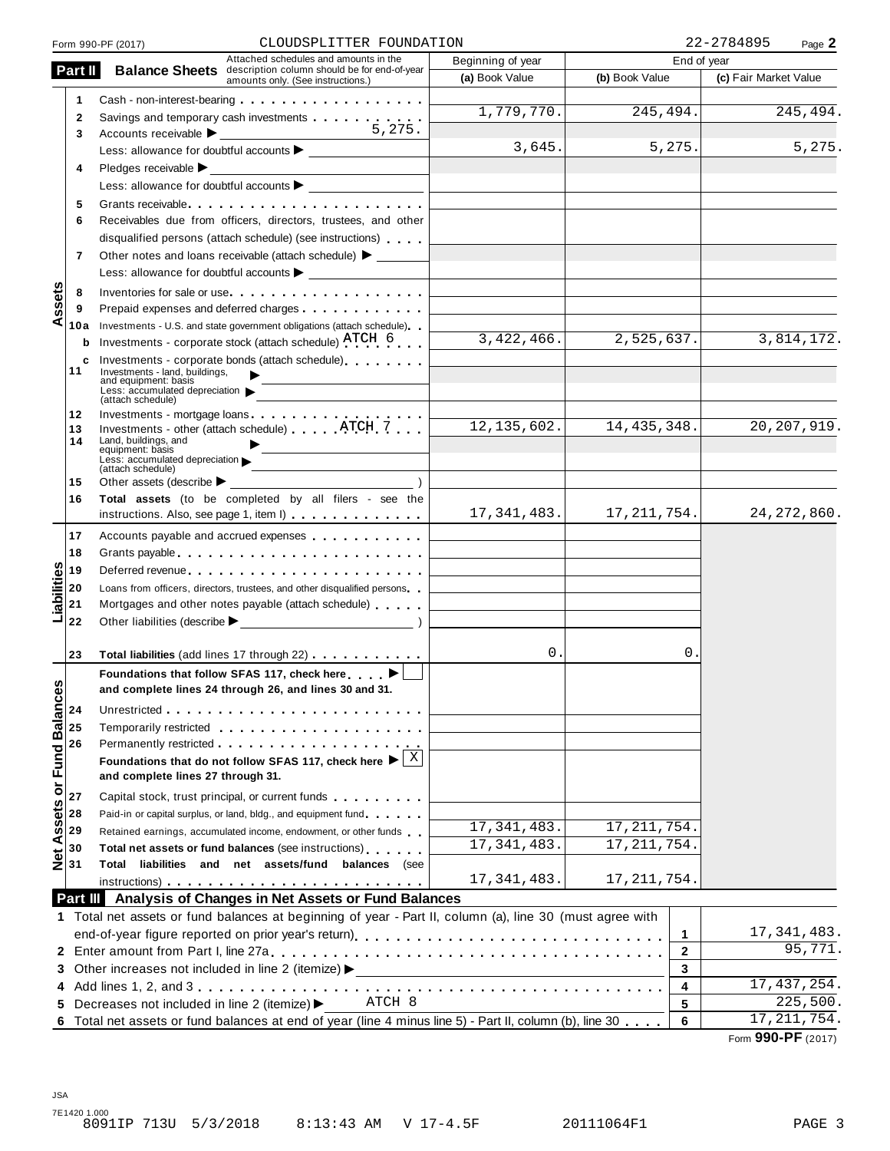|                                                                                             | CLOUDSPLITTER FOUNDATION<br>Form 990-PF (2017)                                                                                                                                                                                |                   |                | 22-2784895<br>Page 2  |
|---------------------------------------------------------------------------------------------|-------------------------------------------------------------------------------------------------------------------------------------------------------------------------------------------------------------------------------|-------------------|----------------|-----------------------|
| Part II                                                                                     | Attached schedules and amounts in the                                                                                                                                                                                         | Beginning of year | End of year    |                       |
|                                                                                             | <b>Balance Sheets</b> description column should be for end-of-year<br>amounts only. (See instructions.)                                                                                                                       | (a) Book Value    | (b) Book Value | (c) Fair Market Value |
| 1                                                                                           |                                                                                                                                                                                                                               |                   |                |                       |
| 2                                                                                           | Savings and temporary cash investments                                                                                                                                                                                        | 1,779,770.        | 245,494.       | 245, 494.             |
| 3                                                                                           | 5.275.                                                                                                                                                                                                                        |                   |                |                       |
|                                                                                             |                                                                                                                                                                                                                               | 3,645.            | 5,275.         | 5,275.                |
| 4                                                                                           | Pledges receivable $\blacktriangleright$                                                                                                                                                                                      |                   |                |                       |
|                                                                                             |                                                                                                                                                                                                                               |                   |                |                       |
| 5                                                                                           | Grants receivable entering the state of the state of the state of the state of the state of the state of the state of the state of the state of the state of the state of the state of the state of the state of the state of |                   |                |                       |
| 6                                                                                           | Receivables due from officers, directors, trustees, and other                                                                                                                                                                 |                   |                |                       |
|                                                                                             | disqualified persons (attach schedule) (see instructions)                                                                                                                                                                     |                   |                |                       |
| 7                                                                                           | Other notes and loans receivable (attach schedule) > ______                                                                                                                                                                   |                   |                |                       |
|                                                                                             |                                                                                                                                                                                                                               |                   |                |                       |
| 8                                                                                           | Inventories for sale or use                                                                                                                                                                                                   |                   |                |                       |
| ssets<br>9                                                                                  | Prepaid expenses and deferred charges <b>Expenses Expenses</b>                                                                                                                                                                |                   |                |                       |
| ⋖<br>10a                                                                                    | Investments - U.S. and state government obligations (attach schedule)                                                                                                                                                         |                   |                |                       |
| b                                                                                           | Investments - corporate stock (attach schedule) ATCH 6                                                                                                                                                                        | 3,422,466.        | 2,525,637.     | 3,814,172.            |
| c                                                                                           | Investments - corporate bonds (attach schedule)                                                                                                                                                                               |                   |                |                       |
| 11                                                                                          | Investments - land, buildings,                                                                                                                                                                                                |                   |                |                       |
|                                                                                             | and equipment: basis<br>Less: accumulated depreciation $\blacktriangleright$                                                                                                                                                  |                   |                |                       |
| 12                                                                                          | (attach schedule)                                                                                                                                                                                                             |                   |                |                       |
| 13                                                                                          | Investments - mortgage loans<br>Investments - other (attach schedule) ATCH 7                                                                                                                                                  | 12, 135, 602.     | 14, 435, 348.  | 20, 207, 919.         |
| 14                                                                                          | Land, buildings, and<br>equipment: basis                                                                                                                                                                                      |                   |                |                       |
|                                                                                             | Less: accumulated depreciation $\blacktriangleright$                                                                                                                                                                          |                   |                |                       |
| 15                                                                                          | (attach schedule)<br>Other assets (describe $\blacktriangleright$                                                                                                                                                             |                   |                |                       |
| 16                                                                                          | Total assets (to be completed by all filers - see the                                                                                                                                                                         |                   |                |                       |
|                                                                                             | instructions. Also, see page 1, item I)                                                                                                                                                                                       | 17,341,483.       | 17,211,754.    | 24, 272, 860.         |
| 17                                                                                          | Accounts payable and accrued expenses                                                                                                                                                                                         |                   |                |                       |
| 18                                                                                          | Grants payable entering the service of the service of the service of the service of the service of the service                                                                                                                |                   |                |                       |
| 19                                                                                          | Deferred revenue                                                                                                                                                                                                              |                   |                |                       |
| 20                                                                                          |                                                                                                                                                                                                                               |                   |                |                       |
| labilities<br>21                                                                            | Loans from officers, directors, trustees, and other disqualified persons<br>Mortgages and other notes payable (attach schedule)                                                                                               |                   |                |                       |
| 22                                                                                          |                                                                                                                                                                                                                               |                   |                |                       |
|                                                                                             |                                                                                                                                                                                                                               |                   |                |                       |
| 23                                                                                          | Total liabilities (add lines 17 through 22)                                                                                                                                                                                   | 0.                | 0.             |                       |
|                                                                                             | Foundations that follow SFAS 117, check here ▶                                                                                                                                                                                |                   |                |                       |
| w                                                                                           | and complete lines 24 through 26, and lines 30 and 31.                                                                                                                                                                        |                   |                |                       |
|                                                                                             |                                                                                                                                                                                                                               |                   |                |                       |
|                                                                                             |                                                                                                                                                                                                                               |                   |                |                       |
|                                                                                             |                                                                                                                                                                                                                               |                   |                |                       |
|                                                                                             | Foundations that do not follow SFAS 117, check here $\blacktriangleright$ $\frac{X}{X}$                                                                                                                                       |                   |                |                       |
|                                                                                             | and complete lines 27 through 31.                                                                                                                                                                                             |                   |                |                       |
| Net Assets or Fund Balance<br>$\frac{3}{2}$ & $\frac{1}{2}$ & $\frac{1}{2}$ & $\frac{1}{2}$ | Capital stock, trust principal, or current funds                                                                                                                                                                              |                   |                |                       |
|                                                                                             | Paid-in or capital surplus, or land, bldg., and equipment fund                                                                                                                                                                |                   |                |                       |
|                                                                                             | Retained earnings, accumulated income, endowment, or other funds                                                                                                                                                              | 17, 341, 483.     | 17, 211, 754.  |                       |
|                                                                                             | Total net assets or fund balances (see instructions)                                                                                                                                                                          | 17, 341, 483.     | 17, 211, 754.  |                       |
|                                                                                             | Total liabilities and net assets/fund balances (see                                                                                                                                                                           |                   |                |                       |
|                                                                                             | $instructions)$                                                                                                                                                                                                               | 17, 341, 483.     | 17, 211, 754.  |                       |
|                                                                                             | Part III Analysis of Changes in Net Assets or Fund Balances                                                                                                                                                                   |                   |                |                       |
|                                                                                             | 1 Total net assets or fund balances at beginning of year - Part II, column (a), line 30 (must agree with                                                                                                                      |                   |                |                       |
|                                                                                             |                                                                                                                                                                                                                               |                   | 1              | 17, 341, 483.         |
|                                                                                             |                                                                                                                                                                                                                               |                   | $\mathbf{2}$   | 95,771.               |
|                                                                                             | 3 Other increases not included in line 2 (itemize) >                                                                                                                                                                          |                   | 3              |                       |
|                                                                                             |                                                                                                                                                                                                                               |                   | 4              | 17,437,254.           |
| 5.                                                                                          | ATCH 8<br>Decreases not included in line 2 (itemize) ▶                                                                                                                                                                        |                   | 5              | 225,500.              |
|                                                                                             | 6 Total net assets or fund balances at end of year (line 4 minus line 5) - Part II, column (b), line 30                                                                                                                       |                   | 6              | 17, 211, 754.         |
|                                                                                             |                                                                                                                                                                                                                               |                   |                |                       |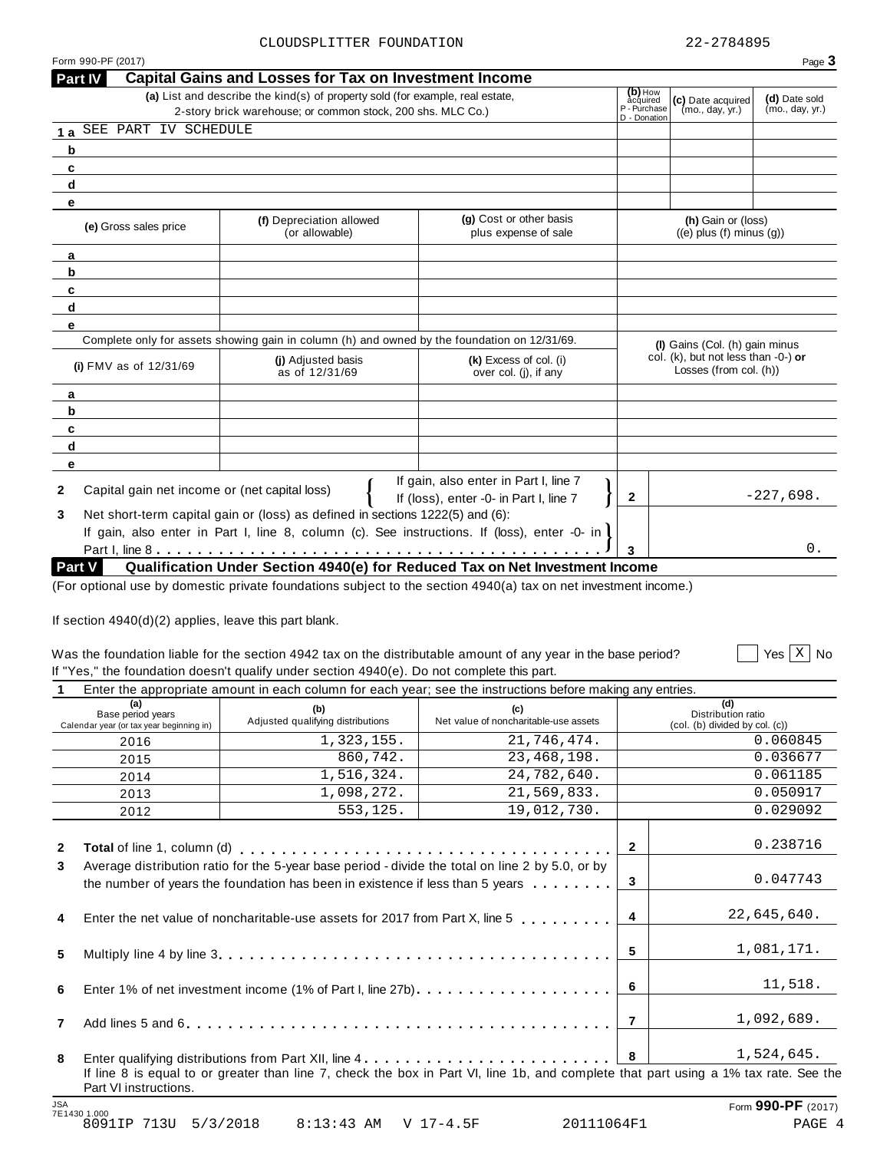$\boxed{\phantom{1}}$  Yes  $\boxed{\text{X}}$  No

| Part IV                                            | <b>Capital Gains and Losses for Tax on Investment Income</b>                                                        |                                                                                 |                              |                                                               |                 |
|----------------------------------------------------|---------------------------------------------------------------------------------------------------------------------|---------------------------------------------------------------------------------|------------------------------|---------------------------------------------------------------|-----------------|
|                                                    | (a) List and describe the kind(s) of property sold (for example, real estate,                                       |                                                                                 | $(b)$ How<br>acquired        | (c) Date acquired                                             | (d) Date sold   |
|                                                    | 2-story brick warehouse; or common stock, 200 shs. MLC Co.)                                                         |                                                                                 | P - Purchase<br>D - Donation | (mo., day, yr.)                                               | (mo., day, yr.) |
| SEE PART IV SCHEDULE<br>1a                         |                                                                                                                     |                                                                                 |                              |                                                               |                 |
| b                                                  |                                                                                                                     |                                                                                 |                              |                                                               |                 |
| C                                                  |                                                                                                                     |                                                                                 |                              |                                                               |                 |
| d                                                  |                                                                                                                     |                                                                                 |                              |                                                               |                 |
| е                                                  |                                                                                                                     |                                                                                 |                              |                                                               |                 |
| (e) Gross sales price                              | (f) Depreciation allowed<br>(or allowable)                                                                          | (g) Cost or other basis<br>plus expense of sale                                 |                              | (h) Gain or (loss)<br>$((e)$ plus $(f)$ minus $(g)$ )         |                 |
| a                                                  |                                                                                                                     |                                                                                 |                              |                                                               |                 |
| b                                                  |                                                                                                                     |                                                                                 |                              |                                                               |                 |
| c                                                  |                                                                                                                     |                                                                                 |                              |                                                               |                 |
| d                                                  |                                                                                                                     |                                                                                 |                              |                                                               |                 |
| е                                                  |                                                                                                                     |                                                                                 |                              |                                                               |                 |
|                                                    | Complete only for assets showing gain in column (h) and owned by the foundation on 12/31/69.                        |                                                                                 |                              | (I) Gains (Col. (h) gain minus                                |                 |
| (i) FMV as of $12/31/69$                           | (i) Adjusted basis<br>as of 12/31/69                                                                                | (k) Excess of col. (i)<br>over col. (j), if any                                 |                              | col. (k), but not less than -0-) or<br>Losses (from col. (h)) |                 |
| a                                                  |                                                                                                                     |                                                                                 |                              |                                                               |                 |
| b                                                  |                                                                                                                     |                                                                                 |                              |                                                               |                 |
| c                                                  |                                                                                                                     |                                                                                 |                              |                                                               |                 |
| d                                                  |                                                                                                                     |                                                                                 |                              |                                                               |                 |
| е                                                  |                                                                                                                     |                                                                                 |                              |                                                               |                 |
| Capital gain net income or (net capital loss)<br>2 |                                                                                                                     | If gain, also enter in Part I, line 7<br>If (loss), enter -0- in Part I, line 7 | $\mathbf{2}$                 |                                                               | $-227,698.$     |
| 3                                                  | Net short-term capital gain or (loss) as defined in sections 1222(5) and (6):                                       |                                                                                 |                              |                                                               |                 |
|                                                    | If gain, also enter in Part I, line 8, column (c). See instructions. If (loss), enter -0- in                        |                                                                                 |                              |                                                               |                 |
|                                                    |                                                                                                                     |                                                                                 | 3                            |                                                               | 0.              |
| <b>Part V</b>                                      | Qualification Under Section 4940(e) for Reduced Tax on Net Investment Income                                        |                                                                                 |                              |                                                               |                 |
|                                                    | $(For optimal use by domestic private foundations cubic, which is a section 1010(a) two on not investment income.)$ |                                                                                 |                              |                                                               |                 |

(For optional use by domestic private foundations subject to the section 4940(a) tax on net investment income.)

If section 4940(d)(2) applies, leave this part blank.

# Was the foundation liable for the section 4942 tax on the distributable amount of any year in the base period? If "Yes," the foundation doesn't qualify under section  $4940(e)$ . Do not complete this part.<br>  $\frac{1}{1}$  Enter the appropriate amount in each column for each year; see the instructions before making any ontries

| s," the foundation doesn't qualify under section 4940(e). Do not complete this part.                     |  |
|----------------------------------------------------------------------------------------------------------|--|
| Enter the enargements amount in each equipmentar seah wear; ass the instructions before making any optri |  |

|              | (a)<br>Base period years<br>Calendar year (or tax year beginning in)                                                                                                                                                                                                                                                                                                                                                                                                                                                                                                                 | (b)<br>Adjusted qualifying distributions                                                                                                                      | (c)<br>Net value of noncharitable-use assets |                         | (d)<br>Distribution ratio<br>(col. (b) divided by col. (c)) |
|--------------|--------------------------------------------------------------------------------------------------------------------------------------------------------------------------------------------------------------------------------------------------------------------------------------------------------------------------------------------------------------------------------------------------------------------------------------------------------------------------------------------------------------------------------------------------------------------------------------|---------------------------------------------------------------------------------------------------------------------------------------------------------------|----------------------------------------------|-------------------------|-------------------------------------------------------------|
|              | Enter the appropriate amount in each column for each year; see the instructions before making any entries.<br>1,323,155.<br>21,746,474.<br>2016<br>860,742.<br>23, 468, 198.<br>2015<br>1,516,324.<br>24,782,640.<br>2014<br>1,098,272.<br>21,569,833.<br>2013<br>553,125.<br>19,012,730.<br>2012<br>Average distribution ratio for the 5-year base period - divide the total on line 2 by 5.0, or by<br>the number of years the foundation has been in existence if less than 5 years $\dots \dots$<br>Enter the net value of noncharitable-use assets for 2017 from Part X, line 5 |                                                                                                                                                               | 0.060845                                     |                         |                                                             |
|              |                                                                                                                                                                                                                                                                                                                                                                                                                                                                                                                                                                                      | If line 8 is equal to or greater than line 7, check the box in Part VI, line 1b, and complete that part using a 1% tax rate. See the<br>Part VI instructions. |                                              | 0.036677                |                                                             |
|              |                                                                                                                                                                                                                                                                                                                                                                                                                                                                                                                                                                                      |                                                                                                                                                               |                                              | 0.061185                |                                                             |
|              |                                                                                                                                                                                                                                                                                                                                                                                                                                                                                                                                                                                      |                                                                                                                                                               |                                              | 0.050917                |                                                             |
|              |                                                                                                                                                                                                                                                                                                                                                                                                                                                                                                                                                                                      |                                                                                                                                                               |                                              |                         | 0.029092                                                    |
| $\mathbf{2}$ |                                                                                                                                                                                                                                                                                                                                                                                                                                                                                                                                                                                      |                                                                                                                                                               |                                              | $\mathbf{2}$            | 0.238716                                                    |
| 3            |                                                                                                                                                                                                                                                                                                                                                                                                                                                                                                                                                                                      |                                                                                                                                                               |                                              | 3                       | 0.047743                                                    |
| 4            |                                                                                                                                                                                                                                                                                                                                                                                                                                                                                                                                                                                      |                                                                                                                                                               |                                              | $\overline{\mathbf{4}}$ | 22,645,640.                                                 |
| 5            |                                                                                                                                                                                                                                                                                                                                                                                                                                                                                                                                                                                      |                                                                                                                                                               |                                              | 5                       | 1,081,171.                                                  |
| 6            |                                                                                                                                                                                                                                                                                                                                                                                                                                                                                                                                                                                      |                                                                                                                                                               |                                              | - 6                     | 11,518.                                                     |
| 7            |                                                                                                                                                                                                                                                                                                                                                                                                                                                                                                                                                                                      |                                                                                                                                                               |                                              | $\overline{7}$          | 1,092,689.                                                  |
| 8            |                                                                                                                                                                                                                                                                                                                                                                                                                                                                                                                                                                                      |                                                                                                                                                               |                                              | 8                       | 1,524,645.                                                  |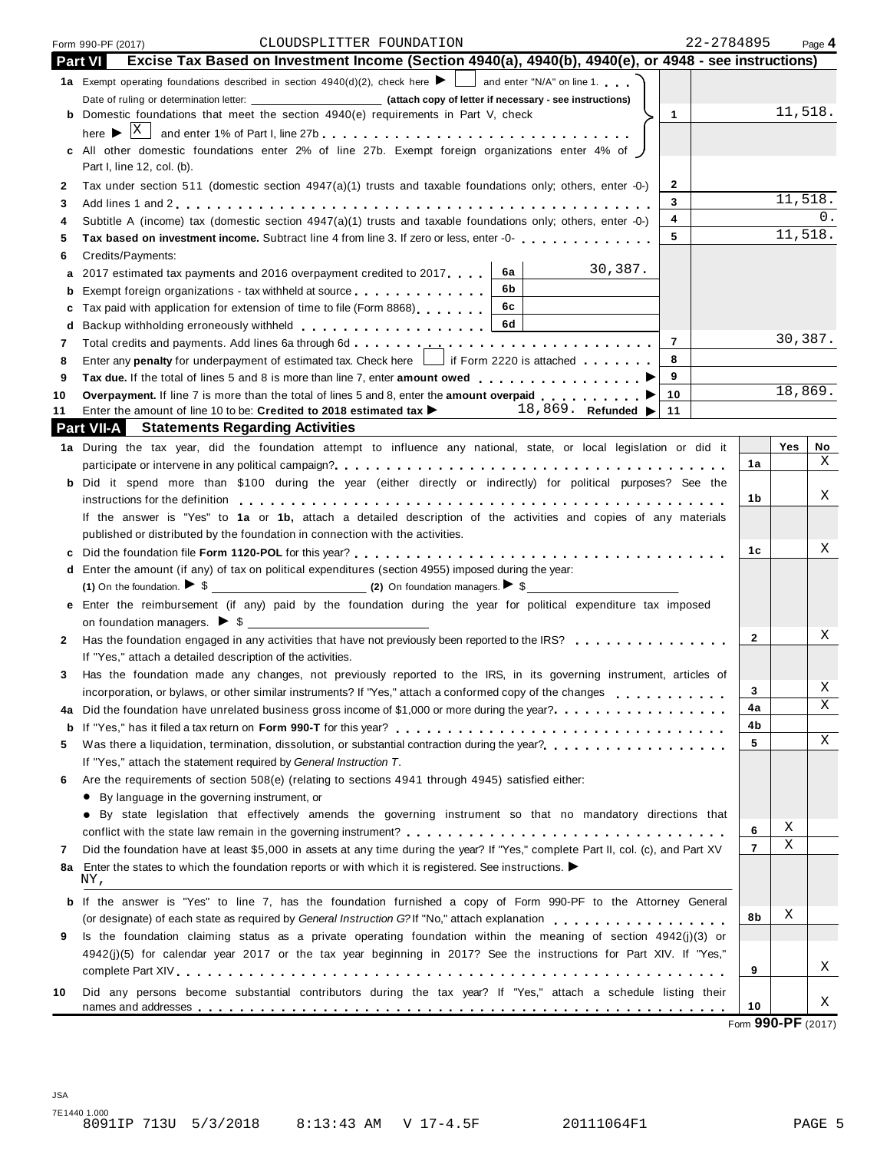| 1a Exempt operating foundations described in section $4940(d)(2)$ , check here $\blacktriangleright$ and enter "N/A" on line 1.<br>Date of ruling or determination letter: (attach copy of letter if necessary - see instructions)<br>11,518.<br><b>b</b> Domestic foundations that meet the section 4940(e) requirements in Part V, check<br>$\mathbf{1}$<br>All other domestic foundations enter 2% of line 27b. Exempt foreign organizations enter 4% of<br>Part I, line 12, col. (b).<br>2<br>Tax under section 511 (domestic section 4947(a)(1) trusts and taxable foundations only; others, enter -0-)<br>2<br>11,518.<br>3<br>3<br>4<br>Subtitle A (income) tax (domestic section 4947(a)(1) trusts and taxable foundations only; others, enter -0-)<br>4<br>11,518.<br>5<br>Tax based on investment income. Subtract line 4 from line 3. If zero or less, enter -0-<br>5<br>Credits/Payments:<br>6<br>30,387.<br>6а<br>2017 estimated tax payments and 2016 overpayment credited to 2017.<br>а<br>6b<br>Exempt foreign organizations - tax withheld at source entitled at some results and results are results and results and results are results and results are results and results are results and results are results and results<br>b<br>6c<br>Tax paid with application for extension of time to file (Form 8868)<br>с<br>6d<br>d<br>30,387.<br>$\overline{7}$<br>7<br>8<br>Enter any <b>penalty</b> for underpayment of estimated tax. Check here $\boxed{\phantom{a}}$ if Form 2220 is attached<br>8<br>9<br>Tax due. If the total of lines 5 and 8 is more than line 7, enter amount owed $\ldots$ , $\ldots$ , $\ldots$<br>9<br>18,869.<br>10<br>Overpayment. If line 7 is more than the total of lines 5 and 8, enter the amount overpaid ▶▶<br>10<br>18,869. Refunded $\blacktriangleright$<br>Enter the amount of line 10 to be: Credited to 2018 estimated tax $\blacktriangleright$<br>11<br>11<br><b>Part VII-A</b> Statements Regarding Activities<br>1a During the tax year, did the foundation attempt to influence any national, state, or local legislation or did it<br>Yes<br>1a<br><b>b</b> Did it spend more than \$100 during the year (either directly or indirectly) for political purposes? See the<br>1b<br>instructions for the definition enterpretation of the state of the state of the state of the definition of the state of the state of the state of the state of the state of the state of the state of the state of the state o<br>If the answer is "Yes" to 1a or 1b, attach a detailed description of the activities and copies of any materials<br>published or distributed by the foundation in connection with the activities.<br>1c<br>c<br>d Enter the amount (if any) of tax on political expenditures (section 4955) imposed during the year:<br>(1) On the foundation. $\triangleright$ \$<br>e Enter the reimbursement (if any) paid by the foundation during the year for political expenditure tax imposed<br>2<br>Has the foundation engaged in any activities that have not previously been reported to the IRS?<br>2<br>If "Yes," attach a detailed description of the activities.<br>Has the foundation made any changes, not previously reported to the IRS, in its governing instrument, articles of<br>3<br>3<br>incorporation, or bylaws, or other similar instruments? If "Yes," attach a conformed copy of the changes<br>4a<br>Did the foundation have unrelated business gross income of \$1,000 or more during the year?<br>4a |    | Excise Tax Based on Investment Income (Section 4940(a), 4940(b), 4940(e), or 4948 - see instructions) |    |  |  |  |
|------------------------------------------------------------------------------------------------------------------------------------------------------------------------------------------------------------------------------------------------------------------------------------------------------------------------------------------------------------------------------------------------------------------------------------------------------------------------------------------------------------------------------------------------------------------------------------------------------------------------------------------------------------------------------------------------------------------------------------------------------------------------------------------------------------------------------------------------------------------------------------------------------------------------------------------------------------------------------------------------------------------------------------------------------------------------------------------------------------------------------------------------------------------------------------------------------------------------------------------------------------------------------------------------------------------------------------------------------------------------------------------------------------------------------------------------------------------------------------------------------------------------------------------------------------------------------------------------------------------------------------------------------------------------------------------------------------------------------------------------------------------------------------------------------------------------------------------------------------------------------------------------------------------------------------------------------------------------------------------------------------------------------------------------------------------------------------------------------------------------------------------------------------------------------------------------------------------------------------------------------------------------------------------------------------------------------------------------------------------------------------------------------------------------------------------------------------------------------------------------------------------------------------------------------------------------------------------------------------------------------------------------------------------------------------------------------------------------------------------------------------------------------------------------------------------------------------------------------------------------------------------------------------------------------------------------------------------------------------------------------------------------------------------------------------------------------------------------------------------------------------------------------------------------------------------------------------------------------------------------------------------------------------------------------------------------------------------------------------------------------------------------------------------------------------------------------------------------------------------------------------|----|-------------------------------------------------------------------------------------------------------|----|--|--|--|
|                                                                                                                                                                                                                                                                                                                                                                                                                                                                                                                                                                                                                                                                                                                                                                                                                                                                                                                                                                                                                                                                                                                                                                                                                                                                                                                                                                                                                                                                                                                                                                                                                                                                                                                                                                                                                                                                                                                                                                                                                                                                                                                                                                                                                                                                                                                                                                                                                                                                                                                                                                                                                                                                                                                                                                                                                                                                                                                                                                                                                                                                                                                                                                                                                                                                                                                                                                                                                                                                                                            |    |                                                                                                       |    |  |  |  |
|                                                                                                                                                                                                                                                                                                                                                                                                                                                                                                                                                                                                                                                                                                                                                                                                                                                                                                                                                                                                                                                                                                                                                                                                                                                                                                                                                                                                                                                                                                                                                                                                                                                                                                                                                                                                                                                                                                                                                                                                                                                                                                                                                                                                                                                                                                                                                                                                                                                                                                                                                                                                                                                                                                                                                                                                                                                                                                                                                                                                                                                                                                                                                                                                                                                                                                                                                                                                                                                                                                            |    |                                                                                                       |    |  |  |  |
|                                                                                                                                                                                                                                                                                                                                                                                                                                                                                                                                                                                                                                                                                                                                                                                                                                                                                                                                                                                                                                                                                                                                                                                                                                                                                                                                                                                                                                                                                                                                                                                                                                                                                                                                                                                                                                                                                                                                                                                                                                                                                                                                                                                                                                                                                                                                                                                                                                                                                                                                                                                                                                                                                                                                                                                                                                                                                                                                                                                                                                                                                                                                                                                                                                                                                                                                                                                                                                                                                                            |    |                                                                                                       |    |  |  |  |
|                                                                                                                                                                                                                                                                                                                                                                                                                                                                                                                                                                                                                                                                                                                                                                                                                                                                                                                                                                                                                                                                                                                                                                                                                                                                                                                                                                                                                                                                                                                                                                                                                                                                                                                                                                                                                                                                                                                                                                                                                                                                                                                                                                                                                                                                                                                                                                                                                                                                                                                                                                                                                                                                                                                                                                                                                                                                                                                                                                                                                                                                                                                                                                                                                                                                                                                                                                                                                                                                                                            |    |                                                                                                       |    |  |  |  |
|                                                                                                                                                                                                                                                                                                                                                                                                                                                                                                                                                                                                                                                                                                                                                                                                                                                                                                                                                                                                                                                                                                                                                                                                                                                                                                                                                                                                                                                                                                                                                                                                                                                                                                                                                                                                                                                                                                                                                                                                                                                                                                                                                                                                                                                                                                                                                                                                                                                                                                                                                                                                                                                                                                                                                                                                                                                                                                                                                                                                                                                                                                                                                                                                                                                                                                                                                                                                                                                                                                            |    |                                                                                                       |    |  |  |  |
|                                                                                                                                                                                                                                                                                                                                                                                                                                                                                                                                                                                                                                                                                                                                                                                                                                                                                                                                                                                                                                                                                                                                                                                                                                                                                                                                                                                                                                                                                                                                                                                                                                                                                                                                                                                                                                                                                                                                                                                                                                                                                                                                                                                                                                                                                                                                                                                                                                                                                                                                                                                                                                                                                                                                                                                                                                                                                                                                                                                                                                                                                                                                                                                                                                                                                                                                                                                                                                                                                                            |    |                                                                                                       |    |  |  |  |
|                                                                                                                                                                                                                                                                                                                                                                                                                                                                                                                                                                                                                                                                                                                                                                                                                                                                                                                                                                                                                                                                                                                                                                                                                                                                                                                                                                                                                                                                                                                                                                                                                                                                                                                                                                                                                                                                                                                                                                                                                                                                                                                                                                                                                                                                                                                                                                                                                                                                                                                                                                                                                                                                                                                                                                                                                                                                                                                                                                                                                                                                                                                                                                                                                                                                                                                                                                                                                                                                                                            |    |                                                                                                       |    |  |  |  |
|                                                                                                                                                                                                                                                                                                                                                                                                                                                                                                                                                                                                                                                                                                                                                                                                                                                                                                                                                                                                                                                                                                                                                                                                                                                                                                                                                                                                                                                                                                                                                                                                                                                                                                                                                                                                                                                                                                                                                                                                                                                                                                                                                                                                                                                                                                                                                                                                                                                                                                                                                                                                                                                                                                                                                                                                                                                                                                                                                                                                                                                                                                                                                                                                                                                                                                                                                                                                                                                                                                            | 0. |                                                                                                       |    |  |  |  |
|                                                                                                                                                                                                                                                                                                                                                                                                                                                                                                                                                                                                                                                                                                                                                                                                                                                                                                                                                                                                                                                                                                                                                                                                                                                                                                                                                                                                                                                                                                                                                                                                                                                                                                                                                                                                                                                                                                                                                                                                                                                                                                                                                                                                                                                                                                                                                                                                                                                                                                                                                                                                                                                                                                                                                                                                                                                                                                                                                                                                                                                                                                                                                                                                                                                                                                                                                                                                                                                                                                            |    |                                                                                                       |    |  |  |  |
|                                                                                                                                                                                                                                                                                                                                                                                                                                                                                                                                                                                                                                                                                                                                                                                                                                                                                                                                                                                                                                                                                                                                                                                                                                                                                                                                                                                                                                                                                                                                                                                                                                                                                                                                                                                                                                                                                                                                                                                                                                                                                                                                                                                                                                                                                                                                                                                                                                                                                                                                                                                                                                                                                                                                                                                                                                                                                                                                                                                                                                                                                                                                                                                                                                                                                                                                                                                                                                                                                                            |    |                                                                                                       |    |  |  |  |
|                                                                                                                                                                                                                                                                                                                                                                                                                                                                                                                                                                                                                                                                                                                                                                                                                                                                                                                                                                                                                                                                                                                                                                                                                                                                                                                                                                                                                                                                                                                                                                                                                                                                                                                                                                                                                                                                                                                                                                                                                                                                                                                                                                                                                                                                                                                                                                                                                                                                                                                                                                                                                                                                                                                                                                                                                                                                                                                                                                                                                                                                                                                                                                                                                                                                                                                                                                                                                                                                                                            |    |                                                                                                       |    |  |  |  |
|                                                                                                                                                                                                                                                                                                                                                                                                                                                                                                                                                                                                                                                                                                                                                                                                                                                                                                                                                                                                                                                                                                                                                                                                                                                                                                                                                                                                                                                                                                                                                                                                                                                                                                                                                                                                                                                                                                                                                                                                                                                                                                                                                                                                                                                                                                                                                                                                                                                                                                                                                                                                                                                                                                                                                                                                                                                                                                                                                                                                                                                                                                                                                                                                                                                                                                                                                                                                                                                                                                            |    |                                                                                                       |    |  |  |  |
|                                                                                                                                                                                                                                                                                                                                                                                                                                                                                                                                                                                                                                                                                                                                                                                                                                                                                                                                                                                                                                                                                                                                                                                                                                                                                                                                                                                                                                                                                                                                                                                                                                                                                                                                                                                                                                                                                                                                                                                                                                                                                                                                                                                                                                                                                                                                                                                                                                                                                                                                                                                                                                                                                                                                                                                                                                                                                                                                                                                                                                                                                                                                                                                                                                                                                                                                                                                                                                                                                                            |    |                                                                                                       |    |  |  |  |
|                                                                                                                                                                                                                                                                                                                                                                                                                                                                                                                                                                                                                                                                                                                                                                                                                                                                                                                                                                                                                                                                                                                                                                                                                                                                                                                                                                                                                                                                                                                                                                                                                                                                                                                                                                                                                                                                                                                                                                                                                                                                                                                                                                                                                                                                                                                                                                                                                                                                                                                                                                                                                                                                                                                                                                                                                                                                                                                                                                                                                                                                                                                                                                                                                                                                                                                                                                                                                                                                                                            |    |                                                                                                       |    |  |  |  |
|                                                                                                                                                                                                                                                                                                                                                                                                                                                                                                                                                                                                                                                                                                                                                                                                                                                                                                                                                                                                                                                                                                                                                                                                                                                                                                                                                                                                                                                                                                                                                                                                                                                                                                                                                                                                                                                                                                                                                                                                                                                                                                                                                                                                                                                                                                                                                                                                                                                                                                                                                                                                                                                                                                                                                                                                                                                                                                                                                                                                                                                                                                                                                                                                                                                                                                                                                                                                                                                                                                            |    |                                                                                                       |    |  |  |  |
|                                                                                                                                                                                                                                                                                                                                                                                                                                                                                                                                                                                                                                                                                                                                                                                                                                                                                                                                                                                                                                                                                                                                                                                                                                                                                                                                                                                                                                                                                                                                                                                                                                                                                                                                                                                                                                                                                                                                                                                                                                                                                                                                                                                                                                                                                                                                                                                                                                                                                                                                                                                                                                                                                                                                                                                                                                                                                                                                                                                                                                                                                                                                                                                                                                                                                                                                                                                                                                                                                                            |    |                                                                                                       |    |  |  |  |
|                                                                                                                                                                                                                                                                                                                                                                                                                                                                                                                                                                                                                                                                                                                                                                                                                                                                                                                                                                                                                                                                                                                                                                                                                                                                                                                                                                                                                                                                                                                                                                                                                                                                                                                                                                                                                                                                                                                                                                                                                                                                                                                                                                                                                                                                                                                                                                                                                                                                                                                                                                                                                                                                                                                                                                                                                                                                                                                                                                                                                                                                                                                                                                                                                                                                                                                                                                                                                                                                                                            |    |                                                                                                       |    |  |  |  |
|                                                                                                                                                                                                                                                                                                                                                                                                                                                                                                                                                                                                                                                                                                                                                                                                                                                                                                                                                                                                                                                                                                                                                                                                                                                                                                                                                                                                                                                                                                                                                                                                                                                                                                                                                                                                                                                                                                                                                                                                                                                                                                                                                                                                                                                                                                                                                                                                                                                                                                                                                                                                                                                                                                                                                                                                                                                                                                                                                                                                                                                                                                                                                                                                                                                                                                                                                                                                                                                                                                            |    |                                                                                                       |    |  |  |  |
|                                                                                                                                                                                                                                                                                                                                                                                                                                                                                                                                                                                                                                                                                                                                                                                                                                                                                                                                                                                                                                                                                                                                                                                                                                                                                                                                                                                                                                                                                                                                                                                                                                                                                                                                                                                                                                                                                                                                                                                                                                                                                                                                                                                                                                                                                                                                                                                                                                                                                                                                                                                                                                                                                                                                                                                                                                                                                                                                                                                                                                                                                                                                                                                                                                                                                                                                                                                                                                                                                                            |    |                                                                                                       |    |  |  |  |
|                                                                                                                                                                                                                                                                                                                                                                                                                                                                                                                                                                                                                                                                                                                                                                                                                                                                                                                                                                                                                                                                                                                                                                                                                                                                                                                                                                                                                                                                                                                                                                                                                                                                                                                                                                                                                                                                                                                                                                                                                                                                                                                                                                                                                                                                                                                                                                                                                                                                                                                                                                                                                                                                                                                                                                                                                                                                                                                                                                                                                                                                                                                                                                                                                                                                                                                                                                                                                                                                                                            |    |                                                                                                       |    |  |  |  |
|                                                                                                                                                                                                                                                                                                                                                                                                                                                                                                                                                                                                                                                                                                                                                                                                                                                                                                                                                                                                                                                                                                                                                                                                                                                                                                                                                                                                                                                                                                                                                                                                                                                                                                                                                                                                                                                                                                                                                                                                                                                                                                                                                                                                                                                                                                                                                                                                                                                                                                                                                                                                                                                                                                                                                                                                                                                                                                                                                                                                                                                                                                                                                                                                                                                                                                                                                                                                                                                                                                            | No |                                                                                                       |    |  |  |  |
|                                                                                                                                                                                                                                                                                                                                                                                                                                                                                                                                                                                                                                                                                                                                                                                                                                                                                                                                                                                                                                                                                                                                                                                                                                                                                                                                                                                                                                                                                                                                                                                                                                                                                                                                                                                                                                                                                                                                                                                                                                                                                                                                                                                                                                                                                                                                                                                                                                                                                                                                                                                                                                                                                                                                                                                                                                                                                                                                                                                                                                                                                                                                                                                                                                                                                                                                                                                                                                                                                                            | X  |                                                                                                       |    |  |  |  |
|                                                                                                                                                                                                                                                                                                                                                                                                                                                                                                                                                                                                                                                                                                                                                                                                                                                                                                                                                                                                                                                                                                                                                                                                                                                                                                                                                                                                                                                                                                                                                                                                                                                                                                                                                                                                                                                                                                                                                                                                                                                                                                                                                                                                                                                                                                                                                                                                                                                                                                                                                                                                                                                                                                                                                                                                                                                                                                                                                                                                                                                                                                                                                                                                                                                                                                                                                                                                                                                                                                            |    |                                                                                                       |    |  |  |  |
|                                                                                                                                                                                                                                                                                                                                                                                                                                                                                                                                                                                                                                                                                                                                                                                                                                                                                                                                                                                                                                                                                                                                                                                                                                                                                                                                                                                                                                                                                                                                                                                                                                                                                                                                                                                                                                                                                                                                                                                                                                                                                                                                                                                                                                                                                                                                                                                                                                                                                                                                                                                                                                                                                                                                                                                                                                                                                                                                                                                                                                                                                                                                                                                                                                                                                                                                                                                                                                                                                                            | X  |                                                                                                       |    |  |  |  |
|                                                                                                                                                                                                                                                                                                                                                                                                                                                                                                                                                                                                                                                                                                                                                                                                                                                                                                                                                                                                                                                                                                                                                                                                                                                                                                                                                                                                                                                                                                                                                                                                                                                                                                                                                                                                                                                                                                                                                                                                                                                                                                                                                                                                                                                                                                                                                                                                                                                                                                                                                                                                                                                                                                                                                                                                                                                                                                                                                                                                                                                                                                                                                                                                                                                                                                                                                                                                                                                                                                            |    |                                                                                                       |    |  |  |  |
|                                                                                                                                                                                                                                                                                                                                                                                                                                                                                                                                                                                                                                                                                                                                                                                                                                                                                                                                                                                                                                                                                                                                                                                                                                                                                                                                                                                                                                                                                                                                                                                                                                                                                                                                                                                                                                                                                                                                                                                                                                                                                                                                                                                                                                                                                                                                                                                                                                                                                                                                                                                                                                                                                                                                                                                                                                                                                                                                                                                                                                                                                                                                                                                                                                                                                                                                                                                                                                                                                                            |    |                                                                                                       |    |  |  |  |
|                                                                                                                                                                                                                                                                                                                                                                                                                                                                                                                                                                                                                                                                                                                                                                                                                                                                                                                                                                                                                                                                                                                                                                                                                                                                                                                                                                                                                                                                                                                                                                                                                                                                                                                                                                                                                                                                                                                                                                                                                                                                                                                                                                                                                                                                                                                                                                                                                                                                                                                                                                                                                                                                                                                                                                                                                                                                                                                                                                                                                                                                                                                                                                                                                                                                                                                                                                                                                                                                                                            | Χ  |                                                                                                       |    |  |  |  |
|                                                                                                                                                                                                                                                                                                                                                                                                                                                                                                                                                                                                                                                                                                                                                                                                                                                                                                                                                                                                                                                                                                                                                                                                                                                                                                                                                                                                                                                                                                                                                                                                                                                                                                                                                                                                                                                                                                                                                                                                                                                                                                                                                                                                                                                                                                                                                                                                                                                                                                                                                                                                                                                                                                                                                                                                                                                                                                                                                                                                                                                                                                                                                                                                                                                                                                                                                                                                                                                                                                            |    |                                                                                                       |    |  |  |  |
|                                                                                                                                                                                                                                                                                                                                                                                                                                                                                                                                                                                                                                                                                                                                                                                                                                                                                                                                                                                                                                                                                                                                                                                                                                                                                                                                                                                                                                                                                                                                                                                                                                                                                                                                                                                                                                                                                                                                                                                                                                                                                                                                                                                                                                                                                                                                                                                                                                                                                                                                                                                                                                                                                                                                                                                                                                                                                                                                                                                                                                                                                                                                                                                                                                                                                                                                                                                                                                                                                                            |    |                                                                                                       |    |  |  |  |
|                                                                                                                                                                                                                                                                                                                                                                                                                                                                                                                                                                                                                                                                                                                                                                                                                                                                                                                                                                                                                                                                                                                                                                                                                                                                                                                                                                                                                                                                                                                                                                                                                                                                                                                                                                                                                                                                                                                                                                                                                                                                                                                                                                                                                                                                                                                                                                                                                                                                                                                                                                                                                                                                                                                                                                                                                                                                                                                                                                                                                                                                                                                                                                                                                                                                                                                                                                                                                                                                                                            |    |                                                                                                       |    |  |  |  |
|                                                                                                                                                                                                                                                                                                                                                                                                                                                                                                                                                                                                                                                                                                                                                                                                                                                                                                                                                                                                                                                                                                                                                                                                                                                                                                                                                                                                                                                                                                                                                                                                                                                                                                                                                                                                                                                                                                                                                                                                                                                                                                                                                                                                                                                                                                                                                                                                                                                                                                                                                                                                                                                                                                                                                                                                                                                                                                                                                                                                                                                                                                                                                                                                                                                                                                                                                                                                                                                                                                            |    |                                                                                                       |    |  |  |  |
|                                                                                                                                                                                                                                                                                                                                                                                                                                                                                                                                                                                                                                                                                                                                                                                                                                                                                                                                                                                                                                                                                                                                                                                                                                                                                                                                                                                                                                                                                                                                                                                                                                                                                                                                                                                                                                                                                                                                                                                                                                                                                                                                                                                                                                                                                                                                                                                                                                                                                                                                                                                                                                                                                                                                                                                                                                                                                                                                                                                                                                                                                                                                                                                                                                                                                                                                                                                                                                                                                                            | Χ  |                                                                                                       |    |  |  |  |
|                                                                                                                                                                                                                                                                                                                                                                                                                                                                                                                                                                                                                                                                                                                                                                                                                                                                                                                                                                                                                                                                                                                                                                                                                                                                                                                                                                                                                                                                                                                                                                                                                                                                                                                                                                                                                                                                                                                                                                                                                                                                                                                                                                                                                                                                                                                                                                                                                                                                                                                                                                                                                                                                                                                                                                                                                                                                                                                                                                                                                                                                                                                                                                                                                                                                                                                                                                                                                                                                                                            |    |                                                                                                       |    |  |  |  |
|                                                                                                                                                                                                                                                                                                                                                                                                                                                                                                                                                                                                                                                                                                                                                                                                                                                                                                                                                                                                                                                                                                                                                                                                                                                                                                                                                                                                                                                                                                                                                                                                                                                                                                                                                                                                                                                                                                                                                                                                                                                                                                                                                                                                                                                                                                                                                                                                                                                                                                                                                                                                                                                                                                                                                                                                                                                                                                                                                                                                                                                                                                                                                                                                                                                                                                                                                                                                                                                                                                            |    |                                                                                                       |    |  |  |  |
|                                                                                                                                                                                                                                                                                                                                                                                                                                                                                                                                                                                                                                                                                                                                                                                                                                                                                                                                                                                                                                                                                                                                                                                                                                                                                                                                                                                                                                                                                                                                                                                                                                                                                                                                                                                                                                                                                                                                                                                                                                                                                                                                                                                                                                                                                                                                                                                                                                                                                                                                                                                                                                                                                                                                                                                                                                                                                                                                                                                                                                                                                                                                                                                                                                                                                                                                                                                                                                                                                                            | Χ  |                                                                                                       |    |  |  |  |
|                                                                                                                                                                                                                                                                                                                                                                                                                                                                                                                                                                                                                                                                                                                                                                                                                                                                                                                                                                                                                                                                                                                                                                                                                                                                                                                                                                                                                                                                                                                                                                                                                                                                                                                                                                                                                                                                                                                                                                                                                                                                                                                                                                                                                                                                                                                                                                                                                                                                                                                                                                                                                                                                                                                                                                                                                                                                                                                                                                                                                                                                                                                                                                                                                                                                                                                                                                                                                                                                                                            | Χ  |                                                                                                       |    |  |  |  |
|                                                                                                                                                                                                                                                                                                                                                                                                                                                                                                                                                                                                                                                                                                                                                                                                                                                                                                                                                                                                                                                                                                                                                                                                                                                                                                                                                                                                                                                                                                                                                                                                                                                                                                                                                                                                                                                                                                                                                                                                                                                                                                                                                                                                                                                                                                                                                                                                                                                                                                                                                                                                                                                                                                                                                                                                                                                                                                                                                                                                                                                                                                                                                                                                                                                                                                                                                                                                                                                                                                            |    |                                                                                                       | 4b |  |  |  |
| b<br>5                                                                                                                                                                                                                                                                                                                                                                                                                                                                                                                                                                                                                                                                                                                                                                                                                                                                                                                                                                                                                                                                                                                                                                                                                                                                                                                                                                                                                                                                                                                                                                                                                                                                                                                                                                                                                                                                                                                                                                                                                                                                                                                                                                                                                                                                                                                                                                                                                                                                                                                                                                                                                                                                                                                                                                                                                                                                                                                                                                                                                                                                                                                                                                                                                                                                                                                                                                                                                                                                                                     | Χ  |                                                                                                       |    |  |  |  |
| Was there a liquidation, termination, dissolution, or substantial contraction during the year?<br>5                                                                                                                                                                                                                                                                                                                                                                                                                                                                                                                                                                                                                                                                                                                                                                                                                                                                                                                                                                                                                                                                                                                                                                                                                                                                                                                                                                                                                                                                                                                                                                                                                                                                                                                                                                                                                                                                                                                                                                                                                                                                                                                                                                                                                                                                                                                                                                                                                                                                                                                                                                                                                                                                                                                                                                                                                                                                                                                                                                                                                                                                                                                                                                                                                                                                                                                                                                                                        |    |                                                                                                       |    |  |  |  |
| If "Yes," attach the statement required by General Instruction T.                                                                                                                                                                                                                                                                                                                                                                                                                                                                                                                                                                                                                                                                                                                                                                                                                                                                                                                                                                                                                                                                                                                                                                                                                                                                                                                                                                                                                                                                                                                                                                                                                                                                                                                                                                                                                                                                                                                                                                                                                                                                                                                                                                                                                                                                                                                                                                                                                                                                                                                                                                                                                                                                                                                                                                                                                                                                                                                                                                                                                                                                                                                                                                                                                                                                                                                                                                                                                                          |    |                                                                                                       |    |  |  |  |
| Are the requirements of section 508(e) (relating to sections 4941 through 4945) satisfied either:<br>6<br>• By language in the governing instrument, or                                                                                                                                                                                                                                                                                                                                                                                                                                                                                                                                                                                                                                                                                                                                                                                                                                                                                                                                                                                                                                                                                                                                                                                                                                                                                                                                                                                                                                                                                                                                                                                                                                                                                                                                                                                                                                                                                                                                                                                                                                                                                                                                                                                                                                                                                                                                                                                                                                                                                                                                                                                                                                                                                                                                                                                                                                                                                                                                                                                                                                                                                                                                                                                                                                                                                                                                                    |    |                                                                                                       |    |  |  |  |

|                | • By state legislation that effectively amends the governing instrument so that no mandatory directions that                      |    |  |
|----------------|-----------------------------------------------------------------------------------------------------------------------------------|----|--|
|                |                                                                                                                                   | 6  |  |
| $\overline{7}$ | Did the foundation have at least \$5,000 in assets at any time during the year? If "Yes," complete Part II, col. (c), and Part XV |    |  |
|                | 8a Enter the states to which the foundation reports or with which it is registered. See instructions.<br>NY,                      |    |  |
|                | <b>b</b> If the answer is "Yes" to line 7, has the foundation furnished a copy of Form 990-PF to the Attorney General             |    |  |
|                | (or designate) of each state as required by General Instruction G?If "No," attach explanation                                     | 8b |  |
|                |                                                                                                                                   |    |  |

|    | 9 Is the foundation claiming status as a private operating foundation within the meaning of section 4942(j)(3) or           |    |  |
|----|-----------------------------------------------------------------------------------------------------------------------------|----|--|
|    | 4942(j)(5) for calendar year 2017 or the tax year beginning in 2017? See the instructions for Part XIV. If "Yes,"           |    |  |
|    |                                                                                                                             |    |  |
| 10 | Did any persons become substantial contributors during the tax year? If "Yes," attach a schedule listing their <sup>1</sup> |    |  |
|    |                                                                                                                             | 10 |  |

X X

X

X

X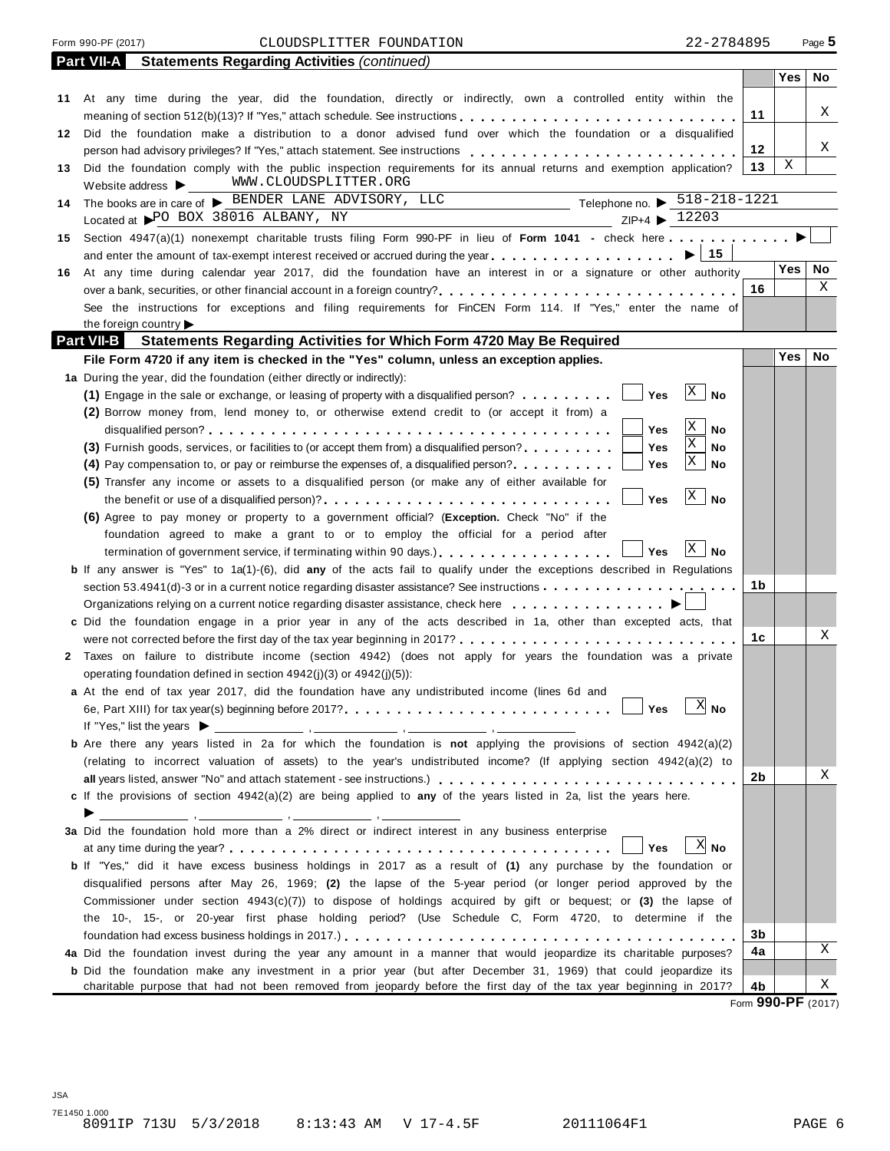#### Form 990-PF (2017) CLOUDSPLITTER FOUNDATION 22-2784895 Page **5**

|     | <b>Statements Regarding Activities (continued)</b><br><b>Part VII-A</b>                                                                                                         |    |            |    |
|-----|---------------------------------------------------------------------------------------------------------------------------------------------------------------------------------|----|------------|----|
|     |                                                                                                                                                                                 |    | Yes        | No |
|     | 11 At any time during the year, did the foundation, directly or indirectly, own a controlled entity within the                                                                  |    |            |    |
|     |                                                                                                                                                                                 | 11 |            | Χ  |
|     | 12 Did the foundation make a distribution to a donor advised fund over which the foundation or a disqualified                                                                   |    |            |    |
|     |                                                                                                                                                                                 | 12 |            | Χ  |
| 13  | Did the foundation comply with the public inspection requirements for its annual returns and exemption application?                                                             | 13 | Χ          |    |
|     | WWW.CLOUDSPLITTER.ORG<br>Website address $\blacktriangleright$                                                                                                                  |    |            |    |
| 14  | Telephone no. $\triangleright$ 518-218-1221<br>The books are in care of > BENDER LANE ADVISORY, LLC                                                                             |    |            |    |
|     | Located at PO BOX 38016 ALBANY, NY<br>ZIP+4 ▶ 12203                                                                                                                             |    |            |    |
|     | 15 Section 4947(a)(1) nonexempt charitable trusts filing Form 990-PF in lieu of Form 1041 - check here                                                                          |    |            |    |
|     | ∣ 15<br>and enter the amount of tax-exempt interest received or accrued during the year                                                                                         |    |            |    |
| 16. | At any time during calendar year 2017, did the foundation have an interest in or a signature or other authority                                                                 |    | Yes        | No |
|     |                                                                                                                                                                                 | 16 |            | Χ  |
|     | See the instructions for exceptions and filing requirements for FinCEN Form 114. If "Yes," enter the name of                                                                    |    |            |    |
|     | the foreign country                                                                                                                                                             |    |            |    |
|     | <b>Part VII-B</b><br><b>Statements Regarding Activities for Which Form 4720 May Be Required</b>                                                                                 |    |            |    |
|     | File Form 4720 if any item is checked in the "Yes" column, unless an exception applies.                                                                                         |    | <b>Yes</b> | No |
|     |                                                                                                                                                                                 |    |            |    |
|     | 1a During the year, did the foundation (either directly or indirectly):<br>$\mathbf{X}$<br><b>No</b><br>Yes                                                                     |    |            |    |
|     | (1) Engage in the sale or exchange, or leasing of property with a disqualified person?                                                                                          |    |            |    |
|     | (2) Borrow money from, lend money to, or otherwise extend credit to (or accept it from) a<br>Χ                                                                                  |    |            |    |
|     | No<br>Yes<br>Χ                                                                                                                                                                  |    |            |    |
|     | Yes<br>(3) Furnish goods, services, or facilities to (or accept them from) a disqualified person?<br>No<br>X                                                                    |    |            |    |
|     | Yes<br>No<br>(4) Pay compensation to, or pay or reimburse the expenses of, a disqualified person?                                                                               |    |            |    |
|     | (5) Transfer any income or assets to a disqualified person (or make any of either available for<br>$\mathbf{X}$                                                                 |    |            |    |
|     | No<br>the benefit or use of a disqualified person)?<br>Yes                                                                                                                      |    |            |    |
|     | (6) Agree to pay money or property to a government official? (Exception. Check "No" if the                                                                                      |    |            |    |
|     | foundation agreed to make a grant to or to employ the official for a period after                                                                                               |    |            |    |
|     | $\mathbf{X}$<br>No<br>termination of government service, if terminating within 90 days.).<br>Yes                                                                                |    |            |    |
|     | <b>b</b> If any answer is "Yes" to 1a(1)-(6), did any of the acts fail to qualify under the exceptions described in Regulations                                                 |    |            |    |
|     | section 53.4941(d)-3 or in a current notice regarding disaster assistance? See instructions                                                                                     | 1b |            |    |
|     |                                                                                                                                                                                 |    |            |    |
|     | c Did the foundation engage in a prior year in any of the acts described in 1a, other than excepted acts, that                                                                  |    |            |    |
|     |                                                                                                                                                                                 | 1с |            | Χ  |
|     | 2 Taxes on failure to distribute income (section 4942) (does not apply for years the foundation was a private                                                                   |    |            |    |
|     | operating foundation defined in section $4942(i)(3)$ or $4942(i)(5)$ :                                                                                                          |    |            |    |
|     | a At the end of tax year 2017, did the foundation have any undistributed income (lines 6d and                                                                                   |    |            |    |
|     |                                                                                                                                                                                 |    |            |    |
|     | If "Yes," list the years $\blacktriangleright$                                                                                                                                  |    |            |    |
|     | <b>b</b> Are there any years listed in 2a for which the foundation is not applying the provisions of section 4942(a)(2)                                                         |    |            |    |
|     | (relating to incorrect valuation of assets) to the year's undistributed income? (If applying section 4942(a)(2) to                                                              |    |            |    |
|     |                                                                                                                                                                                 | 2b |            | Χ  |
|     | c If the provisions of section 4942(a)(2) are being applied to any of the years listed in 2a, list the years here.                                                              |    |            |    |
|     | <u> производите представите на села на села на села на села на села на села на села на села на села на села на с</u>                                                            |    |            |    |
|     | 3a Did the foundation hold more than a 2% direct or indirect interest in any business enterprise                                                                                |    |            |    |
|     | $X$ No<br>Yes<br>at any time during the year? $\ldots$ , $\ldots$ , $\ldots$ , $\ldots$ , $\ldots$ , $\ldots$ , $\ldots$ , $\ldots$ , $\ldots$ , $\ldots$ , $\ldots$ , $\ldots$ |    |            |    |
|     | b If "Yes," did it have excess business holdings in 2017 as a result of (1) any purchase by the foundation or                                                                   |    |            |    |
|     | disqualified persons after May 26, 1969; (2) the lapse of the 5-year period (or longer period approved by the                                                                   |    |            |    |
|     | Commissioner under section $4943(c)(7)$ ) to dispose of holdings acquired by gift or bequest; or (3) the lapse of                                                               |    |            |    |
|     | the 10-, 15-, or 20-year first phase holding period? (Use Schedule C, Form 4720, to determine if the                                                                            |    |            |    |
|     |                                                                                                                                                                                 | 3b |            |    |
|     | 4a Did the foundation invest during the year any amount in a manner that would jeopardize its charitable purposes?                                                              | 4a |            | Χ  |
|     | <b>b</b> Did the foundation make any investment in a prior year (but after December 31, 1969) that could jeopardize its                                                         |    |            |    |
|     | charitable purpose that had not been removed from jeopardy before the first day of the tax year beginning in 2017?                                                              | 4b |            | Χ  |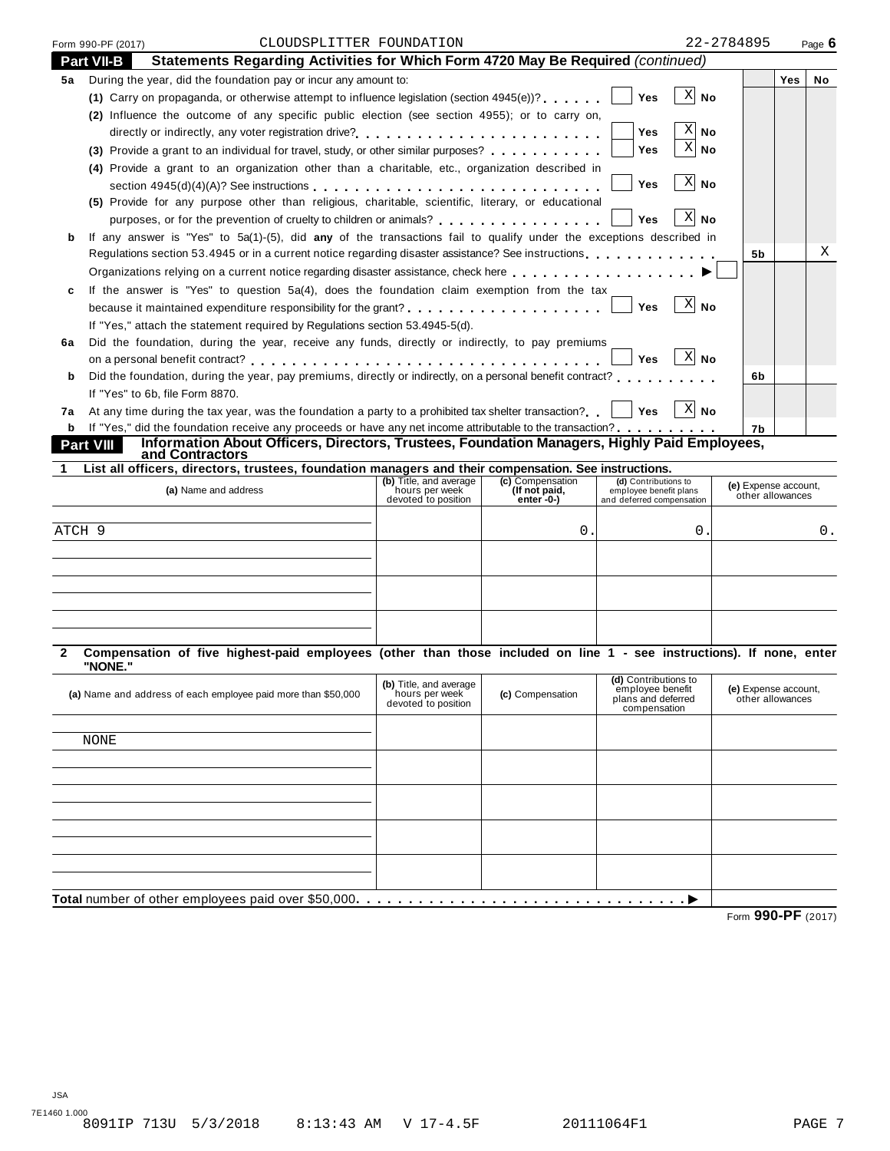| <b>Part VII-B</b><br>Statements Regarding Activities for Which Form 4720 May Be Required (continued)<br>During the year, did the foundation pay or incur any amount to:<br>(1) Carry on propaganda, or otherwise attempt to influence legislation (section $4945(e)$ )?<br>(2) Influence the outcome of any specific public election (see section 4955); or to carry on,<br>(3) Provide a grant to an individual for travel, study, or other similar purposes?<br>(4) Provide a grant to an organization other than a charitable, etc., organization described in<br>section 4945(d)(4)(A)? See instructions<br>(5) Provide for any purpose other than religious, charitable, scientific, literary, or educational<br>purposes, or for the prevention of cruelty to children or animals?<br>If any answer is "Yes" to 5a(1)-(5), did any of the transactions fail to qualify under the exceptions described in<br>Regulations section 53.4945 or in a current notice regarding disaster assistance? See instructions entertainment of the section of $\sim$<br>Organizations relying on a current notice regarding disaster assistance, check here<br>If the answer is "Yes" to question 5a(4), does the foundation claim exemption from the tax |                                                                                                                                                                      |                                                 | <b>Yes</b><br>Yes<br>Yes<br>Yes<br>Yes | X<br>No<br>X<br>No<br>X<br>No<br>$X$ No<br>ΧI<br>No                                                  |                                                                                                                                                                                                                                                                                                                                                                                                                                                                                                            | Yes                                                                                          | No                                                                                                                                                                                                           |
|--------------------------------------------------------------------------------------------------------------------------------------------------------------------------------------------------------------------------------------------------------------------------------------------------------------------------------------------------------------------------------------------------------------------------------------------------------------------------------------------------------------------------------------------------------------------------------------------------------------------------------------------------------------------------------------------------------------------------------------------------------------------------------------------------------------------------------------------------------------------------------------------------------------------------------------------------------------------------------------------------------------------------------------------------------------------------------------------------------------------------------------------------------------------------------------------------------------------------------------------------|----------------------------------------------------------------------------------------------------------------------------------------------------------------------|-------------------------------------------------|----------------------------------------|------------------------------------------------------------------------------------------------------|------------------------------------------------------------------------------------------------------------------------------------------------------------------------------------------------------------------------------------------------------------------------------------------------------------------------------------------------------------------------------------------------------------------------------------------------------------------------------------------------------------|----------------------------------------------------------------------------------------------|--------------------------------------------------------------------------------------------------------------------------------------------------------------------------------------------------------------|
|                                                                                                                                                                                                                                                                                                                                                                                                                                                                                                                                                                                                                                                                                                                                                                                                                                                                                                                                                                                                                                                                                                                                                                                                                                                  |                                                                                                                                                                      |                                                 |                                        |                                                                                                      |                                                                                                                                                                                                                                                                                                                                                                                                                                                                                                            |                                                                                              |                                                                                                                                                                                                              |
|                                                                                                                                                                                                                                                                                                                                                                                                                                                                                                                                                                                                                                                                                                                                                                                                                                                                                                                                                                                                                                                                                                                                                                                                                                                  |                                                                                                                                                                      |                                                 |                                        |                                                                                                      |                                                                                                                                                                                                                                                                                                                                                                                                                                                                                                            |                                                                                              |                                                                                                                                                                                                              |
|                                                                                                                                                                                                                                                                                                                                                                                                                                                                                                                                                                                                                                                                                                                                                                                                                                                                                                                                                                                                                                                                                                                                                                                                                                                  |                                                                                                                                                                      |                                                 |                                        |                                                                                                      |                                                                                                                                                                                                                                                                                                                                                                                                                                                                                                            |                                                                                              |                                                                                                                                                                                                              |
|                                                                                                                                                                                                                                                                                                                                                                                                                                                                                                                                                                                                                                                                                                                                                                                                                                                                                                                                                                                                                                                                                                                                                                                                                                                  |                                                                                                                                                                      |                                                 |                                        |                                                                                                      |                                                                                                                                                                                                                                                                                                                                                                                                                                                                                                            |                                                                                              |                                                                                                                                                                                                              |
|                                                                                                                                                                                                                                                                                                                                                                                                                                                                                                                                                                                                                                                                                                                                                                                                                                                                                                                                                                                                                                                                                                                                                                                                                                                  |                                                                                                                                                                      |                                                 |                                        |                                                                                                      |                                                                                                                                                                                                                                                                                                                                                                                                                                                                                                            |                                                                                              |                                                                                                                                                                                                              |
|                                                                                                                                                                                                                                                                                                                                                                                                                                                                                                                                                                                                                                                                                                                                                                                                                                                                                                                                                                                                                                                                                                                                                                                                                                                  |                                                                                                                                                                      |                                                 |                                        |                                                                                                      |                                                                                                                                                                                                                                                                                                                                                                                                                                                                                                            |                                                                                              |                                                                                                                                                                                                              |
|                                                                                                                                                                                                                                                                                                                                                                                                                                                                                                                                                                                                                                                                                                                                                                                                                                                                                                                                                                                                                                                                                                                                                                                                                                                  |                                                                                                                                                                      |                                                 |                                        |                                                                                                      |                                                                                                                                                                                                                                                                                                                                                                                                                                                                                                            |                                                                                              |                                                                                                                                                                                                              |
|                                                                                                                                                                                                                                                                                                                                                                                                                                                                                                                                                                                                                                                                                                                                                                                                                                                                                                                                                                                                                                                                                                                                                                                                                                                  |                                                                                                                                                                      |                                                 |                                        |                                                                                                      |                                                                                                                                                                                                                                                                                                                                                                                                                                                                                                            |                                                                                              |                                                                                                                                                                                                              |
|                                                                                                                                                                                                                                                                                                                                                                                                                                                                                                                                                                                                                                                                                                                                                                                                                                                                                                                                                                                                                                                                                                                                                                                                                                                  |                                                                                                                                                                      |                                                 |                                        |                                                                                                      |                                                                                                                                                                                                                                                                                                                                                                                                                                                                                                            |                                                                                              |                                                                                                                                                                                                              |
|                                                                                                                                                                                                                                                                                                                                                                                                                                                                                                                                                                                                                                                                                                                                                                                                                                                                                                                                                                                                                                                                                                                                                                                                                                                  |                                                                                                                                                                      |                                                 |                                        |                                                                                                      |                                                                                                                                                                                                                                                                                                                                                                                                                                                                                                            |                                                                                              |                                                                                                                                                                                                              |
|                                                                                                                                                                                                                                                                                                                                                                                                                                                                                                                                                                                                                                                                                                                                                                                                                                                                                                                                                                                                                                                                                                                                                                                                                                                  |                                                                                                                                                                      |                                                 |                                        |                                                                                                      |                                                                                                                                                                                                                                                                                                                                                                                                                                                                                                            |                                                                                              |                                                                                                                                                                                                              |
|                                                                                                                                                                                                                                                                                                                                                                                                                                                                                                                                                                                                                                                                                                                                                                                                                                                                                                                                                                                                                                                                                                                                                                                                                                                  |                                                                                                                                                                      |                                                 |                                        |                                                                                                      | 5b                                                                                                                                                                                                                                                                                                                                                                                                                                                                                                         |                                                                                              | Χ                                                                                                                                                                                                            |
|                                                                                                                                                                                                                                                                                                                                                                                                                                                                                                                                                                                                                                                                                                                                                                                                                                                                                                                                                                                                                                                                                                                                                                                                                                                  |                                                                                                                                                                      |                                                 |                                        |                                                                                                      |                                                                                                                                                                                                                                                                                                                                                                                                                                                                                                            |                                                                                              |                                                                                                                                                                                                              |
|                                                                                                                                                                                                                                                                                                                                                                                                                                                                                                                                                                                                                                                                                                                                                                                                                                                                                                                                                                                                                                                                                                                                                                                                                                                  |                                                                                                                                                                      |                                                 |                                        |                                                                                                      |                                                                                                                                                                                                                                                                                                                                                                                                                                                                                                            |                                                                                              |                                                                                                                                                                                                              |
|                                                                                                                                                                                                                                                                                                                                                                                                                                                                                                                                                                                                                                                                                                                                                                                                                                                                                                                                                                                                                                                                                                                                                                                                                                                  |                                                                                                                                                                      |                                                 | Yes                                    | ΧI<br>No                                                                                             |                                                                                                                                                                                                                                                                                                                                                                                                                                                                                                            |                                                                                              |                                                                                                                                                                                                              |
| If "Yes," attach the statement required by Regulations section 53.4945-5(d).                                                                                                                                                                                                                                                                                                                                                                                                                                                                                                                                                                                                                                                                                                                                                                                                                                                                                                                                                                                                                                                                                                                                                                     |                                                                                                                                                                      |                                                 |                                        |                                                                                                      |                                                                                                                                                                                                                                                                                                                                                                                                                                                                                                            |                                                                                              |                                                                                                                                                                                                              |
| Did the foundation, during the year, receive any funds, directly or indirectly, to pay premiums                                                                                                                                                                                                                                                                                                                                                                                                                                                                                                                                                                                                                                                                                                                                                                                                                                                                                                                                                                                                                                                                                                                                                  |                                                                                                                                                                      |                                                 |                                        |                                                                                                      |                                                                                                                                                                                                                                                                                                                                                                                                                                                                                                            |                                                                                              |                                                                                                                                                                                                              |
|                                                                                                                                                                                                                                                                                                                                                                                                                                                                                                                                                                                                                                                                                                                                                                                                                                                                                                                                                                                                                                                                                                                                                                                                                                                  |                                                                                                                                                                      |                                                 | Yes                                    | $X$ No                                                                                               |                                                                                                                                                                                                                                                                                                                                                                                                                                                                                                            |                                                                                              |                                                                                                                                                                                                              |
|                                                                                                                                                                                                                                                                                                                                                                                                                                                                                                                                                                                                                                                                                                                                                                                                                                                                                                                                                                                                                                                                                                                                                                                                                                                  |                                                                                                                                                                      |                                                 |                                        |                                                                                                      | 6b                                                                                                                                                                                                                                                                                                                                                                                                                                                                                                         |                                                                                              |                                                                                                                                                                                                              |
|                                                                                                                                                                                                                                                                                                                                                                                                                                                                                                                                                                                                                                                                                                                                                                                                                                                                                                                                                                                                                                                                                                                                                                                                                                                  |                                                                                                                                                                      |                                                 |                                        |                                                                                                      |                                                                                                                                                                                                                                                                                                                                                                                                                                                                                                            |                                                                                              |                                                                                                                                                                                                              |
|                                                                                                                                                                                                                                                                                                                                                                                                                                                                                                                                                                                                                                                                                                                                                                                                                                                                                                                                                                                                                                                                                                                                                                                                                                                  |                                                                                                                                                                      |                                                 | Yes                                    | $X$ No                                                                                               |                                                                                                                                                                                                                                                                                                                                                                                                                                                                                                            |                                                                                              |                                                                                                                                                                                                              |
|                                                                                                                                                                                                                                                                                                                                                                                                                                                                                                                                                                                                                                                                                                                                                                                                                                                                                                                                                                                                                                                                                                                                                                                                                                                  |                                                                                                                                                                      |                                                 |                                        |                                                                                                      | 7b                                                                                                                                                                                                                                                                                                                                                                                                                                                                                                         |                                                                                              |                                                                                                                                                                                                              |
|                                                                                                                                                                                                                                                                                                                                                                                                                                                                                                                                                                                                                                                                                                                                                                                                                                                                                                                                                                                                                                                                                                                                                                                                                                                  |                                                                                                                                                                      |                                                 |                                        |                                                                                                      |                                                                                                                                                                                                                                                                                                                                                                                                                                                                                                            |                                                                                              |                                                                                                                                                                                                              |
|                                                                                                                                                                                                                                                                                                                                                                                                                                                                                                                                                                                                                                                                                                                                                                                                                                                                                                                                                                                                                                                                                                                                                                                                                                                  |                                                                                                                                                                      |                                                 |                                        |                                                                                                      |                                                                                                                                                                                                                                                                                                                                                                                                                                                                                                            |                                                                                              |                                                                                                                                                                                                              |
| (a) Name and address                                                                                                                                                                                                                                                                                                                                                                                                                                                                                                                                                                                                                                                                                                                                                                                                                                                                                                                                                                                                                                                                                                                                                                                                                             | (b) Title, and average<br>hours per week                                                                                                                             | (c) Compensation<br>(If not paid,<br>enter -0-) |                                        |                                                                                                      |                                                                                                                                                                                                                                                                                                                                                                                                                                                                                                            |                                                                                              |                                                                                                                                                                                                              |
|                                                                                                                                                                                                                                                                                                                                                                                                                                                                                                                                                                                                                                                                                                                                                                                                                                                                                                                                                                                                                                                                                                                                                                                                                                                  |                                                                                                                                                                      |                                                 |                                        |                                                                                                      |                                                                                                                                                                                                                                                                                                                                                                                                                                                                                                            |                                                                                              |                                                                                                                                                                                                              |
|                                                                                                                                                                                                                                                                                                                                                                                                                                                                                                                                                                                                                                                                                                                                                                                                                                                                                                                                                                                                                                                                                                                                                                                                                                                  |                                                                                                                                                                      | 0.                                              |                                        | 0.                                                                                                   |                                                                                                                                                                                                                                                                                                                                                                                                                                                                                                            |                                                                                              | 0.                                                                                                                                                                                                           |
|                                                                                                                                                                                                                                                                                                                                                                                                                                                                                                                                                                                                                                                                                                                                                                                                                                                                                                                                                                                                                                                                                                                                                                                                                                                  |                                                                                                                                                                      |                                                 |                                        |                                                                                                      |                                                                                                                                                                                                                                                                                                                                                                                                                                                                                                            |                                                                                              |                                                                                                                                                                                                              |
|                                                                                                                                                                                                                                                                                                                                                                                                                                                                                                                                                                                                                                                                                                                                                                                                                                                                                                                                                                                                                                                                                                                                                                                                                                                  |                                                                                                                                                                      |                                                 |                                        |                                                                                                      |                                                                                                                                                                                                                                                                                                                                                                                                                                                                                                            |                                                                                              |                                                                                                                                                                                                              |
|                                                                                                                                                                                                                                                                                                                                                                                                                                                                                                                                                                                                                                                                                                                                                                                                                                                                                                                                                                                                                                                                                                                                                                                                                                                  |                                                                                                                                                                      |                                                 |                                        |                                                                                                      |                                                                                                                                                                                                                                                                                                                                                                                                                                                                                                            |                                                                                              |                                                                                                                                                                                                              |
|                                                                                                                                                                                                                                                                                                                                                                                                                                                                                                                                                                                                                                                                                                                                                                                                                                                                                                                                                                                                                                                                                                                                                                                                                                                  |                                                                                                                                                                      |                                                 |                                        |                                                                                                      |                                                                                                                                                                                                                                                                                                                                                                                                                                                                                                            |                                                                                              |                                                                                                                                                                                                              |
|                                                                                                                                                                                                                                                                                                                                                                                                                                                                                                                                                                                                                                                                                                                                                                                                                                                                                                                                                                                                                                                                                                                                                                                                                                                  |                                                                                                                                                                      |                                                 |                                        |                                                                                                      |                                                                                                                                                                                                                                                                                                                                                                                                                                                                                                            |                                                                                              |                                                                                                                                                                                                              |
|                                                                                                                                                                                                                                                                                                                                                                                                                                                                                                                                                                                                                                                                                                                                                                                                                                                                                                                                                                                                                                                                                                                                                                                                                                                  |                                                                                                                                                                      |                                                 |                                        |                                                                                                      |                                                                                                                                                                                                                                                                                                                                                                                                                                                                                                            |                                                                                              |                                                                                                                                                                                                              |
|                                                                                                                                                                                                                                                                                                                                                                                                                                                                                                                                                                                                                                                                                                                                                                                                                                                                                                                                                                                                                                                                                                                                                                                                                                                  |                                                                                                                                                                      |                                                 |                                        |                                                                                                      |                                                                                                                                                                                                                                                                                                                                                                                                                                                                                                            |                                                                                              |                                                                                                                                                                                                              |
|                                                                                                                                                                                                                                                                                                                                                                                                                                                                                                                                                                                                                                                                                                                                                                                                                                                                                                                                                                                                                                                                                                                                                                                                                                                  | (b) Title, and average<br>hours per week<br>devoted to position                                                                                                      | (c) Compensation                                |                                        |                                                                                                      |                                                                                                                                                                                                                                                                                                                                                                                                                                                                                                            |                                                                                              |                                                                                                                                                                                                              |
|                                                                                                                                                                                                                                                                                                                                                                                                                                                                                                                                                                                                                                                                                                                                                                                                                                                                                                                                                                                                                                                                                                                                                                                                                                                  |                                                                                                                                                                      |                                                 |                                        |                                                                                                      |                                                                                                                                                                                                                                                                                                                                                                                                                                                                                                            |                                                                                              |                                                                                                                                                                                                              |
|                                                                                                                                                                                                                                                                                                                                                                                                                                                                                                                                                                                                                                                                                                                                                                                                                                                                                                                                                                                                                                                                                                                                                                                                                                                  |                                                                                                                                                                      |                                                 |                                        |                                                                                                      |                                                                                                                                                                                                                                                                                                                                                                                                                                                                                                            |                                                                                              |                                                                                                                                                                                                              |
|                                                                                                                                                                                                                                                                                                                                                                                                                                                                                                                                                                                                                                                                                                                                                                                                                                                                                                                                                                                                                                                                                                                                                                                                                                                  |                                                                                                                                                                      |                                                 |                                        |                                                                                                      |                                                                                                                                                                                                                                                                                                                                                                                                                                                                                                            |                                                                                              |                                                                                                                                                                                                              |
|                                                                                                                                                                                                                                                                                                                                                                                                                                                                                                                                                                                                                                                                                                                                                                                                                                                                                                                                                                                                                                                                                                                                                                                                                                                  |                                                                                                                                                                      |                                                 |                                        |                                                                                                      |                                                                                                                                                                                                                                                                                                                                                                                                                                                                                                            |                                                                                              |                                                                                                                                                                                                              |
|                                                                                                                                                                                                                                                                                                                                                                                                                                                                                                                                                                                                                                                                                                                                                                                                                                                                                                                                                                                                                                                                                                                                                                                                                                                  |                                                                                                                                                                      |                                                 |                                        |                                                                                                      |                                                                                                                                                                                                                                                                                                                                                                                                                                                                                                            |                                                                                              |                                                                                                                                                                                                              |
|                                                                                                                                                                                                                                                                                                                                                                                                                                                                                                                                                                                                                                                                                                                                                                                                                                                                                                                                                                                                                                                                                                                                                                                                                                                  |                                                                                                                                                                      |                                                 |                                        |                                                                                                      |                                                                                                                                                                                                                                                                                                                                                                                                                                                                                                            |                                                                                              |                                                                                                                                                                                                              |
|                                                                                                                                                                                                                                                                                                                                                                                                                                                                                                                                                                                                                                                                                                                                                                                                                                                                                                                                                                                                                                                                                                                                                                                                                                                  |                                                                                                                                                                      |                                                 |                                        |                                                                                                      |                                                                                                                                                                                                                                                                                                                                                                                                                                                                                                            |                                                                                              |                                                                                                                                                                                                              |
|                                                                                                                                                                                                                                                                                                                                                                                                                                                                                                                                                                                                                                                                                                                                                                                                                                                                                                                                                                                                                                                                                                                                                                                                                                                  |                                                                                                                                                                      |                                                 |                                        |                                                                                                      |                                                                                                                                                                                                                                                                                                                                                                                                                                                                                                            |                                                                                              |                                                                                                                                                                                                              |
|                                                                                                                                                                                                                                                                                                                                                                                                                                                                                                                                                                                                                                                                                                                                                                                                                                                                                                                                                                                                                                                                                                                                                                                                                                                  |                                                                                                                                                                      |                                                 |                                        |                                                                                                      |                                                                                                                                                                                                                                                                                                                                                                                                                                                                                                            |                                                                                              |                                                                                                                                                                                                              |
|                                                                                                                                                                                                                                                                                                                                                                                                                                                                                                                                                                                                                                                                                                                                                                                                                                                                                                                                                                                                                                                                                                                                                                                                                                                  |                                                                                                                                                                      |                                                 |                                        |                                                                                                      |                                                                                                                                                                                                                                                                                                                                                                                                                                                                                                            |                                                                                              |                                                                                                                                                                                                              |
|                                                                                                                                                                                                                                                                                                                                                                                                                                                                                                                                                                                                                                                                                                                                                                                                                                                                                                                                                                                                                                                                                                                                                                                                                                                  | If "Yes" to 6b, file Form 8870.<br>Part VIII<br>and Contractors<br>ATCH 9<br>"NONE."<br>(a) Name and address of each employee paid more than \$50,000<br><b>NONE</b> | devoted to position                             |                                        | At any time during the tax year, was the foundation a party to a prohibited tax shelter transaction? | Did the foundation, during the year, pay premiums, directly or indirectly, on a personal benefit contract?<br><b>b</b> If "Yes," did the foundation receive any proceeds or have any net income attributable to the transaction?<br>List all officers, directors, trustees, foundation managers and their compensation. See instructions.<br>(d) Contributions to<br>employee benefit plans<br>and deferred compensation<br>(d) Contributions to<br>employee benefit<br>plans and deferred<br>compensation | Information About Officers, Directors, Trustees, Foundation Managers, Highly Paid Employees, | (e) Expense account,<br>other allowances<br>Compensation of five highest-paid employees (other than those included on line 1 - see instructions). If none, enter<br>(e) Expense account,<br>other allowances |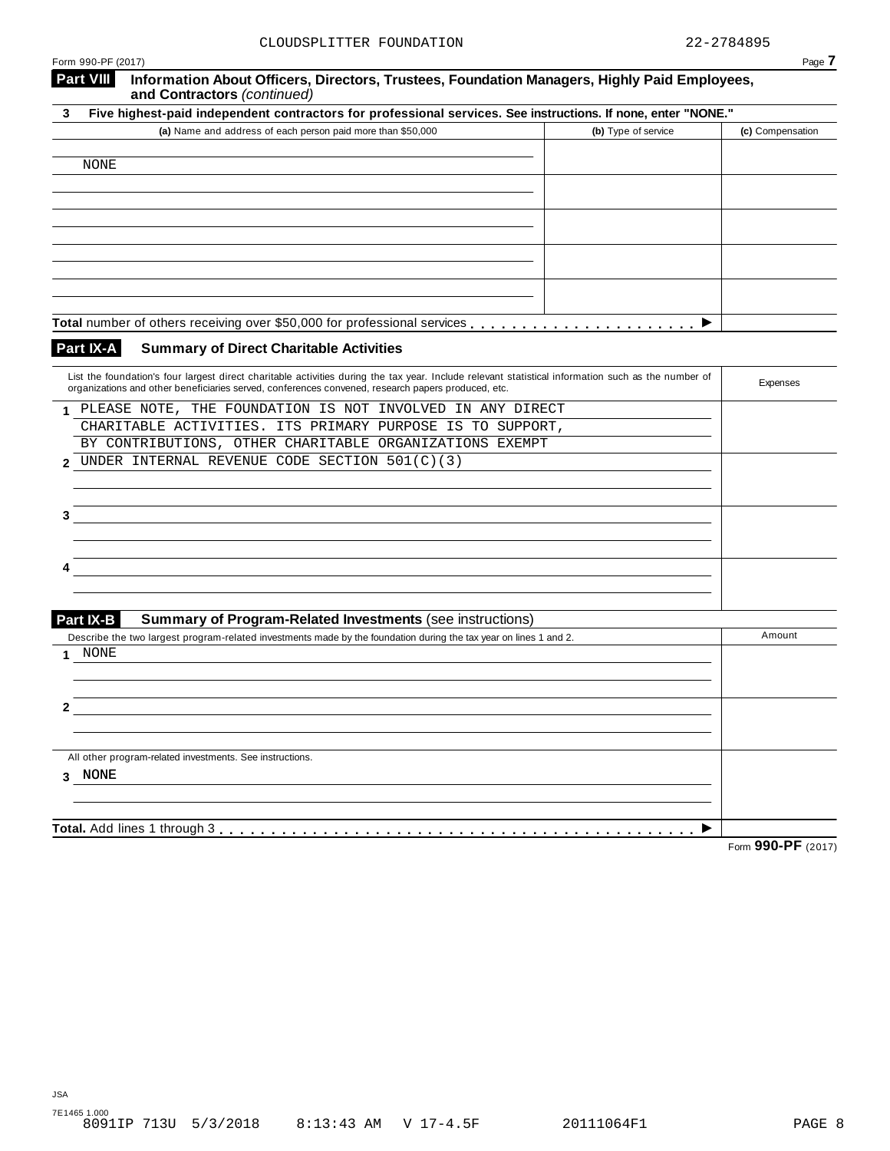|                                        | CLOUDSPLITTER FOUNDATION                                                                                                                                                              | 22-2784895                              |
|----------------------------------------|---------------------------------------------------------------------------------------------------------------------------------------------------------------------------------------|-----------------------------------------|
| Form 990-PF (2017)<br><b>Part VIII</b> | Information About Officers, Directors, Trustees, Foundation Managers, Highly Paid Employees,<br>and Contractors (continued)                                                           | Page 7                                  |
| 3                                      | Five highest-paid independent contractors for professional services. See instructions. If none, enter "NONE."                                                                         |                                         |
|                                        | (a) Name and address of each person paid more than \$50,000                                                                                                                           | (b) Type of service<br>(c) Compensation |
|                                        |                                                                                                                                                                                       |                                         |
| <b>NONE</b>                            |                                                                                                                                                                                       |                                         |
|                                        |                                                                                                                                                                                       |                                         |
|                                        |                                                                                                                                                                                       |                                         |
|                                        |                                                                                                                                                                                       |                                         |
|                                        |                                                                                                                                                                                       |                                         |
|                                        |                                                                                                                                                                                       |                                         |
|                                        |                                                                                                                                                                                       |                                         |
|                                        |                                                                                                                                                                                       |                                         |
|                                        |                                                                                                                                                                                       | ▶                                       |
| Part IX-A                              | <b>Summary of Direct Charitable Activities</b>                                                                                                                                        |                                         |
|                                        | List the foundation's four largest direct charitable activities during the tax year. Include relevant statistical information such as the number of                                   | Expenses                                |
|                                        | organizations and other beneficiaries served, conferences convened, research papers produced, etc.                                                                                    |                                         |
|                                        | 1 PLEASE NOTE, THE FOUNDATION IS NOT INVOLVED IN ANY DIRECT                                                                                                                           |                                         |
|                                        | CHARITABLE ACTIVITIES. ITS PRIMARY PURPOSE IS TO SUPPORT,                                                                                                                             |                                         |
|                                        | BY CONTRIBUTIONS, OTHER CHARITABLE ORGANIZATIONS EXEMPT<br>UNDER INTERNAL REVENUE CODE SECTION 501(C)(3)                                                                              |                                         |
| 2                                      |                                                                                                                                                                                       |                                         |
|                                        |                                                                                                                                                                                       |                                         |
| 3                                      |                                                                                                                                                                                       |                                         |
|                                        |                                                                                                                                                                                       |                                         |
|                                        |                                                                                                                                                                                       |                                         |
|                                        |                                                                                                                                                                                       |                                         |
|                                        |                                                                                                                                                                                       |                                         |
|                                        |                                                                                                                                                                                       |                                         |
| Part IX-B                              | <b>Summary of Program-Related Investments (see instructions)</b><br>Describe the two largest program-related investments made by the foundation during the tax year on lines 1 and 2. | Amount                                  |
| NONE<br>1.                             |                                                                                                                                                                                       |                                         |
|                                        |                                                                                                                                                                                       |                                         |
|                                        |                                                                                                                                                                                       |                                         |
| 2                                      |                                                                                                                                                                                       |                                         |
|                                        |                                                                                                                                                                                       |                                         |
|                                        |                                                                                                                                                                                       |                                         |
|                                        | All other program-related investments. See instructions.                                                                                                                              |                                         |
| 3 NONE                                 |                                                                                                                                                                                       |                                         |
|                                        |                                                                                                                                                                                       |                                         |
|                                        |                                                                                                                                                                                       |                                         |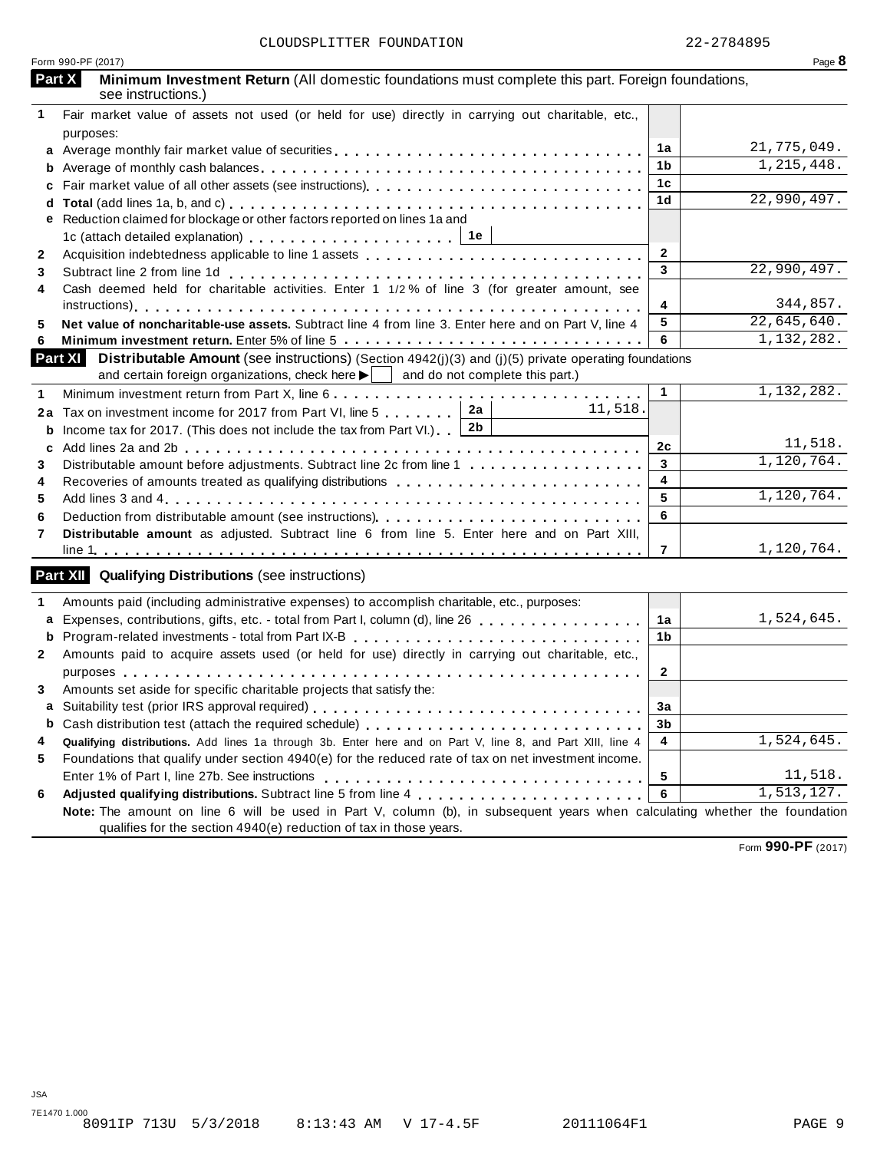|              | Form 990-PF (2017)                                                                                                                                                                                                                |                | Page 8       |
|--------------|-----------------------------------------------------------------------------------------------------------------------------------------------------------------------------------------------------------------------------------|----------------|--------------|
|              | Part X<br>Minimum Investment Return (All domestic foundations must complete this part. Foreign foundations,<br>see instructions.)                                                                                                 |                |              |
| 1            | Fair market value of assets not used (or held for use) directly in carrying out charitable, etc.,                                                                                                                                 |                |              |
|              | purposes:                                                                                                                                                                                                                         |                |              |
|              |                                                                                                                                                                                                                                   | 1a             | 21,775,049.  |
|              |                                                                                                                                                                                                                                   | 1b             | 1, 215, 448. |
|              |                                                                                                                                                                                                                                   | 1 <sub>c</sub> |              |
|              |                                                                                                                                                                                                                                   | 1 <sub>d</sub> | 22,990,497.  |
|              | e Reduction claimed for blockage or other factors reported on lines 1a and                                                                                                                                                        |                |              |
|              |                                                                                                                                                                                                                                   |                |              |
| 2            |                                                                                                                                                                                                                                   | $\overline{2}$ |              |
| 3            |                                                                                                                                                                                                                                   | 3              | 22,990,497.  |
| 4            | Cash deemed held for charitable activities. Enter 1 1/2% of line 3 (for greater amount, see                                                                                                                                       |                |              |
|              |                                                                                                                                                                                                                                   | 4              | 344,857.     |
| 5            | Net value of noncharitable-use assets. Subtract line 4 from line 3. Enter here and on Part V, line 4                                                                                                                              | 5              | 22,645,640.  |
| 6            |                                                                                                                                                                                                                                   | 6              | 1,132,282.   |
|              | Part XI<br><b>Distributable Amount</b> (see instructions) (Section $4942(j)(3)$ and (j)(5) private operating foundations<br>and certain foreign organizations, check here $\blacktriangleright$   and do not complete this part.) |                |              |
| 1            |                                                                                                                                                                                                                                   | $\mathbf{1}$   | 1,132,282.   |
|              | 2a<br>11,518.<br>2a Tax on investment income for 2017 from Part VI, line 5                                                                                                                                                        |                |              |
| b            | 2b<br>Income tax for 2017. (This does not include the tax from Part VI.).                                                                                                                                                         |                |              |
| c            |                                                                                                                                                                                                                                   | 2c             | 11,518.      |
| 3            | Distributable amount before adjustments. Subtract line 2c from line 1                                                                                                                                                             | 3              | 1,120,764.   |
| 4            | Recoveries of amounts treated as qualifying distributions                                                                                                                                                                         | $\overline{4}$ |              |
| 5            |                                                                                                                                                                                                                                   | 5              | 1,120,764.   |
| 6            |                                                                                                                                                                                                                                   | 6              |              |
| 7            | Distributable amount as adjusted. Subtract line 6 from line 5. Enter here and on Part XIII,                                                                                                                                       |                |              |
|              |                                                                                                                                                                                                                                   | $\overline{7}$ | 1,120,764.   |
|              | <b>Part XII Qualifying Distributions (see instructions)</b>                                                                                                                                                                       |                |              |
|              |                                                                                                                                                                                                                                   |                |              |
| 1            | Amounts paid (including administrative expenses) to accomplish charitable, etc., purposes:                                                                                                                                        |                |              |
|              | a Expenses, contributions, gifts, etc. - total from Part I, column (d), line 26                                                                                                                                                   | 1a             | 1,524,645.   |
|              |                                                                                                                                                                                                                                   | 1b             |              |
| $\mathbf{2}$ | Amounts paid to acquire assets used (or held for use) directly in carrying out charitable, etc.,                                                                                                                                  |                |              |
|              | purposes purposes<br>.                                                                                                                                                                                                            | $\overline{2}$ |              |
| 3            | Amounts set aside for specific charitable projects that satisfy the:                                                                                                                                                              |                |              |
|              |                                                                                                                                                                                                                                   | 3a             |              |
|              |                                                                                                                                                                                                                                   | 3b             |              |
| 4            | Qualifying distributions. Add lines 1a through 3b. Enter here and on Part V, line 8, and Part XIII, line 4                                                                                                                        | 4              | 1,524,645.   |
| 5            | Foundations that qualify under section 4940(e) for the reduced rate of tax on net investment income.                                                                                                                              |                |              |
|              |                                                                                                                                                                                                                                   | 5              | 11,518.      |
| 6            |                                                                                                                                                                                                                                   | 6              | 1, 513, 127. |
|              | Note: The amount on line 6 will be used in Part V, column (b), in subsequent years when calculating whether the foundation                                                                                                        |                |              |
|              | qualifies for the section 4940(e) reduction of tax in those years.                                                                                                                                                                |                |              |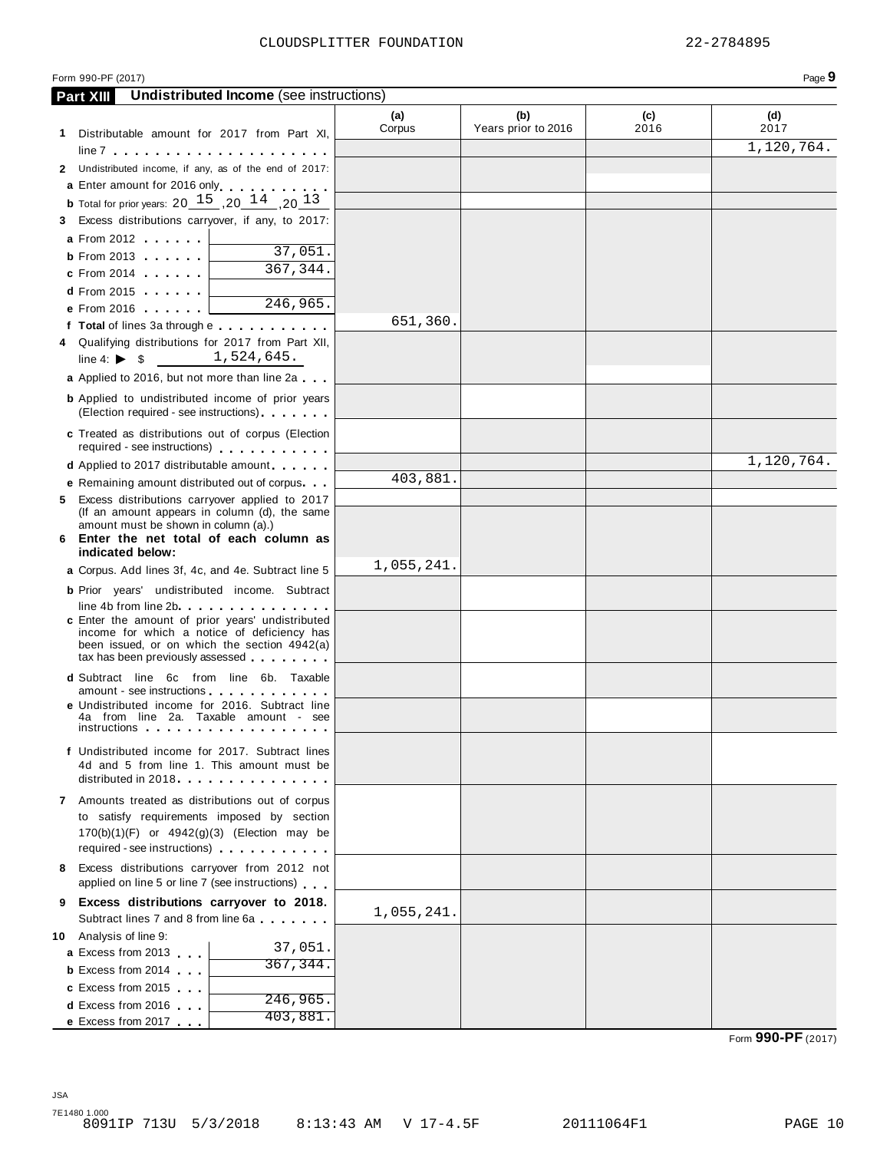|   | Form 990-PF (2017)                                                                                                                                                                                                             |               |                            |             | Page 9      |
|---|--------------------------------------------------------------------------------------------------------------------------------------------------------------------------------------------------------------------------------|---------------|----------------------------|-------------|-------------|
|   | <b>Undistributed Income</b> (see instructions)<br><b>Part XIII</b>                                                                                                                                                             |               |                            |             |             |
|   | 1 Distributable amount for 2017 from Part XI,                                                                                                                                                                                  | (a)<br>Corpus | (b)<br>Years prior to 2016 | (c)<br>2016 | (d)<br>2017 |
|   |                                                                                                                                                                                                                                |               |                            |             | 1,120,764.  |
|   | 2 Undistributed income, if any, as of the end of 2017:                                                                                                                                                                         |               |                            |             |             |
|   | a Enter amount for 2016 only enterprise to the set of the set of the set of the set of the set of the set of the set of the set of the set of the set of the set of the set of the set of the set of the set of the set of the |               |                            |             |             |
|   | <b>b</b> Total for prior years: $20^{15}$ , $20^{14}$ , $20^{13}$                                                                                                                                                              |               |                            |             |             |
|   | 3 Excess distributions carryover, if any, to 2017:                                                                                                                                                                             |               |                            |             |             |
|   | <b>a</b> From 2012                                                                                                                                                                                                             |               |                            |             |             |
|   | 37,051.<br>$b$ From 2013                                                                                                                                                                                                       |               |                            |             |             |
|   | 367, 344.<br>$c$ From 2014                                                                                                                                                                                                     |               |                            |             |             |
|   | $d$ From 2015                                                                                                                                                                                                                  |               |                            |             |             |
|   | $\overline{246}$ , 965.<br>e From 2016                                                                                                                                                                                         |               |                            |             |             |
|   | f Total of lines 3a through e                                                                                                                                                                                                  | 651,360.      |                            |             |             |
|   | 4 Qualifying distributions for 2017 from Part XII,                                                                                                                                                                             |               |                            |             |             |
|   | 1,524,645.<br>line 4: $\triangleright$ \$                                                                                                                                                                                      |               |                            |             |             |
|   | a Applied to 2016, but not more than line 2a                                                                                                                                                                                   |               |                            |             |             |
|   | <b>b</b> Applied to undistributed income of prior years<br>(Election required - see instructions)                                                                                                                              |               |                            |             |             |
|   | c Treated as distributions out of corpus (Election<br>required - see instructions)                                                                                                                                             |               |                            |             |             |
|   | <b>d</b> Applied to 2017 distributable amount                                                                                                                                                                                  |               |                            |             | 1,120,764.  |
|   | e Remaining amount distributed out of corpus                                                                                                                                                                                   | 403,881.      |                            |             |             |
|   | 5 Excess distributions carryover applied to 2017                                                                                                                                                                               |               |                            |             |             |
|   | (If an amount appears in column (d), the same                                                                                                                                                                                  |               |                            |             |             |
|   | amount must be shown in column (a).)<br>6 Enter the net total of each column as                                                                                                                                                |               |                            |             |             |
|   | indicated below:                                                                                                                                                                                                               |               |                            |             |             |
|   | a Corpus. Add lines 3f, 4c, and 4e. Subtract line 5                                                                                                                                                                            | 1,055,241.    |                            |             |             |
|   | <b>b</b> Prior years' undistributed income. Subtract                                                                                                                                                                           |               |                            |             |             |
|   | line 4b from line 2b                                                                                                                                                                                                           |               |                            |             |             |
|   | c Enter the amount of prior years' undistributed<br>income for which a notice of deficiency has                                                                                                                                |               |                            |             |             |
|   | been issued, or on which the section 4942(a)                                                                                                                                                                                   |               |                            |             |             |
|   | tax has been previously assessed                                                                                                                                                                                               |               |                            |             |             |
|   | <b>d</b> Subtract line 6c from line 6b. Taxable                                                                                                                                                                                |               |                            |             |             |
|   | amount - see instructions<br>e Undistributed income for 2016. Subtract line                                                                                                                                                    |               |                            |             |             |
|   | 4a from line 2a. Taxable amount - see<br><i>instructions</i>                                                                                                                                                                   |               |                            |             |             |
|   | f Undistributed income for 2017. Subtract lines                                                                                                                                                                                |               |                            |             |             |
|   | 4d and 5 from line 1. This amount must be                                                                                                                                                                                      |               |                            |             |             |
|   | distributed in 2018.                                                                                                                                                                                                           |               |                            |             |             |
|   | 7 Amounts treated as distributions out of corpus                                                                                                                                                                               |               |                            |             |             |
|   | to satisfy requirements imposed by section                                                                                                                                                                                     |               |                            |             |             |
|   | $170(b)(1)(F)$ or $4942(g)(3)$ (Election may be                                                                                                                                                                                |               |                            |             |             |
|   | required - see instructions)                                                                                                                                                                                                   |               |                            |             |             |
|   | 8 Excess distributions carryover from 2012 not<br>applied on line 5 or line 7 (see instructions)                                                                                                                               |               |                            |             |             |
| 9 | Excess distributions carryover to 2018.                                                                                                                                                                                        |               |                            |             |             |
|   | Subtract lines 7 and 8 from line 6a                                                                                                                                                                                            | 1,055,241.    |                            |             |             |
|   | 10 Analysis of line 9:<br>37,051.                                                                                                                                                                                              |               |                            |             |             |
|   | <b>a</b> Excess from 2013<br>367,344.                                                                                                                                                                                          |               |                            |             |             |
|   | <b>b</b> Excess from 2014                                                                                                                                                                                                      |               |                            |             |             |
|   | c Excess from 2015<br>246,965.                                                                                                                                                                                                 |               |                            |             |             |
|   | <b>d</b> Excess from 2016<br>403,881.                                                                                                                                                                                          |               |                            |             |             |
|   | e Excess from 2017                                                                                                                                                                                                             |               |                            |             |             |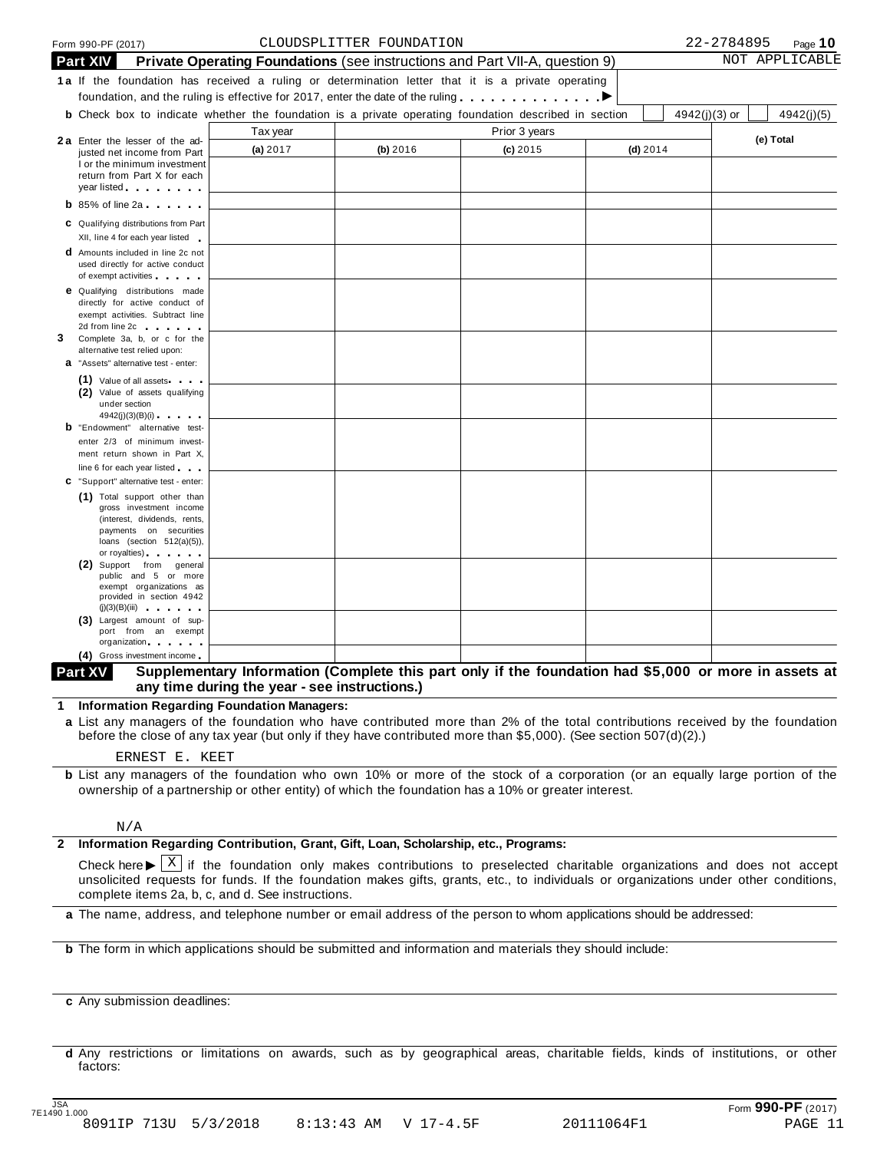|   |                 | Form 990-PF (2017)                                                                                                                                                                                                                                                  |          | CLOUDSPLITTER FOUNDATION                                                                                     |               |            | 22-2784895      | Page $10$      |
|---|-----------------|---------------------------------------------------------------------------------------------------------------------------------------------------------------------------------------------------------------------------------------------------------------------|----------|--------------------------------------------------------------------------------------------------------------|---------------|------------|-----------------|----------------|
|   | <b>Part XIV</b> |                                                                                                                                                                                                                                                                     |          | <b>Private Operating Foundations</b> (see instructions and Part VII-A, question 9)                           |               |            |                 | NOT APPLICABLE |
|   |                 |                                                                                                                                                                                                                                                                     |          | 1a If the foundation has received a ruling or determination letter that it is a private operating            |               |            |                 |                |
|   |                 |                                                                                                                                                                                                                                                                     |          | foundation, and the ruling is effective for 2017, enter the date of the ruling $\dots \dots \dots$           |               |            |                 |                |
|   |                 |                                                                                                                                                                                                                                                                     |          | <b>b</b> Check box to indicate whether the foundation is a private operating foundation described in section |               |            | $4942(j)(3)$ or | 4942(j)(5)     |
|   |                 |                                                                                                                                                                                                                                                                     | Tax year |                                                                                                              | Prior 3 years |            |                 |                |
|   |                 | 2a Enter the lesser of the ad-<br>justed net income from Part                                                                                                                                                                                                       | (a) 2017 | (b) 2016                                                                                                     | $(c)$ 2015    | $(d)$ 2014 |                 | (e) Total      |
|   |                 | I or the minimum investment                                                                                                                                                                                                                                         |          |                                                                                                              |               |            |                 |                |
|   |                 | return from Part X for each<br>year listed <b>the contract of the set of the set of the set of the set of the set of the set of the set of the set of the set of the set of the set of the set of the set of the set of the set of the set of the set of the se</b> |          |                                                                                                              |               |            |                 |                |
|   |                 | $\mathbf b$ 85% of line 2a $\mathbf b$                                                                                                                                                                                                                              |          |                                                                                                              |               |            |                 |                |
|   |                 |                                                                                                                                                                                                                                                                     |          |                                                                                                              |               |            |                 |                |
|   |                 | C Qualifying distributions from Part<br>XII, line 4 for each year listed                                                                                                                                                                                            |          |                                                                                                              |               |            |                 |                |
|   |                 | <b>d</b> Amounts included in line 2c not                                                                                                                                                                                                                            |          |                                                                                                              |               |            |                 |                |
|   |                 | used directly for active conduct                                                                                                                                                                                                                                    |          |                                                                                                              |               |            |                 |                |
|   |                 | of exempt activities<br><b>e</b> Qualifying distributions made                                                                                                                                                                                                      |          |                                                                                                              |               |            |                 |                |
|   |                 | directly for active conduct of                                                                                                                                                                                                                                      |          |                                                                                                              |               |            |                 |                |
|   |                 | exempt activities. Subtract line                                                                                                                                                                                                                                    |          |                                                                                                              |               |            |                 |                |
| 3 |                 | 2d from line 2c and the state of the state of<br>Complete 3a, b, or c for the                                                                                                                                                                                       |          |                                                                                                              |               |            |                 |                |
|   |                 | alternative test relied upon:                                                                                                                                                                                                                                       |          |                                                                                                              |               |            |                 |                |
|   |                 | a "Assets" alternative test - enter:                                                                                                                                                                                                                                |          |                                                                                                              |               |            |                 |                |
|   |                 | (1) Value of all assets<br>(2) Value of assets qualifying                                                                                                                                                                                                           |          |                                                                                                              |               |            |                 |                |
|   |                 | under section                                                                                                                                                                                                                                                       |          |                                                                                                              |               |            |                 |                |
|   |                 | 4942(j)(3)(B)(i)<br><b>b</b> "Endowment" alternative test-                                                                                                                                                                                                          |          |                                                                                                              |               |            |                 |                |
|   |                 | enter 2/3 of minimum invest-                                                                                                                                                                                                                                        |          |                                                                                                              |               |            |                 |                |
|   |                 | ment return shown in Part X,                                                                                                                                                                                                                                        |          |                                                                                                              |               |            |                 |                |
|   |                 | line 6 for each year listed                                                                                                                                                                                                                                         |          |                                                                                                              |               |            |                 |                |
|   |                 | C "Support" alternative test - enter:                                                                                                                                                                                                                               |          |                                                                                                              |               |            |                 |                |
|   |                 | (1) Total support other than<br>gross investment income                                                                                                                                                                                                             |          |                                                                                                              |               |            |                 |                |
|   |                 | (interest, dividends, rents,                                                                                                                                                                                                                                        |          |                                                                                                              |               |            |                 |                |
|   |                 | payments on securities<br>loans (section $512(a)(5)$ ),                                                                                                                                                                                                             |          |                                                                                                              |               |            |                 |                |
|   |                 | or royalties) and the control of the control of                                                                                                                                                                                                                     |          |                                                                                                              |               |            |                 |                |
|   |                 | (2) Support from general<br>public and 5 or more                                                                                                                                                                                                                    |          |                                                                                                              |               |            |                 |                |
|   |                 | exempt organizations as<br>provided in section 4942                                                                                                                                                                                                                 |          |                                                                                                              |               |            |                 |                |
|   |                 |                                                                                                                                                                                                                                                                     |          |                                                                                                              |               |            |                 |                |
|   |                 | (3) Largest amount of sup-<br>port from an exempt                                                                                                                                                                                                                   |          |                                                                                                              |               |            |                 |                |
|   |                 | organization and the state of                                                                                                                                                                                                                                       |          |                                                                                                              |               |            |                 |                |
|   |                 | (4) Gross investment income.                                                                                                                                                                                                                                        |          |                                                                                                              |               |            |                 |                |

#### Supplementary Information (Complete this part only if the foundation had \$5,000 or more in assets at **any time during the year - see instructions.) Part XV**

**1 Information Regarding Foundation Managers:**

**a** List any managers of the foundation who have contributed more than 2% of the total contributions received by the foundation before the close of any tax year (but only if they have contributed more than \$5,000). (See section 507(d)(2).)

### ERNEST E. KEET

**b** List any managers of the foundation who own 10% or more of the stock of a corporation (or an equally large portion of the ownership of a partnership or other entity) of which the foundation has a 10% or greater interest.

#### N/A

### **2 Information Regarding Contribution, Grant, Gift, Loan, Scholarship, etc., Programs:**

Check here  $\blacktriangleright \overline{X}$  if the foundation only makes contributions to preselected charitable organizations and does not accept<br>unsolicited requests for funds. If the foundation makes gifts, grants, etc., to individuals o complete items 2a, b, c, and d. See instructions. X

**a** The name, address, and telephone number or email address of the person to whom applications should be addressed:

**b** The form in which applications should be submitted and information and materials they should include:

**c** Any submission deadlines:

**d** Any restrictions or limitations on awards, such as by geographical areas, charitable fields, kinds of institutions, or other factors: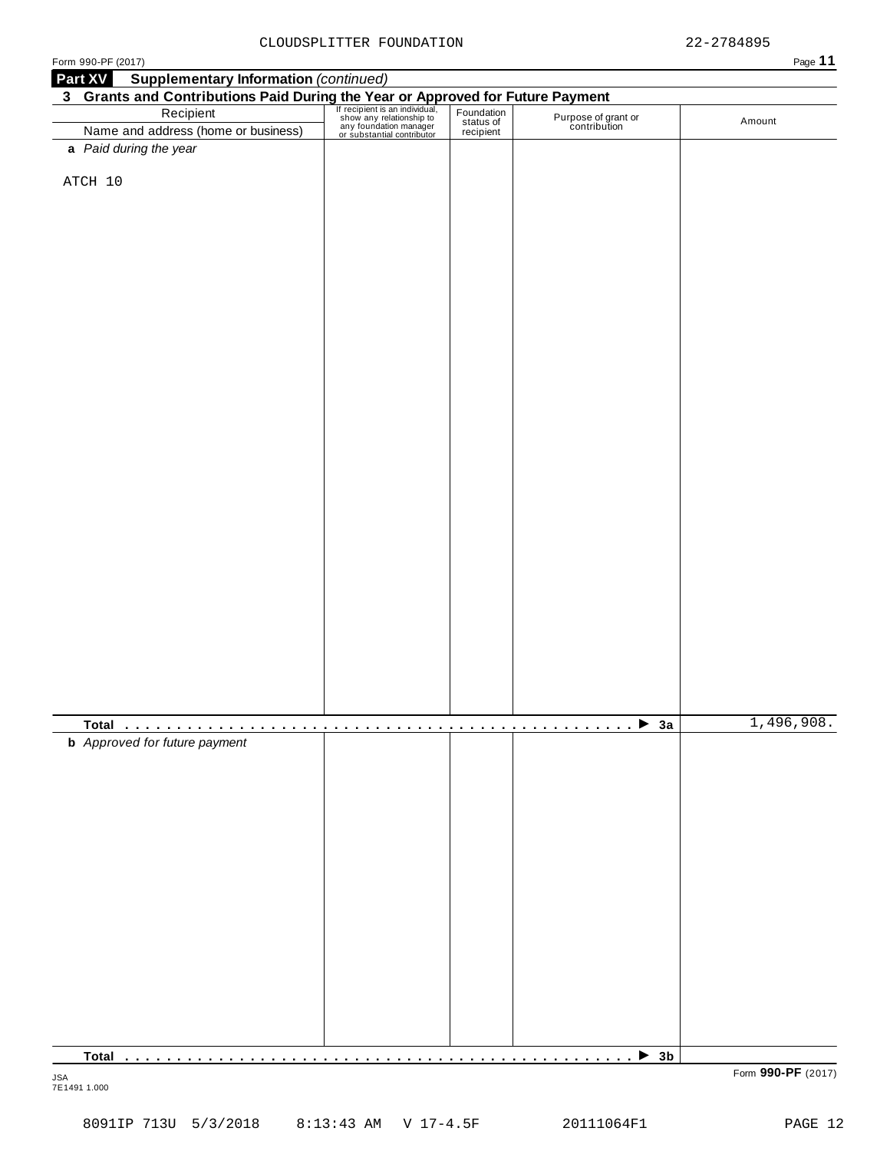|--|--|--|

| <b>Supplementary Information (continued)</b><br>Part XV                                                                                                                                                                                     |                          |   |                                     |            |
|---------------------------------------------------------------------------------------------------------------------------------------------------------------------------------------------------------------------------------------------|--------------------------|---|-------------------------------------|------------|
|                                                                                                                                                                                                                                             |                          |   |                                     |            |
| <b>3 Grants and Contributions Paid During the Year or Approved for Future Payment</b><br>Recipient Fecipient Stan individual, Foundation and address (home or business) <b>Standard Contribution</b><br>Name and address (home or business) |                          |   | Purpose of grant or<br>contribution | Amount     |
| a Paid during the year                                                                                                                                                                                                                      |                          |   |                                     |            |
|                                                                                                                                                                                                                                             |                          |   |                                     |            |
| ATCH 10                                                                                                                                                                                                                                     |                          |   |                                     |            |
|                                                                                                                                                                                                                                             |                          |   |                                     |            |
|                                                                                                                                                                                                                                             |                          |   |                                     |            |
|                                                                                                                                                                                                                                             |                          |   |                                     |            |
|                                                                                                                                                                                                                                             |                          |   |                                     |            |
|                                                                                                                                                                                                                                             |                          |   |                                     |            |
|                                                                                                                                                                                                                                             |                          |   |                                     |            |
|                                                                                                                                                                                                                                             |                          |   |                                     |            |
|                                                                                                                                                                                                                                             |                          |   |                                     |            |
|                                                                                                                                                                                                                                             |                          |   |                                     |            |
|                                                                                                                                                                                                                                             |                          |   |                                     |            |
|                                                                                                                                                                                                                                             |                          |   |                                     |            |
|                                                                                                                                                                                                                                             |                          |   |                                     |            |
|                                                                                                                                                                                                                                             |                          |   |                                     |            |
|                                                                                                                                                                                                                                             |                          |   |                                     |            |
|                                                                                                                                                                                                                                             |                          |   |                                     |            |
|                                                                                                                                                                                                                                             |                          |   |                                     |            |
|                                                                                                                                                                                                                                             |                          |   |                                     |            |
|                                                                                                                                                                                                                                             |                          |   |                                     |            |
|                                                                                                                                                                                                                                             |                          |   |                                     |            |
|                                                                                                                                                                                                                                             |                          |   |                                     |            |
|                                                                                                                                                                                                                                             |                          |   |                                     |            |
|                                                                                                                                                                                                                                             |                          |   |                                     |            |
|                                                                                                                                                                                                                                             |                          |   |                                     |            |
|                                                                                                                                                                                                                                             |                          |   |                                     |            |
|                                                                                                                                                                                                                                             |                          |   |                                     |            |
|                                                                                                                                                                                                                                             |                          |   |                                     |            |
|                                                                                                                                                                                                                                             |                          |   |                                     |            |
|                                                                                                                                                                                                                                             |                          |   |                                     |            |
|                                                                                                                                                                                                                                             |                          |   |                                     |            |
|                                                                                                                                                                                                                                             |                          |   |                                     |            |
|                                                                                                                                                                                                                                             |                          |   |                                     |            |
|                                                                                                                                                                                                                                             |                          |   |                                     |            |
|                                                                                                                                                                                                                                             | <b>Contract Contract</b> | . | $\rightarrow$ 3a<br>.               | 1,496,908. |
| <b>b</b> Approved for future payment                                                                                                                                                                                                        |                          |   |                                     |            |
|                                                                                                                                                                                                                                             |                          |   |                                     |            |
|                                                                                                                                                                                                                                             |                          |   |                                     |            |
|                                                                                                                                                                                                                                             |                          |   |                                     |            |
|                                                                                                                                                                                                                                             |                          |   |                                     |            |
|                                                                                                                                                                                                                                             |                          |   |                                     |            |
|                                                                                                                                                                                                                                             |                          |   |                                     |            |
|                                                                                                                                                                                                                                             |                          |   |                                     |            |
|                                                                                                                                                                                                                                             |                          |   |                                     |            |
|                                                                                                                                                                                                                                             |                          |   |                                     |            |
|                                                                                                                                                                                                                                             |                          |   |                                     |            |
|                                                                                                                                                                                                                                             |                          |   |                                     |            |
|                                                                                                                                                                                                                                             |                          |   |                                     |            |
|                                                                                                                                                                                                                                             |                          |   |                                     |            |
|                                                                                                                                                                                                                                             |                          |   |                                     |            |
|                                                                                                                                                                                                                                             |                          |   |                                     |            |
|                                                                                                                                                                                                                                             |                          |   |                                     |            |
|                                                                                                                                                                                                                                             |                          |   |                                     |            |
|                                                                                                                                                                                                                                             |                          |   |                                     |            |
|                                                                                                                                                                                                                                             |                          |   |                                     |            |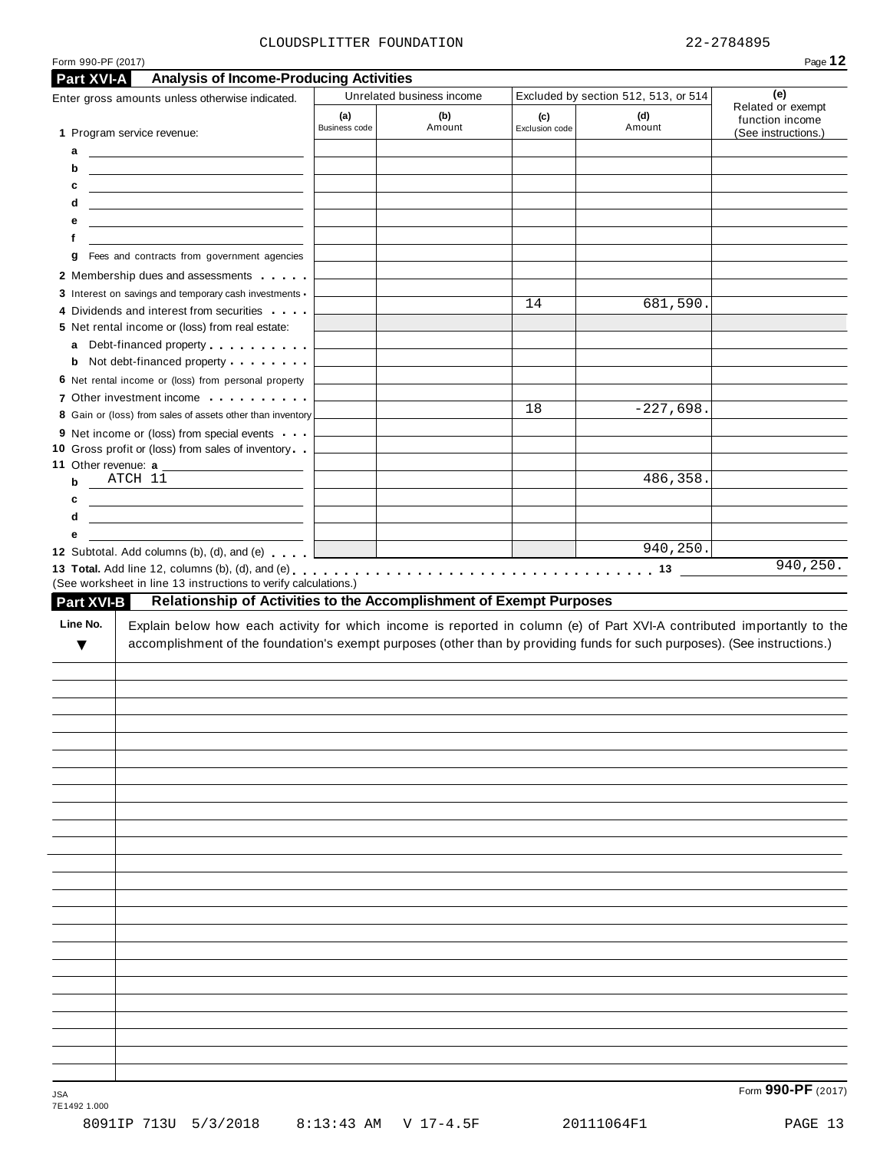#### CLOUDSPLITTER FOUNDATION 22-2784895

| Enter gross amounts unless otherwise indicated.                                                                                                                                                                                                                                                                                                                         | <b>Analysis of Income-Producing Activities</b> | Unrelated business income |                       | Excluded by section 512, 513, or 514 | (e)                                  |
|-------------------------------------------------------------------------------------------------------------------------------------------------------------------------------------------------------------------------------------------------------------------------------------------------------------------------------------------------------------------------|------------------------------------------------|---------------------------|-----------------------|--------------------------------------|--------------------------------------|
|                                                                                                                                                                                                                                                                                                                                                                         | (a)<br>Business code                           | (b)<br>Amount             | (c)<br>Exclusion code | (d)<br>Amount                        | Related or exempt<br>function income |
| 1 Program service revenue:                                                                                                                                                                                                                                                                                                                                              |                                                |                           |                       |                                      | (See instructions.)                  |
| <u> 1990 - John Harry Harry Harry Harry Harry Harry Harry Harry Harry Harry Harry Harry Harry Harry Harry Harry Harry Harry Harry Harry Harry Harry Harry Harry Harry Harry Harry Harry Harry Harry Harry Harry Harry Harry Harr</u><br>а<br>b<br><u> 1989 - Johann Harry Harry Harry Harry Harry Harry Harry Harry Harry Harry Harry Harry Harry Harry Harry Harry</u> |                                                |                           |                       |                                      |                                      |
| c<br><u> 1989 - John Harry Harry Harry Harry Harry Harry Harry Harry Harry Harry Harry Harry Harry Harry Harry Harry H</u>                                                                                                                                                                                                                                              |                                                |                           |                       |                                      |                                      |
| d<br><u> 2000 - Andrea Albert III, am bhaile an t-Iomraidh an t-Iomraidh an t-Iomraidh an t-Iomraidh an t-Iomraidh an </u>                                                                                                                                                                                                                                              |                                                |                           |                       |                                      |                                      |
| е<br><u> 1989 - Johann John Stone, markin f</u>                                                                                                                                                                                                                                                                                                                         |                                                |                           |                       |                                      |                                      |
| f<br><u> 1980 - Jan Samuel Barbara, martin a shekara 1980 - 1981 - 1982 - 1982 - 1982 - 1982 - 1982 - 1983 - 1984 - 1</u>                                                                                                                                                                                                                                               |                                                |                           |                       |                                      |                                      |
| Fees and contracts from government agencies<br>g                                                                                                                                                                                                                                                                                                                        |                                                |                           |                       |                                      |                                      |
| 2 Membership dues and assessments                                                                                                                                                                                                                                                                                                                                       |                                                |                           |                       |                                      |                                      |
| 3 Interest on savings and temporary cash investments -                                                                                                                                                                                                                                                                                                                  |                                                |                           | 14                    | 681,590.                             |                                      |
| 4 Dividends and interest from securities                                                                                                                                                                                                                                                                                                                                |                                                |                           |                       |                                      |                                      |
| 5 Net rental income or (loss) from real estate:<br>Debt-financed property entitled and the property<br>а                                                                                                                                                                                                                                                                |                                                |                           |                       |                                      |                                      |
| Not debt-financed property<br>b                                                                                                                                                                                                                                                                                                                                         |                                                |                           |                       |                                      |                                      |
| 6 Net rental income or (loss) from personal property                                                                                                                                                                                                                                                                                                                    |                                                |                           |                       |                                      |                                      |
| 7 Other investment income                                                                                                                                                                                                                                                                                                                                               |                                                |                           |                       |                                      |                                      |
| 8 Gain or (loss) from sales of assets other than inventory                                                                                                                                                                                                                                                                                                              |                                                |                           | 18                    | $-227,698.$                          |                                      |
| 9 Net income or (loss) from special events                                                                                                                                                                                                                                                                                                                              |                                                |                           |                       |                                      |                                      |
| 10 Gross profit or (loss) from sales of inventory                                                                                                                                                                                                                                                                                                                       |                                                |                           |                       |                                      |                                      |
| 11 Other revenue: a<br>$ATCH$ $11$                                                                                                                                                                                                                                                                                                                                      |                                                |                           |                       | 486,358.                             |                                      |
| b                                                                                                                                                                                                                                                                                                                                                                       |                                                |                           |                       |                                      |                                      |
| <u> 1989 - Johann Harry Harry Harry Harry Harry Harry Harry Harry Harry Harry Harry Harry Harry Harry Harry Harry</u><br>c<br>d                                                                                                                                                                                                                                         |                                                |                           |                       |                                      |                                      |
| е                                                                                                                                                                                                                                                                                                                                                                       |                                                |                           |                       |                                      |                                      |
| 12 Subtotal. Add columns (b), (d), and (e) $\left  \right $                                                                                                                                                                                                                                                                                                             |                                                |                           |                       | 940, 250.                            |                                      |
|                                                                                                                                                                                                                                                                                                                                                                         |                                                |                           |                       |                                      |                                      |
| (See worksheet in line 13 instructions to verify calculations.)<br>Relationship of Activities to the Accomplishment of Exempt Purposes<br><b>Part XVI-B</b><br>Line No.<br>Explain below how each activity for which income is reported in column (e) of Part XVI-A contributed importantly to the                                                                      |                                                |                           |                       |                                      | 940, 250.                            |
| accomplishment of the foundation's exempt purposes (other than by providing funds for such purposes). (See instructions.)<br>v                                                                                                                                                                                                                                          |                                                |                           |                       |                                      |                                      |
|                                                                                                                                                                                                                                                                                                                                                                         |                                                |                           |                       |                                      |                                      |
|                                                                                                                                                                                                                                                                                                                                                                         |                                                |                           |                       |                                      |                                      |
|                                                                                                                                                                                                                                                                                                                                                                         |                                                |                           |                       |                                      |                                      |
|                                                                                                                                                                                                                                                                                                                                                                         |                                                |                           |                       |                                      |                                      |
|                                                                                                                                                                                                                                                                                                                                                                         |                                                |                           |                       |                                      |                                      |
|                                                                                                                                                                                                                                                                                                                                                                         |                                                |                           |                       |                                      |                                      |
|                                                                                                                                                                                                                                                                                                                                                                         |                                                |                           |                       |                                      |                                      |
|                                                                                                                                                                                                                                                                                                                                                                         |                                                |                           |                       |                                      |                                      |
|                                                                                                                                                                                                                                                                                                                                                                         |                                                |                           |                       |                                      |                                      |
|                                                                                                                                                                                                                                                                                                                                                                         |                                                |                           |                       |                                      |                                      |
|                                                                                                                                                                                                                                                                                                                                                                         |                                                |                           |                       |                                      |                                      |
|                                                                                                                                                                                                                                                                                                                                                                         |                                                |                           |                       |                                      |                                      |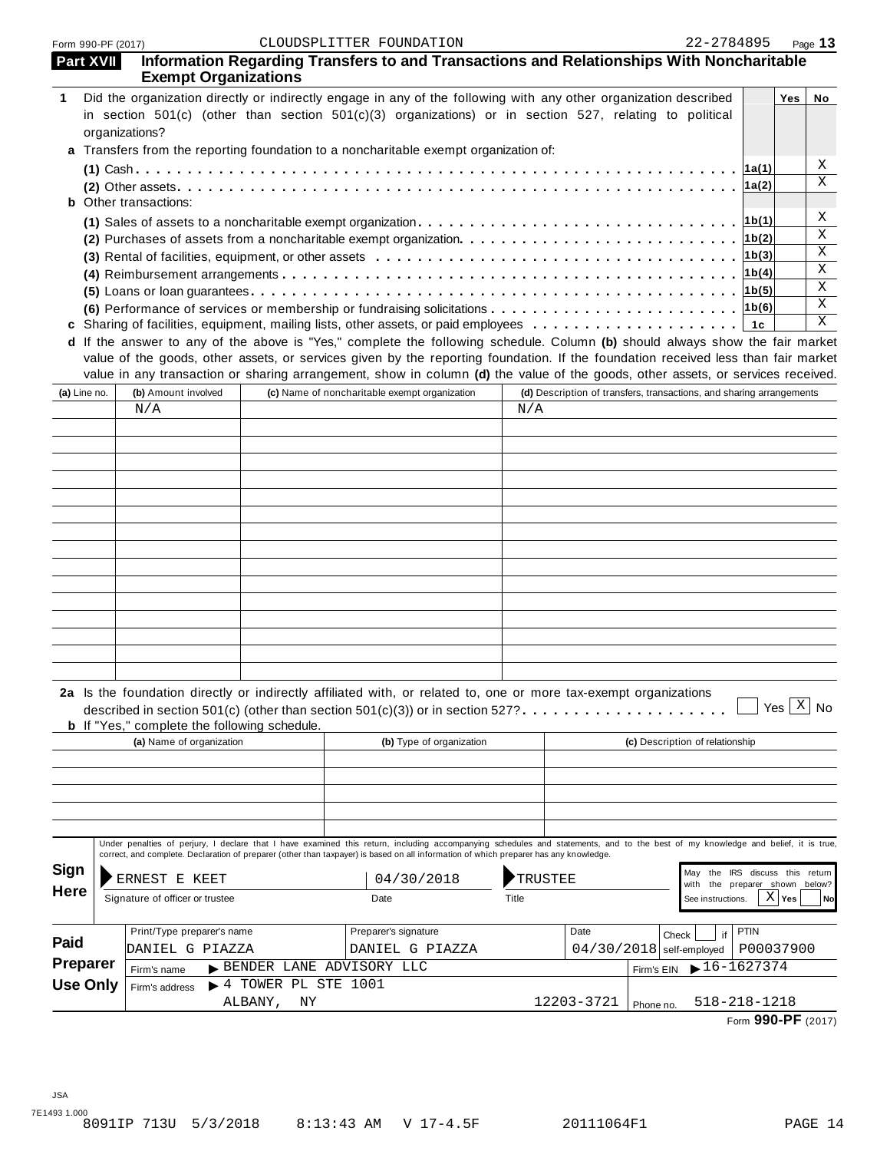| Part XVII                                                                            |  | <b>Exempt Organizations</b>                                                                                                                                                                                                                                                                                               |                                           |                                               |                          |                |            | Information Regarding Transfers to and Transactions and Relationships With Noncharitable |                  |              |    |
|--------------------------------------------------------------------------------------|--|---------------------------------------------------------------------------------------------------------------------------------------------------------------------------------------------------------------------------------------------------------------------------------------------------------------------------|-------------------------------------------|-----------------------------------------------|--------------------------|----------------|------------|------------------------------------------------------------------------------------------|------------------|--------------|----|
| 1                                                                                    |  | Did the organization directly or indirectly engage in any of the following with any other organization described<br>in section 501(c) (other than section 501(c)(3) organizations) or in section 527, relating to political<br>organizations?                                                                             |                                           |                                               |                          |                |            |                                                                                          |                  | Yes          | No |
| a Transfers from the reporting foundation to a noncharitable exempt organization of: |  |                                                                                                                                                                                                                                                                                                                           |                                           |                                               |                          |                |            |                                                                                          |                  | Χ            |    |
|                                                                                      |  |                                                                                                                                                                                                                                                                                                                           |                                           |                                               |                          |                |            |                                                                                          | ∣1a(1)<br> 1a(2) |              | X  |
|                                                                                      |  | <b>b</b> Other transactions:                                                                                                                                                                                                                                                                                              |                                           |                                               |                          |                |            |                                                                                          |                  |              | Χ  |
|                                                                                      |  |                                                                                                                                                                                                                                                                                                                           |                                           |                                               |                          |                |            |                                                                                          | 1b(1)            |              | X  |
|                                                                                      |  |                                                                                                                                                                                                                                                                                                                           |                                           |                                               |                          |                |            |                                                                                          | 1b(2)            |              | X  |
|                                                                                      |  |                                                                                                                                                                                                                                                                                                                           |                                           |                                               |                          |                |            |                                                                                          | 1b(3)            |              | X  |
|                                                                                      |  |                                                                                                                                                                                                                                                                                                                           |                                           |                                               |                          |                |            |                                                                                          |                  |              | X  |
|                                                                                      |  |                                                                                                                                                                                                                                                                                                                           |                                           |                                               |                          |                |            |                                                                                          |                  |              | X  |
|                                                                                      |  |                                                                                                                                                                                                                                                                                                                           |                                           |                                               |                          |                |            |                                                                                          |                  |              | X  |
|                                                                                      |  | d If the answer to any of the above is "Yes," complete the following schedule. Column (b) should always show the fair market                                                                                                                                                                                              |                                           |                                               |                          |                |            |                                                                                          |                  |              |    |
|                                                                                      |  | value of the goods, other assets, or services given by the reporting foundation. If the foundation received less than fair market                                                                                                                                                                                         |                                           |                                               |                          |                |            |                                                                                          |                  |              |    |
|                                                                                      |  | value in any transaction or sharing arrangement, show in column (d) the value of the goods, other assets, or services received.                                                                                                                                                                                           |                                           |                                               |                          |                |            |                                                                                          |                  |              |    |
| (a) Line no.                                                                         |  | (b) Amount involved                                                                                                                                                                                                                                                                                                       |                                           | (c) Name of noncharitable exempt organization |                          |                |            | (d) Description of transfers, transactions, and sharing arrangements                     |                  |              |    |
|                                                                                      |  | N/A                                                                                                                                                                                                                                                                                                                       |                                           |                                               |                          | N/A            |            |                                                                                          |                  |              |    |
|                                                                                      |  |                                                                                                                                                                                                                                                                                                                           |                                           |                                               |                          |                |            |                                                                                          |                  |              |    |
|                                                                                      |  |                                                                                                                                                                                                                                                                                                                           |                                           |                                               |                          |                |            |                                                                                          |                  |              |    |
|                                                                                      |  |                                                                                                                                                                                                                                                                                                                           |                                           |                                               |                          |                |            |                                                                                          |                  |              |    |
|                                                                                      |  |                                                                                                                                                                                                                                                                                                                           |                                           |                                               |                          |                |            |                                                                                          |                  |              |    |
|                                                                                      |  |                                                                                                                                                                                                                                                                                                                           |                                           |                                               |                          |                |            |                                                                                          |                  |              |    |
|                                                                                      |  |                                                                                                                                                                                                                                                                                                                           |                                           |                                               |                          |                |            |                                                                                          |                  |              |    |
|                                                                                      |  |                                                                                                                                                                                                                                                                                                                           |                                           |                                               |                          |                |            |                                                                                          |                  |              |    |
|                                                                                      |  |                                                                                                                                                                                                                                                                                                                           |                                           |                                               |                          |                |            |                                                                                          |                  |              |    |
|                                                                                      |  |                                                                                                                                                                                                                                                                                                                           |                                           |                                               |                          |                |            |                                                                                          |                  |              |    |
|                                                                                      |  |                                                                                                                                                                                                                                                                                                                           |                                           |                                               |                          |                |            |                                                                                          |                  |              |    |
|                                                                                      |  |                                                                                                                                                                                                                                                                                                                           |                                           |                                               |                          |                |            |                                                                                          |                  |              |    |
|                                                                                      |  |                                                                                                                                                                                                                                                                                                                           |                                           |                                               |                          |                |            |                                                                                          |                  |              |    |
|                                                                                      |  |                                                                                                                                                                                                                                                                                                                           |                                           |                                               |                          |                |            |                                                                                          |                  |              |    |
|                                                                                      |  | 2a Is the foundation directly or indirectly affiliated with, or related to, one or more tax-exempt organizations<br>described in section 501(c) (other than section 501(c)(3)) or in section 527?                                                                                                                         |                                           |                                               |                          |                |            |                                                                                          |                  | Yes $X$ No   |    |
|                                                                                      |  | <b>b</b> If "Yes," complete the following schedule.                                                                                                                                                                                                                                                                       |                                           |                                               |                          |                |            |                                                                                          |                  |              |    |
|                                                                                      |  | (a) Name of organization                                                                                                                                                                                                                                                                                                  |                                           |                                               | (b) Type of organization |                |            | (c) Description of relationship                                                          |                  |              |    |
|                                                                                      |  |                                                                                                                                                                                                                                                                                                                           |                                           |                                               |                          |                |            |                                                                                          |                  |              |    |
|                                                                                      |  |                                                                                                                                                                                                                                                                                                                           |                                           |                                               |                          |                |            |                                                                                          |                  |              |    |
|                                                                                      |  |                                                                                                                                                                                                                                                                                                                           |                                           |                                               |                          |                |            |                                                                                          |                  |              |    |
|                                                                                      |  |                                                                                                                                                                                                                                                                                                                           |                                           |                                               |                          |                |            |                                                                                          |                  |              |    |
|                                                                                      |  | Under penalties of perjury, I declare that I have examined this return, including accompanying schedules and statements, and to the best of my knowledge and belief, it is true,<br>correct, and complete. Declaration of preparer (other than taxpayer) is based on all information of which preparer has any knowledge. |                                           |                                               |                          |                |            |                                                                                          |                  |              |    |
| Sign                                                                                 |  |                                                                                                                                                                                                                                                                                                                           |                                           |                                               |                          |                |            | May the IRS discuss this return                                                          |                  |              |    |
| <b>Here</b>                                                                          |  | ERNEST E KEET                                                                                                                                                                                                                                                                                                             |                                           | 04/30/2018                                    |                          | <b>TRUSTEE</b> |            | the preparer shown below?<br>with                                                        |                  |              |    |
|                                                                                      |  | Signature of officer or trustee                                                                                                                                                                                                                                                                                           |                                           | Date                                          |                          | Title          |            | See instructions.                                                                        |                  | $X \mid$ Yes | No |
|                                                                                      |  | Print/Type preparer's name                                                                                                                                                                                                                                                                                                |                                           | Preparer's signature                          |                          |                | Date       |                                                                                          | <b>PTIN</b>      |              |    |
| Paid                                                                                 |  | DANIEL G PIAZZA                                                                                                                                                                                                                                                                                                           |                                           | DANIEL G PIAZZA                               |                          |                |            | Check<br>if<br>$04/30/2018$ self-employed                                                | P00037900        |              |    |
| Preparer                                                                             |  | Firm's name                                                                                                                                                                                                                                                                                                               |                                           | BENDER LANE ADVISORY LLC                      |                          |                |            | $\blacktriangleright$ 16-1627374<br>Firm's EIN                                           |                  |              |    |
| <b>Use Only</b>                                                                      |  | Firm's address                                                                                                                                                                                                                                                                                                            | $\blacktriangleright$ 4 TOWER PL STE 1001 |                                               |                          |                |            |                                                                                          |                  |              |    |
|                                                                                      |  |                                                                                                                                                                                                                                                                                                                           | ALBANY, NY                                |                                               |                          |                | 12203-3721 | $518 - 218 - 1218$<br>Phone no.                                                          |                  |              |    |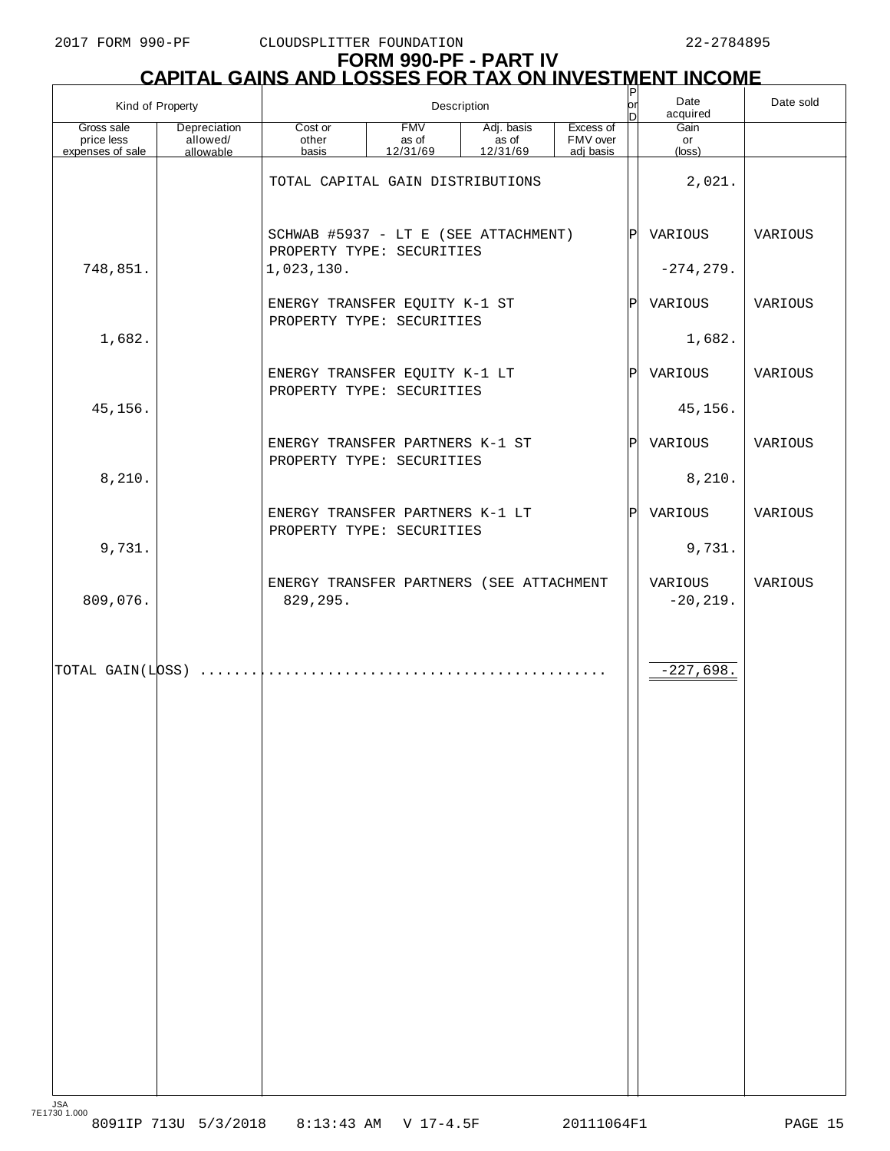# **FORM 990-PF - PART IV CAPITAL GAINS AND LOSSES FOR TAX ON INVESTMENT INCOME** P

| Kind of Property                              |                          | $\sf P$<br>br<br>Description<br>n                                                       |          |          |           |     | Date<br>acquired       | Date sold |
|-----------------------------------------------|--------------------------|-----------------------------------------------------------------------------------------|----------|----------|-----------|-----|------------------------|-----------|
| Gross sale<br>price less                      | Depreciation<br>allowed/ | <b>FMV</b><br>Adj. basis<br>Excess of<br>Cost or<br>as of<br>FMV over<br>other<br>as of |          |          |           |     | Gain<br>or             |           |
| expenses of sale                              | allowable                | basis                                                                                   | 12/31/69 | 12/31/69 | adj basis |     | (loss)                 |           |
|                                               |                          | TOTAL CAPITAL GAIN DISTRIBUTIONS                                                        |          |          |           |     | 2,021.                 |           |
|                                               |                          | SCHWAB #5937 - LT E (SEE ATTACHMENT)<br>PROPERTY TYPE: SECURITIES                       |          |          |           | ΙPΙ | VARIOUS                | VARIOUS   |
| 748,851.                                      |                          | 1,023,130.                                                                              |          |          |           |     | $-274, 279.$           |           |
|                                               |                          | ENERGY TRANSFER EQUITY K-1 ST<br>PROPERTY TYPE: SECURITIES                              |          |          |           | ΙÞΙ | VARIOUS                | VARIOUS   |
| 1,682.                                        |                          |                                                                                         |          |          |           |     | 1,682.                 |           |
|                                               |                          | ENERGY TRANSFER EQUITY K-1 LT<br>PROPERTY TYPE: SECURITIES                              |          |          |           |     | P VARIOUS              | VARIOUS   |
| 45,156.                                       |                          |                                                                                         |          |          |           |     | 45,156.                |           |
|                                               |                          | ENERGY TRANSFER PARTNERS K-1 ST<br>PROPERTY TYPE: SECURITIES                            |          |          |           |     | P VARIOUS              | VARIOUS   |
| 8,210.                                        |                          |                                                                                         |          |          |           |     | 8,210.                 |           |
|                                               |                          | ENERGY TRANSFER PARTNERS K-1 LT<br>PROPERTY TYPE: SECURITIES                            |          |          |           |     | P VARIOUS              | VARIOUS   |
| 9,731.                                        |                          |                                                                                         |          |          |           |     | 9,731.                 |           |
| 809,076.                                      |                          | ENERGY TRANSFER PARTNERS (SEE ATTACHMENT<br>829,295.                                    |          |          |           |     | VARIOUS<br>$-20, 219.$ | VARIOUS   |
| $\boxed{\text{TOTAL GAIN(LDSS)} \dots \dots}$ |                          | .                                                                                       | .        |          |           |     | $-227,698.$            |           |
|                                               |                          |                                                                                         |          |          |           |     |                        |           |
|                                               |                          |                                                                                         |          |          |           |     |                        |           |
|                                               |                          |                                                                                         |          |          |           |     |                        |           |
|                                               |                          |                                                                                         |          |          |           |     |                        |           |
|                                               |                          |                                                                                         |          |          |           |     |                        |           |
|                                               |                          |                                                                                         |          |          |           |     |                        |           |
|                                               |                          |                                                                                         |          |          |           |     |                        |           |
|                                               |                          |                                                                                         |          |          |           |     |                        |           |
|                                               |                          |                                                                                         |          |          |           |     |                        |           |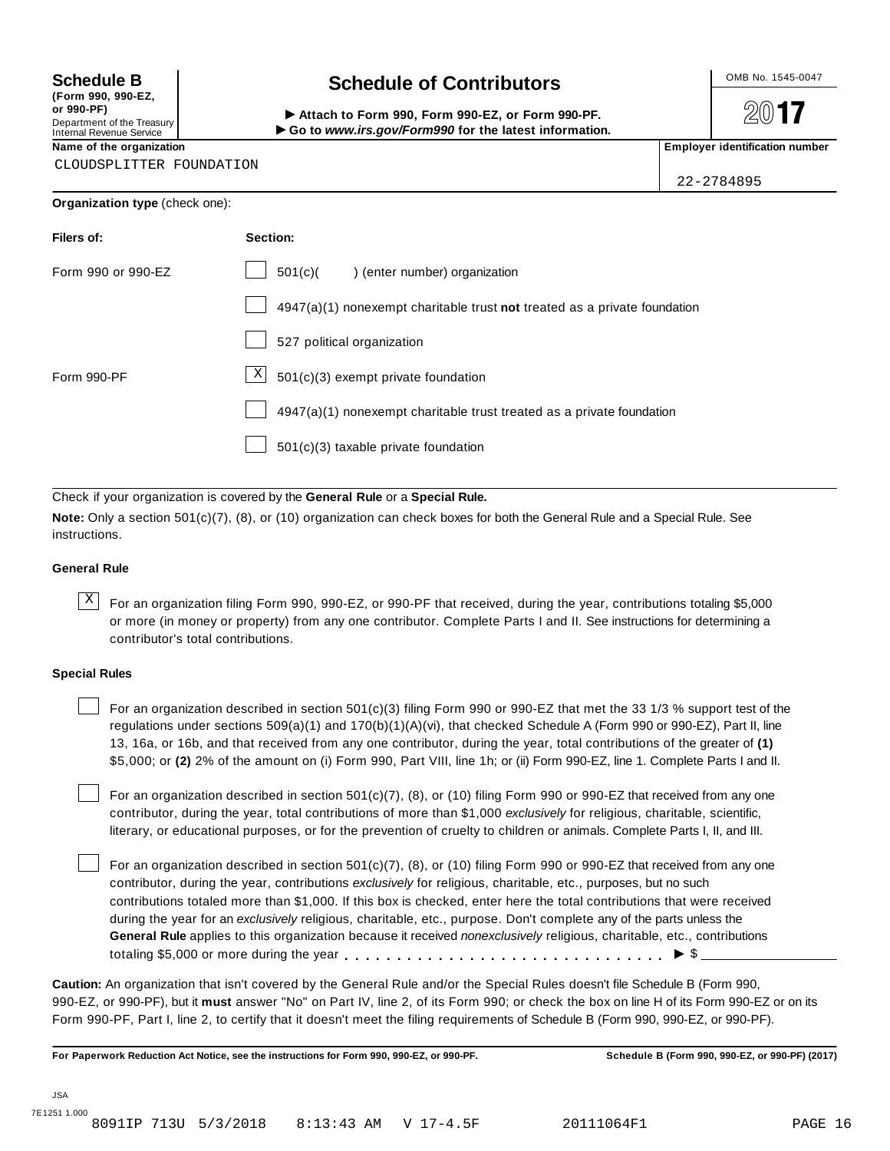**(Form 990, 990-EZ, or 990-PF)** Department of the Treasury<br>Internal Revenue Service

# **Schedule B**  $\leftarrow$  **Contributors**

(Porm 990, Form 990, Form 990-EZ, or Form 990-PF.<br>Department of the Treasury → Attach to Form 990, Form 990-EZ, or Form 990-PF.<br>Internal Revenue Service → → Go to www.irs.gov/Form990 for the latest information.<br>Name of th

 $20$ **17** 

CLOUDSPLITTER FOUNDATION

22-2784895

| Organization type (check one): |                                                                           |
|--------------------------------|---------------------------------------------------------------------------|
| Filers of:                     | Section:                                                                  |
| Form 990 or 990-EZ             | 501(c)<br>) (enter number) organization                                   |
|                                | 4947(a)(1) nonexempt charitable trust not treated as a private foundation |
|                                | 527 political organization                                                |
| Form 990-PF                    | $\mathbf{X}$<br>501(c)(3) exempt private foundation                       |
|                                | 4947(a)(1) nonexempt charitable trust treated as a private foundation     |
|                                | $501(c)(3)$ taxable private foundation                                    |

Check if your organization is covered by the **General Rule** or a **Special Rule.**

**Note:** Only a section 501(c)(7), (8), or (10) organization can check boxes for both the General Rule and a Special Rule. See instructions.

#### **General Rule**

 $\overline{X}$  For an organization filing Form 990, 990-EZ, or 990-PF that received, during the year, contributions totaling \$5,000 or more (in money or property) from any one contributor. Complete Parts I and II. See instructions for determining a contributor's total contributions.

#### **Special Rules**

For an organization described in section 501(c)(3) filing Form 990 or 990-EZ that met the 33 1/3 % support test of the regulations under sections 509(a)(1) and 170(b)(1)(A)(vi), that checked Schedule A (Form 990 or 990-EZ), Part II, line 13, 16a, or 16b, and that received from any one contributor, during the year, total contributions of the greater of **(1)** \$5,000; or **(2)** 2% of the amount on (i) Form 990, Part VIII, line 1h; or (ii) Form 990-EZ, line 1. Complete Parts I and II.

For an organization described in section 501(c)(7), (8), or (10) filing Form 990 or 990-EZ that received from any one contributor, during the year, total contributions of more than \$1,000 *exclusively* for religious, charitable, scientific, literary, or educational purposes, or for the prevention of cruelty to children or animals. Complete Parts I, II, and III.

For an organization described in section 501(c)(7), (8), or (10) filing Form 990 or 990-EZ that received from any one contributor, during the year, contributions *exclusively* for religious, charitable, etc., purposes, but no such contributions totaled more than \$1,000. If this box is checked, enter here the total contributions that were received during the year for an *exclusively* religious, charitable, etc., purpose. Don't complete any of the parts unless the **General Rule** applies to this organization because it received *nonexclusively* religious, charitable, etc., contributions totaling \$5,000 or more during the year m m m m m m m m m m m m m m m m m m m m m m m m m m m m m m m I \$

**Caution:** An organization that isn't covered by the General Rule and/or the Special Rules doesn't file Schedule B (Form 990, 990-EZ, or 990-PF), but it **must** answer "No" on Part IV, line 2, of its Form 990; or check the box on line H of its Form 990-EZ or on its Form 990-PF, Part I, line 2, to certify that it doesn't meet the filing requirements of Schedule B (Form 990, 990-EZ, or 990-PF).

For Paperwork Reduction Act Notice, see the instructions for Form 990, 990-EZ, or 990-PF. Schedule B (Form 990, 990-EZ, or 990-PF) (2017)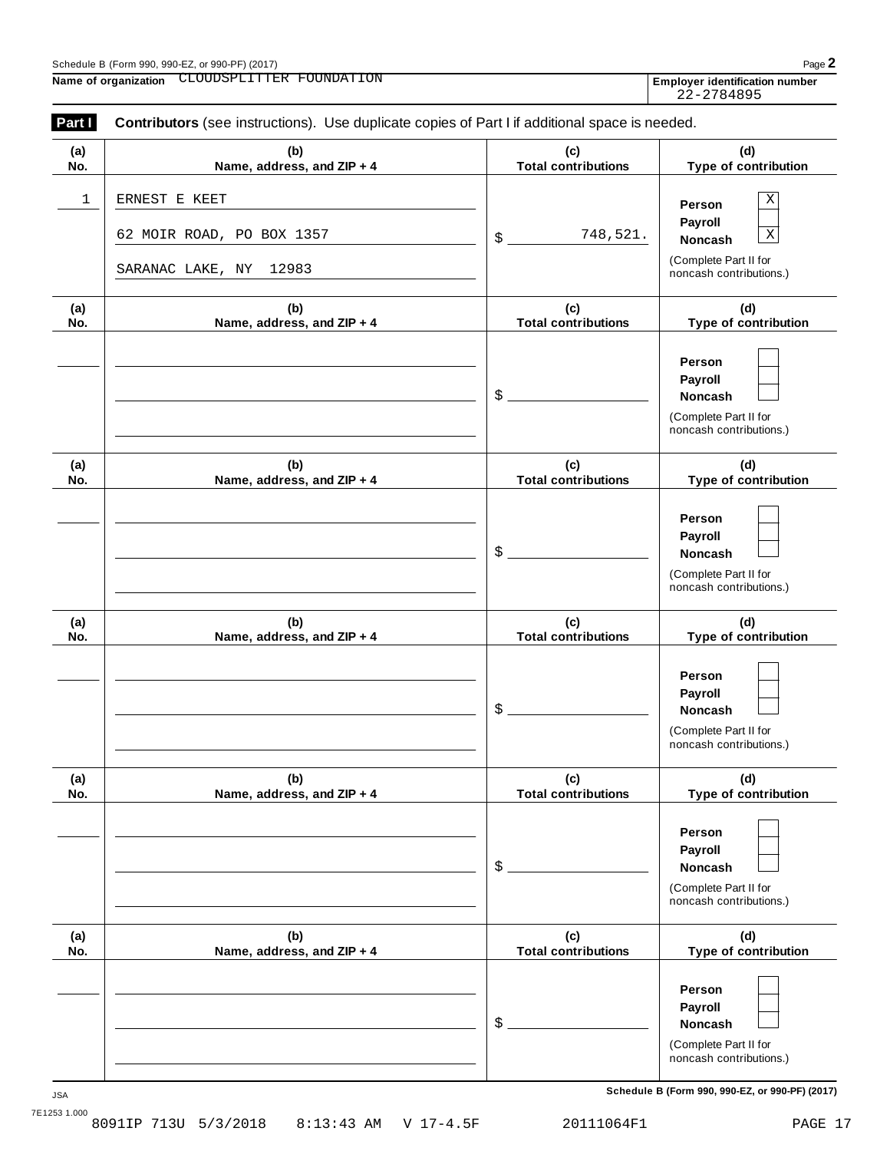| L064F1 |  |  |
|--------|--|--|

| (a) | (b)                                                                     | (c)                        | (d)                                                                                                            |
|-----|-------------------------------------------------------------------------|----------------------------|----------------------------------------------------------------------------------------------------------------|
| No. | Name, address, and ZIP + 4                                              | <b>Total contributions</b> | Type of contribution                                                                                           |
| 1   | ERNEST E KEET<br>62 MOIR ROAD, PO BOX 1357<br>SARANAC LAKE, NY<br>12983 | 748,521.<br>\$             | Χ<br>Person<br>Payroll<br>$\overline{\text{X}}$<br>Noncash<br>(Complete Part II for<br>noncash contributions.) |
| (a) | (b)                                                                     | (c)                        | (d)                                                                                                            |
| No. | Name, address, and ZIP + 4                                              | <b>Total contributions</b> | Type of contribution                                                                                           |
|     |                                                                         | \$                         | Person<br>Payroll<br>Noncash<br>(Complete Part II for<br>noncash contributions.)                               |
| (a) | (b)                                                                     | (c)                        | (d)                                                                                                            |
| No. | Name, address, and ZIP + 4                                              | <b>Total contributions</b> | Type of contribution                                                                                           |
|     |                                                                         | \$                         | Person<br>Payroll<br>Noncash<br>(Complete Part II for<br>noncash contributions.)                               |
| (a) | (b)                                                                     | (c)                        | (d)                                                                                                            |
| No. | Name, address, and ZIP + 4                                              | <b>Total contributions</b> | Type of contribution                                                                                           |
|     |                                                                         | \$                         | Person<br>Payroll<br>Noncash<br>(Complete Part II for<br>noncash contributions.)                               |
| (a) | (b)                                                                     | (c)                        | (d)                                                                                                            |
| No. | Name, address, and ZIP + 4                                              | <b>Total contributions</b> | Type of contribution                                                                                           |
|     |                                                                         | \$                         | Person<br>Payroll<br><b>Noncash</b><br>(Complete Part II for<br>noncash contributions.)                        |
| (a) | (b)                                                                     | (c)                        | (d)                                                                                                            |
| No. | Name, address, and ZIP + 4                                              | <b>Total contributions</b> | Type of contribution                                                                                           |
|     |                                                                         | \$                         | Person<br>Payroll<br>Noncash<br>(Complete Part II for<br>noncash contributions.)                               |

**Part <b>I** Contributors (see instructions). Use duplicate copies of Part I if additional space is needed.

| mployer identification num |  |
|----------------------------|--|
| 22-2784895                 |  |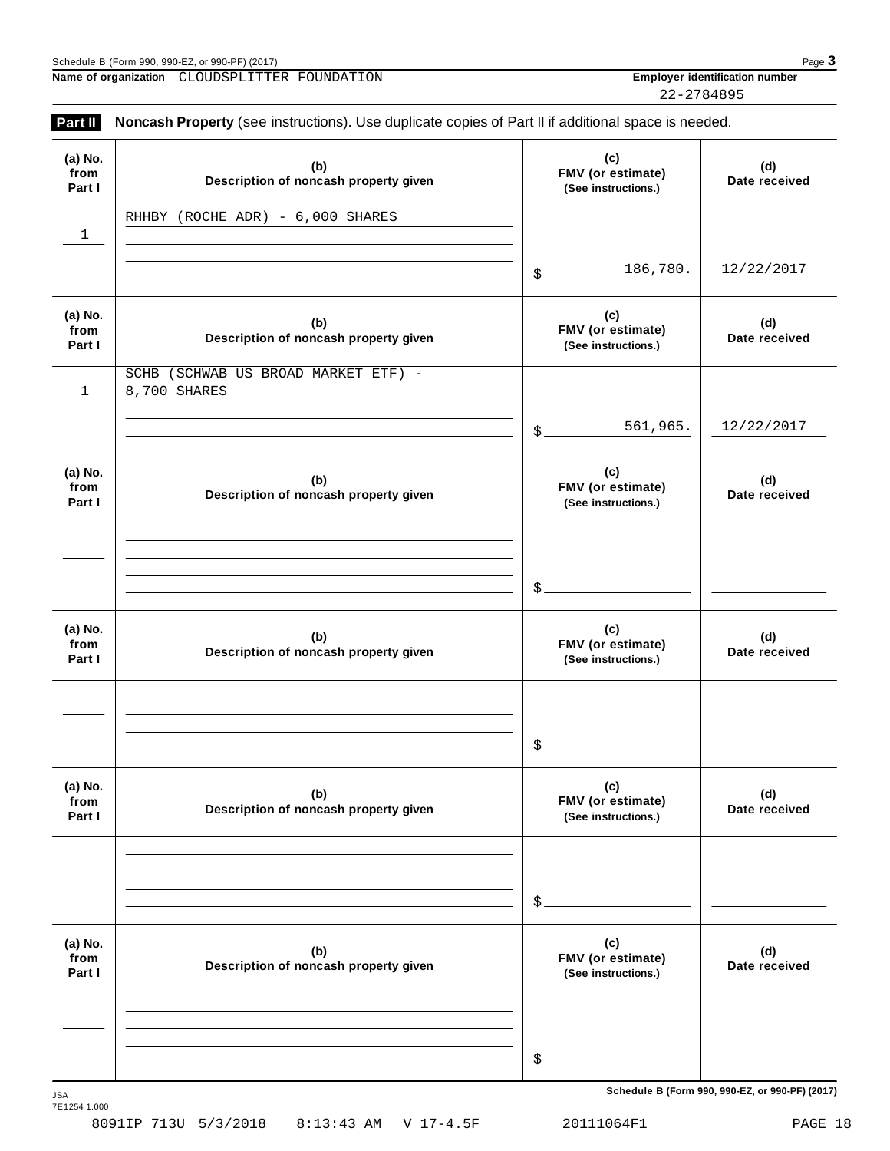| Schedule<br>PF) (2017)<br>าr 990-เ<br>990-EZ<br>(Form 990.<br>. и<br>. |  |  |  | $P_{\mathcal{A}}$ |
|------------------------------------------------------------------------|--|--|--|-------------------|
|                                                                        |  |  |  |                   |

**Name of organization Employer identification number** CLOUDSPLITTER FOUNDATION

22-2784895

| (a) No.<br>from<br>Part I | (b)<br>Description of noncash property given           | (c)<br>FMV (or estimate)<br>(See instructions.) | (d)<br>Date received |
|---------------------------|--------------------------------------------------------|-------------------------------------------------|----------------------|
| 1                         | RHHBY (ROCHE ADR) - 6,000 SHARES                       |                                                 |                      |
|                           |                                                        | 186,780.<br>$\mathcal{S}_{-}$                   | 12/22/2017           |
| (a) No.<br>from<br>Part I | (b)<br>Description of noncash property given           | (c)<br>FMV (or estimate)<br>(See instructions.) | (d)<br>Date received |
| 1                         | (SCHWAB US BROAD MARKET ETF) -<br>SCHB<br>8,700 SHARES |                                                 |                      |
|                           |                                                        | 561,965.<br>$\mathcal{S}_{-}$                   | 12/22/2017           |
| (a) No.<br>from<br>Part I | (b)<br>Description of noncash property given           | (c)<br>FMV (or estimate)<br>(See instructions.) | (d)<br>Date received |
|                           |                                                        |                                                 |                      |
|                           |                                                        | $$$ .                                           |                      |
| (a) No.<br>from<br>Part I | (b)<br>Description of noncash property given           | (c)<br>FMV (or estimate)<br>(See instructions.) | (d)<br>Date received |
|                           |                                                        |                                                 |                      |
|                           |                                                        | \$                                              |                      |
| (a) No.<br>from<br>Part I | (b)<br>Description of noncash property given           | (c)<br>FMV (or estimate)<br>(See instructions.) | (d)<br>Date received |
|                           |                                                        |                                                 |                      |
|                           |                                                        | \$                                              |                      |
| (a) No.<br>from<br>Part I | (b)<br>Description of noncash property given           | (c)<br>FMV (or estimate)<br>(See instructions.) | (d)<br>Date received |
|                           |                                                        |                                                 |                      |
|                           |                                                        | \$                                              |                      |

 $S$ chedule B (Form 990, 990-EZ, or 990-PF) (2017)

7E1254 1.000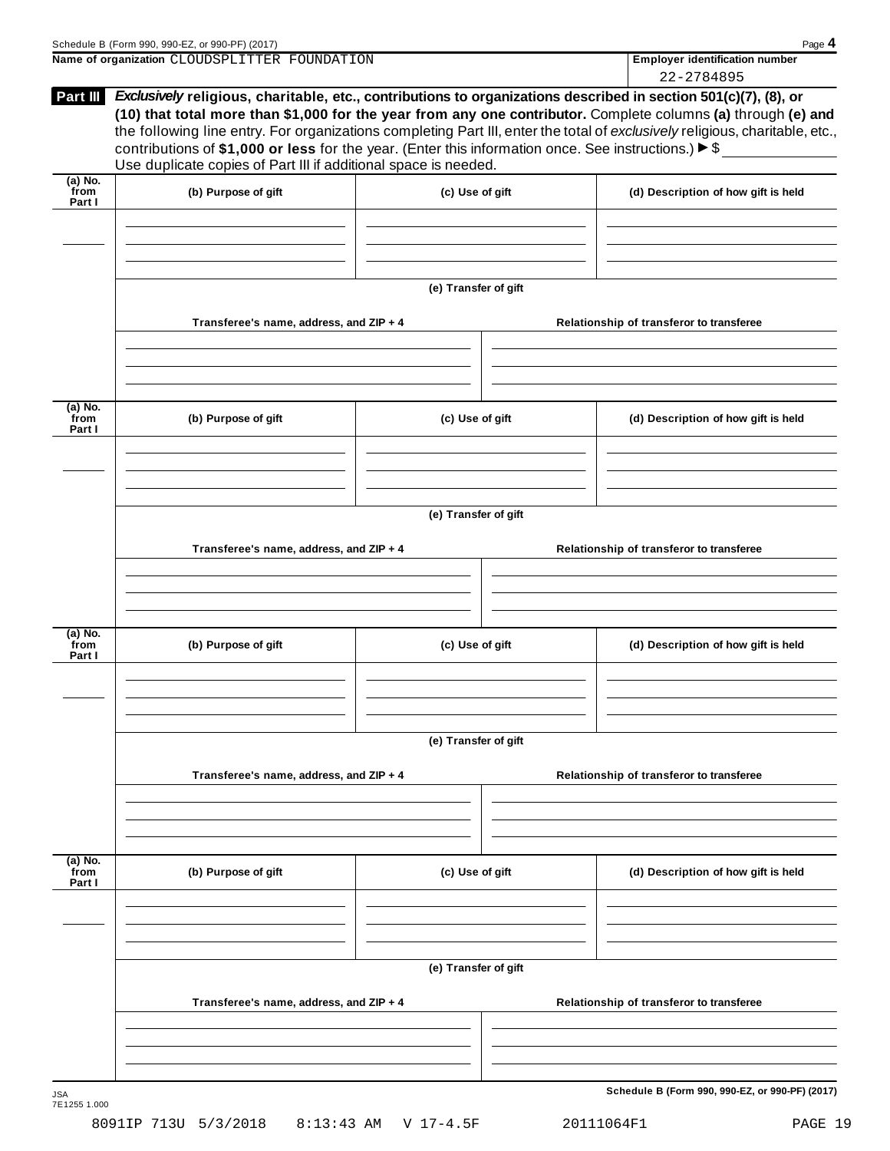| Schedule B (Form 990, 990-EZ, or 990-PF) (2017)                                                                                                                                                                                                                                                                                                                                                                                                                                                                   | Page 4                                |
|-------------------------------------------------------------------------------------------------------------------------------------------------------------------------------------------------------------------------------------------------------------------------------------------------------------------------------------------------------------------------------------------------------------------------------------------------------------------------------------------------------------------|---------------------------------------|
| Name of organization CLOUDSPLITTER FOUNDATION                                                                                                                                                                                                                                                                                                                                                                                                                                                                     | <b>Employer identification number</b> |
|                                                                                                                                                                                                                                                                                                                                                                                                                                                                                                                   | 22-2784895                            |
| <b>Part III</b><br><i>Exclusively</i> religious, charitable, etc., contributions to organizations described in section 501(c)(7), (8), or<br>(10) that total more than \$1,000 for the year from any one contributor. Complete columns (a) through (e) and<br>the following line entry. For organizations completing Part III, enter the total of exclusively religious, charitable, etc.,<br>contributions of \$1,000 or less for the year. (Enter this information once. See instructions.) $\triangleright$ \$ |                                       |

| Use duplicate copies of Part III if additional space is needed. |  |
|-----------------------------------------------------------------|--|
|                                                                 |  |
|                                                                 |  |
|                                                                 |  |

| (a) No.<br>from<br>Part I   | (b) Purpose of gift                     | (c) Use of gift      | (d) Description of how gift is held      |
|-----------------------------|-----------------------------------------|----------------------|------------------------------------------|
|                             |                                         |                      |                                          |
|                             |                                         | (e) Transfer of gift |                                          |
|                             | Transferee's name, address, and ZIP + 4 |                      | Relationship of transferor to transferee |
|                             |                                         |                      |                                          |
|                             |                                         |                      |                                          |
| $(a)$ No.<br>from<br>Part I | (b) Purpose of gift                     | (c) Use of gift      | (d) Description of how gift is held      |
|                             |                                         |                      |                                          |
|                             |                                         | (e) Transfer of gift |                                          |
|                             | Transferee's name, address, and ZIP + 4 |                      | Relationship of transferor to transferee |
|                             |                                         |                      |                                          |
|                             |                                         |                      |                                          |
| $(a)$ No.<br>from<br>Part I | (b) Purpose of gift                     | (c) Use of gift      | (d) Description of how gift is held      |
|                             |                                         |                      |                                          |
|                             |                                         |                      |                                          |
|                             |                                         | (e) Transfer of gift |                                          |
|                             | Transferee's name, address, and ZIP + 4 |                      | Relationship of transferor to transferee |
|                             |                                         |                      |                                          |
| (a) No.<br>from<br>Part I   | (b) Purpose of gift                     | (c) Use of gift      | (d) Description of how gift is held      |
|                             |                                         |                      |                                          |
|                             |                                         |                      |                                          |
|                             |                                         | (e) Transfer of gift |                                          |
|                             | Transferee's name, address, and ZIP + 4 |                      | Relationship of transferor to transferee |
|                             |                                         |                      |                                          |
|                             |                                         |                      |                                          |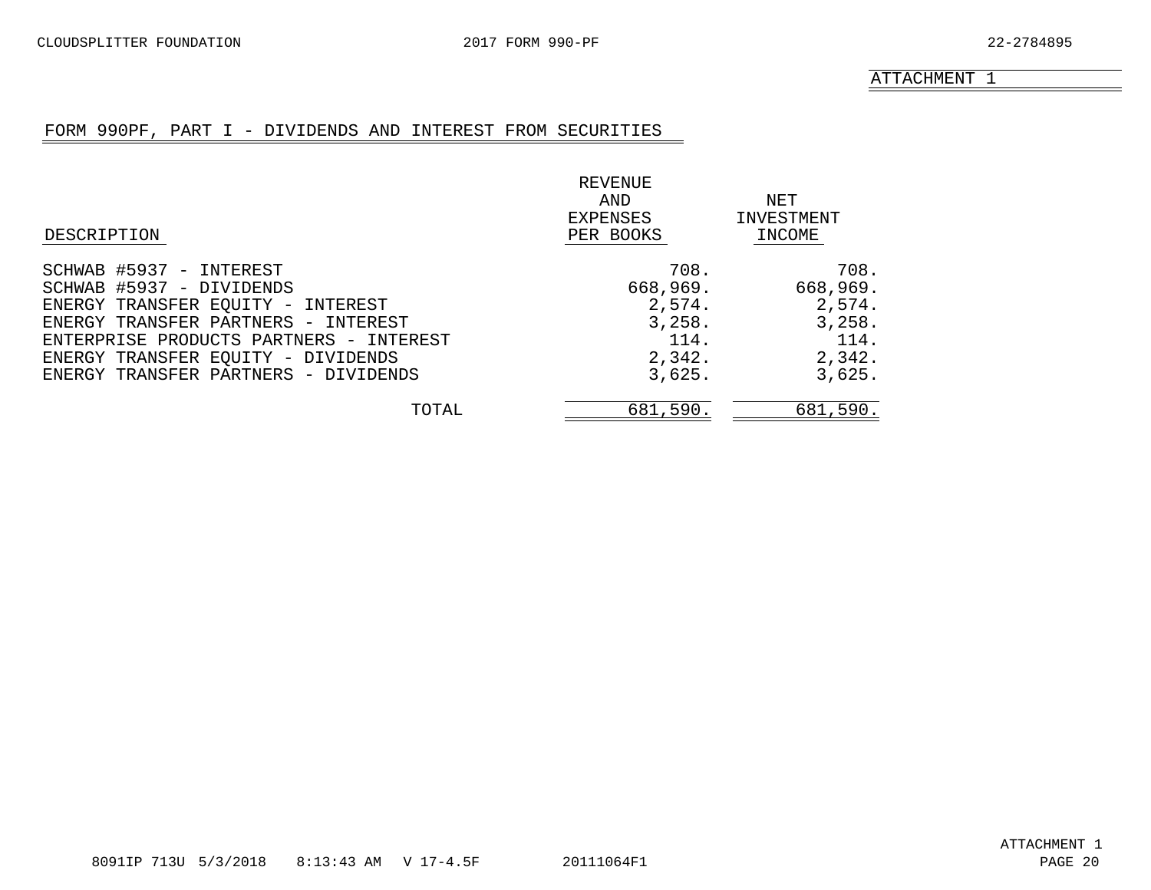# FORM 990PF, PART I - DIVIDENDS AND INTEREST FROM SECURITIES

<span id="page-18-0"></span>

|                                         | REVENUE   |            |
|-----------------------------------------|-----------|------------|
|                                         | AND       | NET        |
|                                         | EXPENSES  | INVESTMENT |
| DESCRIPTION                             | PER BOOKS | INCOME     |
| SCHWAB #5937 - INTEREST                 | 708.      | 708.       |
| SCHWAB #5937 - DIVIDENDS                | 668,969.  | 668,969.   |
| ENERGY TRANSFER EQUITY - INTEREST       | 2,574.    | 2,574.     |
| ENERGY TRANSFER PARTNERS - INTEREST     | 3,258.    | 3,258.     |
| ENTERPRISE PRODUCTS PARTNERS - INTEREST | 114.      | 114.       |
| ENERGY TRANSFER EQUITY - DIVIDENDS      | 2,342.    | 2,342.     |
| ENERGY TRANSFER PARTNERS - DIVIDENDS    | 3,625.    | 3,625.     |
| TOTAL                                   | 681,590.  | 681,590.   |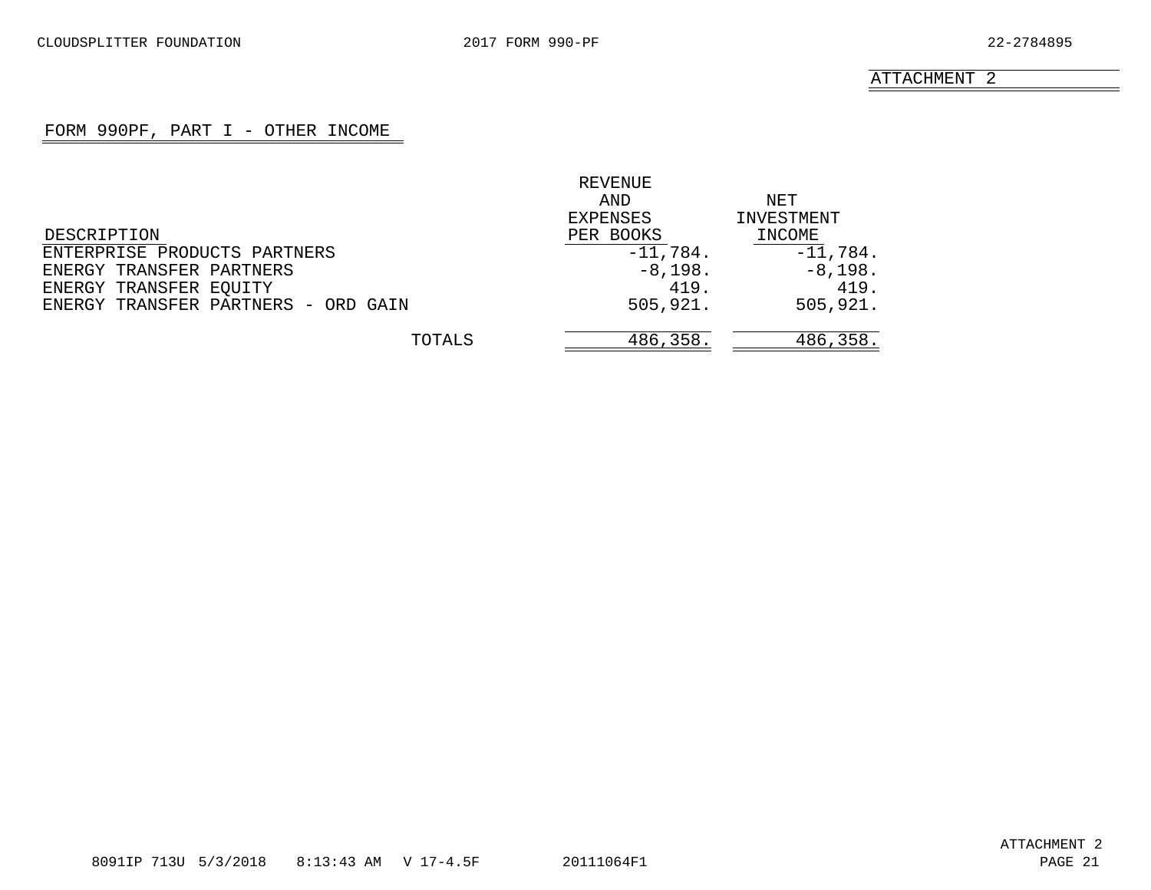# FORM 990PF, PART I - OTHER INCOME

<span id="page-19-0"></span>

|                                     | REVENUE    |            |
|-------------------------------------|------------|------------|
|                                     | AND        | NET        |
|                                     | EXPENSES   | INVESTMENT |
| DESCRIPTION                         | PER BOOKS  | INCOME     |
| ENTERPRISE PRODUCTS PARTNERS        | $-11,784.$ | $-11,784.$ |
| ENERGY TRANSFER PARTNERS            | $-8,198.$  | $-8,198.$  |
| ENERGY TRANSFER EQUITY              | 419.       | 419.       |
| ENERGY TRANSFER PARTNERS - ORD GAIN | 505,921.   | 505,921.   |
| TOTALS                              | 486,358.   | 486,358.   |
|                                     |            |            |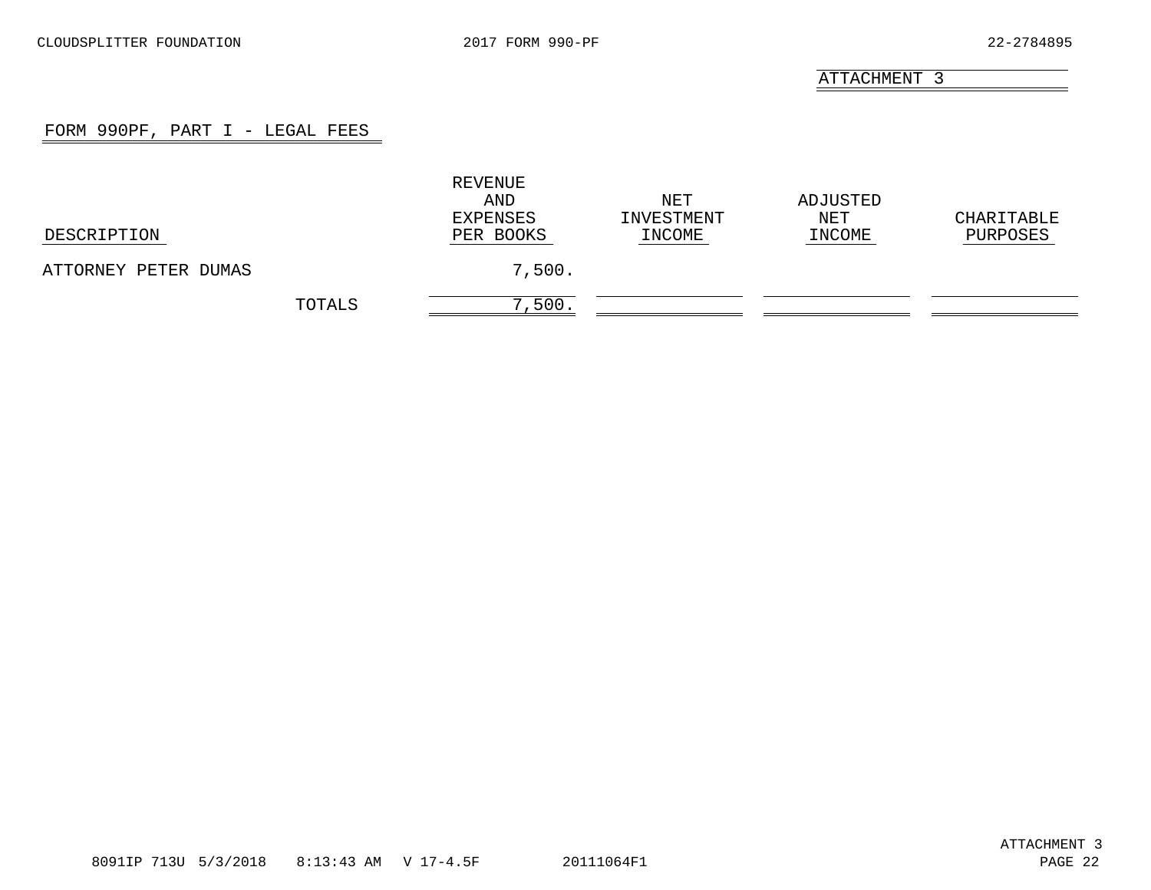# FORM 990PF, PART I - LEGAL FEES

<span id="page-20-0"></span>

| DESCRIPTION          |        | REVENUE<br>AND<br>EXPENSES<br>PER BOOKS | NET<br>INVESTMENT<br>INCOME | ADJUSTED<br>NET<br>INCOME | CHARITABLE<br>PURPOSES |
|----------------------|--------|-----------------------------------------|-----------------------------|---------------------------|------------------------|
| ATTORNEY PETER DUMAS |        | 7,500.                                  |                             |                           |                        |
|                      | TOTALS | 7,500.                                  |                             |                           |                        |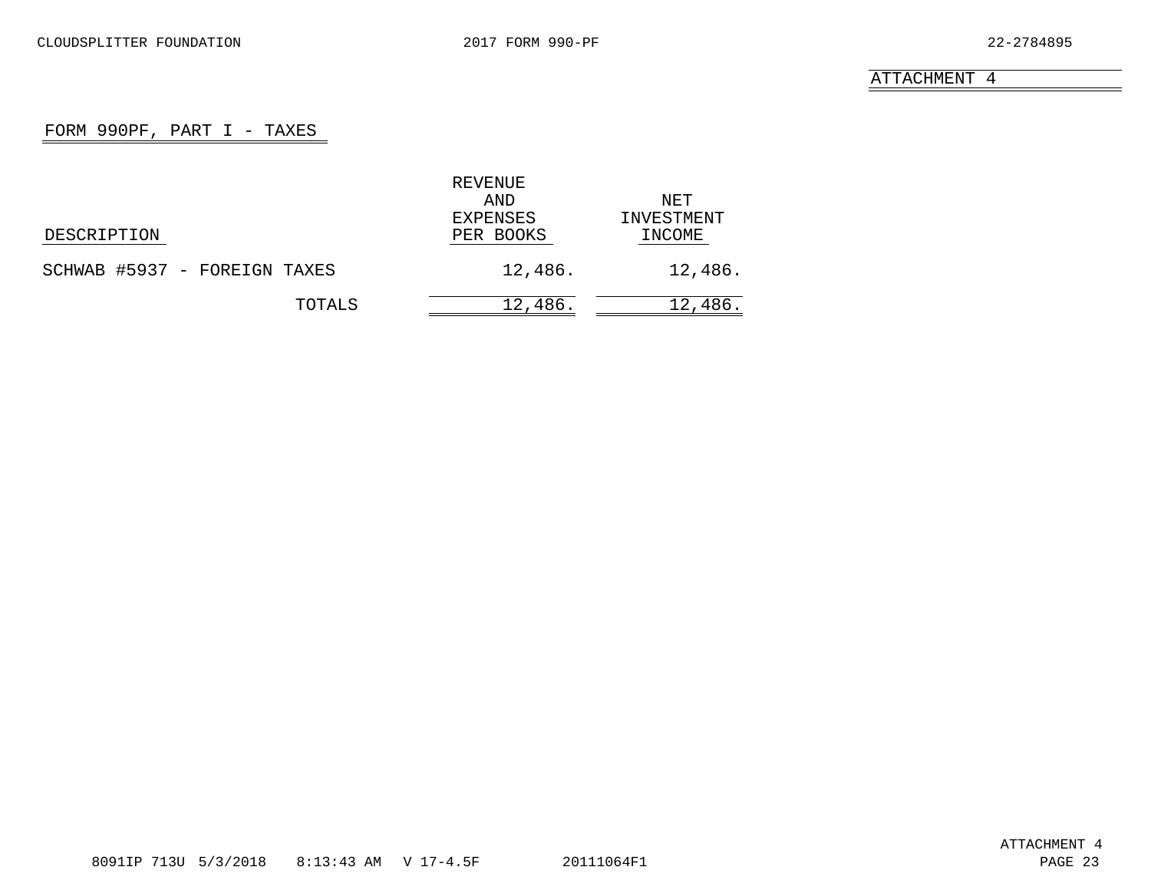# FORM 990PF, PART  $I - TAXES$

<span id="page-21-0"></span>

|                              | REVENUE   |            |
|------------------------------|-----------|------------|
|                              | AND       | NET        |
|                              | EXPENSES  | INVESTMENT |
| DESCRIPTION                  | PER BOOKS | INCOME     |
| SCHWAB #5937 - FOREIGN TAXES | 12,486.   | 12,486.    |
| TOTALS                       | 12,486.   | 12,486.    |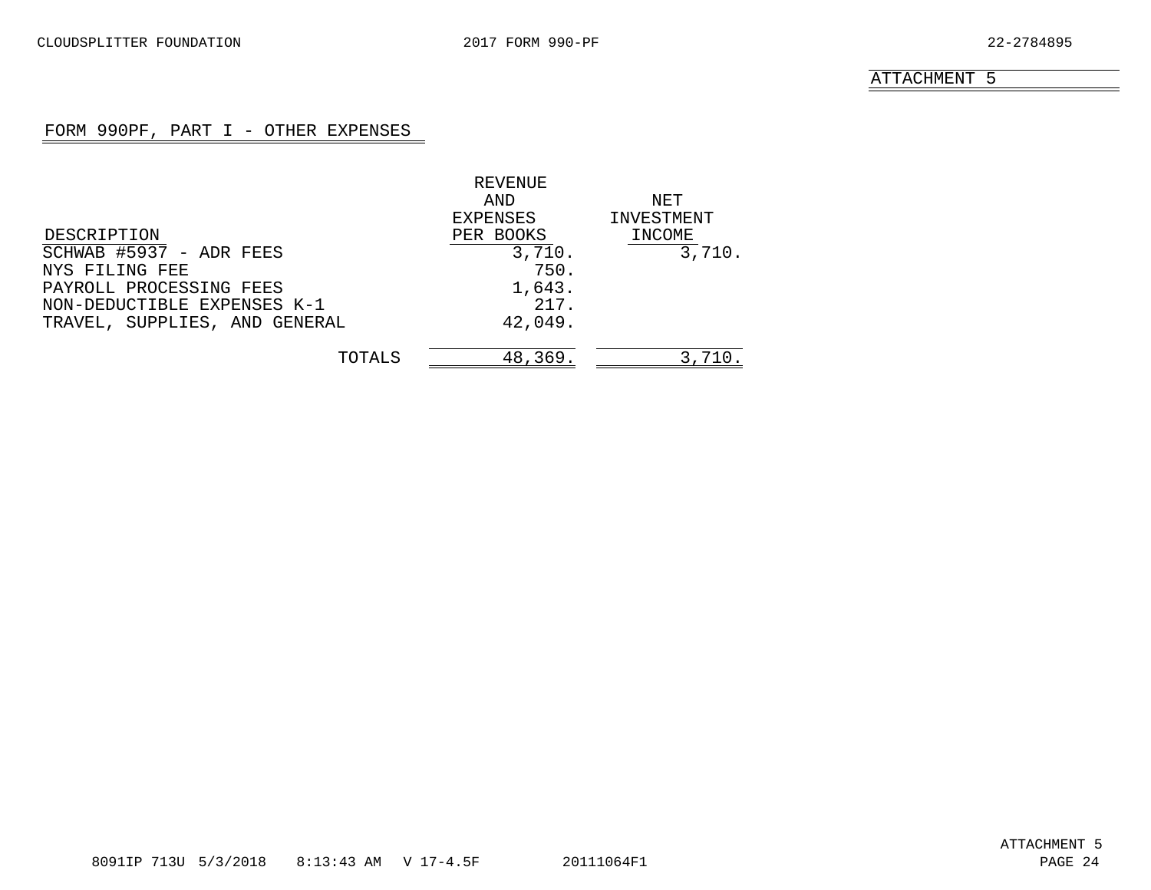# FORM 990PF, PART I - OTHER EXPENSES

<span id="page-22-0"></span>

|                               | REVENUE   |            |
|-------------------------------|-----------|------------|
|                               | AND       | NET        |
|                               | EXPENSES  | INVESTMENT |
| DESCRIPTION                   | PER BOOKS | INCOME     |
| SCHWAB #5937 - ADR FEES       | 3,710.    | 3,710.     |
| NYS FILING FEE                | 750.      |            |
| PAYROLL PROCESSING FEES       | 1,643.    |            |
| NON-DEDUCTIBLE EXPENSES K-1   | 217.      |            |
| TRAVEL, SUPPLIES, AND GENERAL | 42,049.   |            |
| TOTALS                        | 48,369.   | 3,710.     |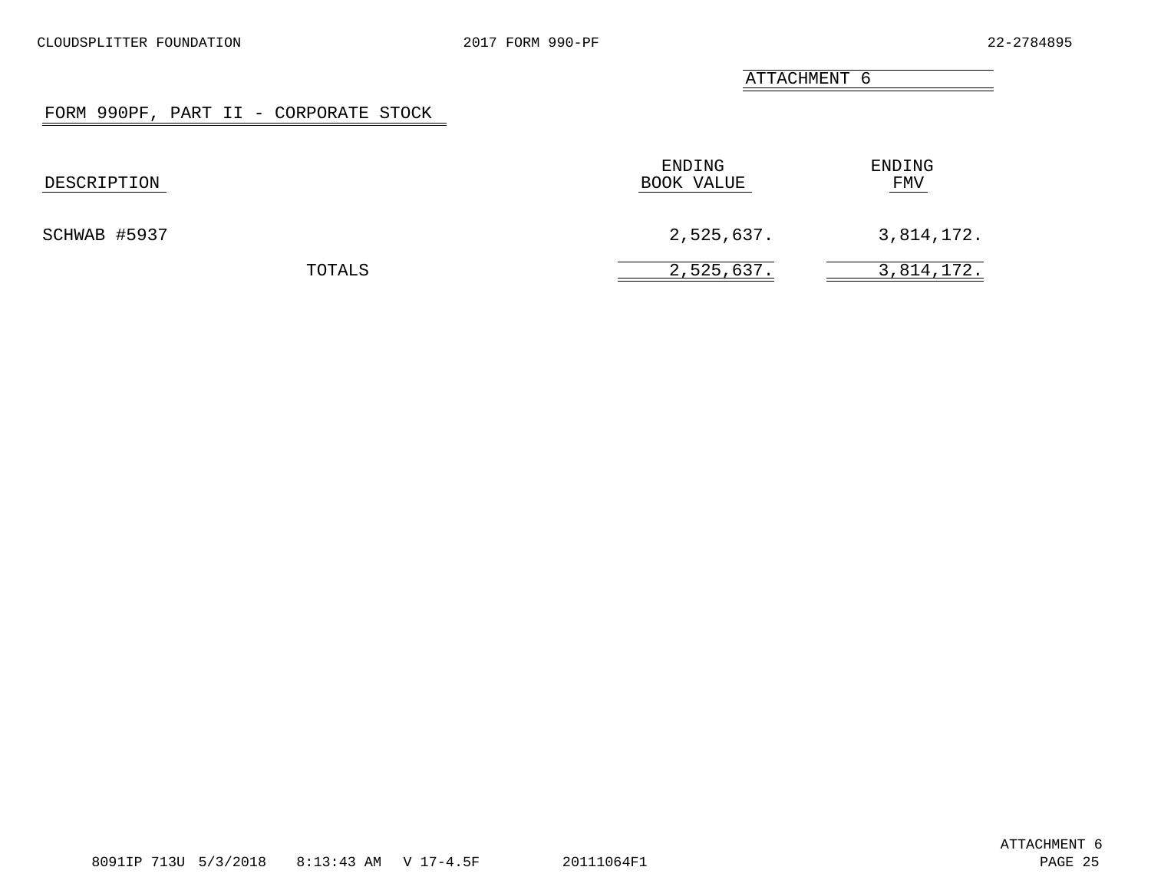## FORM 990PF, PART II - CORPORATE STOCK

<span id="page-23-0"></span>

| DESCRIPTION  | ENDING<br>BOOK VALUE | ENDING<br><b>FMV</b> |
|--------------|----------------------|----------------------|
| SCHWAB #5937 | 2,525,637.           | 3,814,172.           |
| TOTALS       | 2,525,637.           | 3,814,172.           |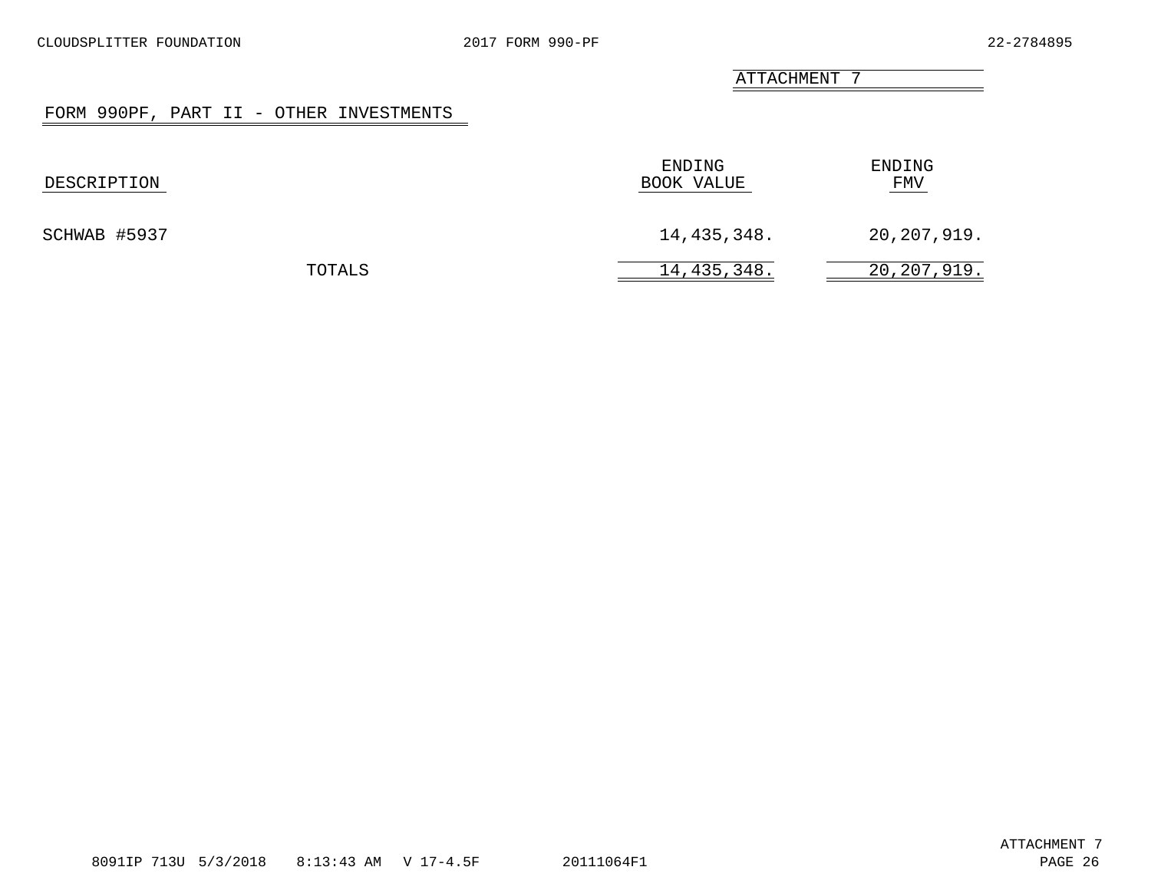# FORM 990PF, PART II - OTHER INVESTMENTS

<span id="page-24-0"></span>

| DESCRIPTION  |        | ENDING<br>BOOK VALUE | ENDING<br>FMV |
|--------------|--------|----------------------|---------------|
| SCHWAB #5937 |        | 14,435,348.          | 20,207,919.   |
|              | TOTALS | 14,435,348.          | 20,207,919.   |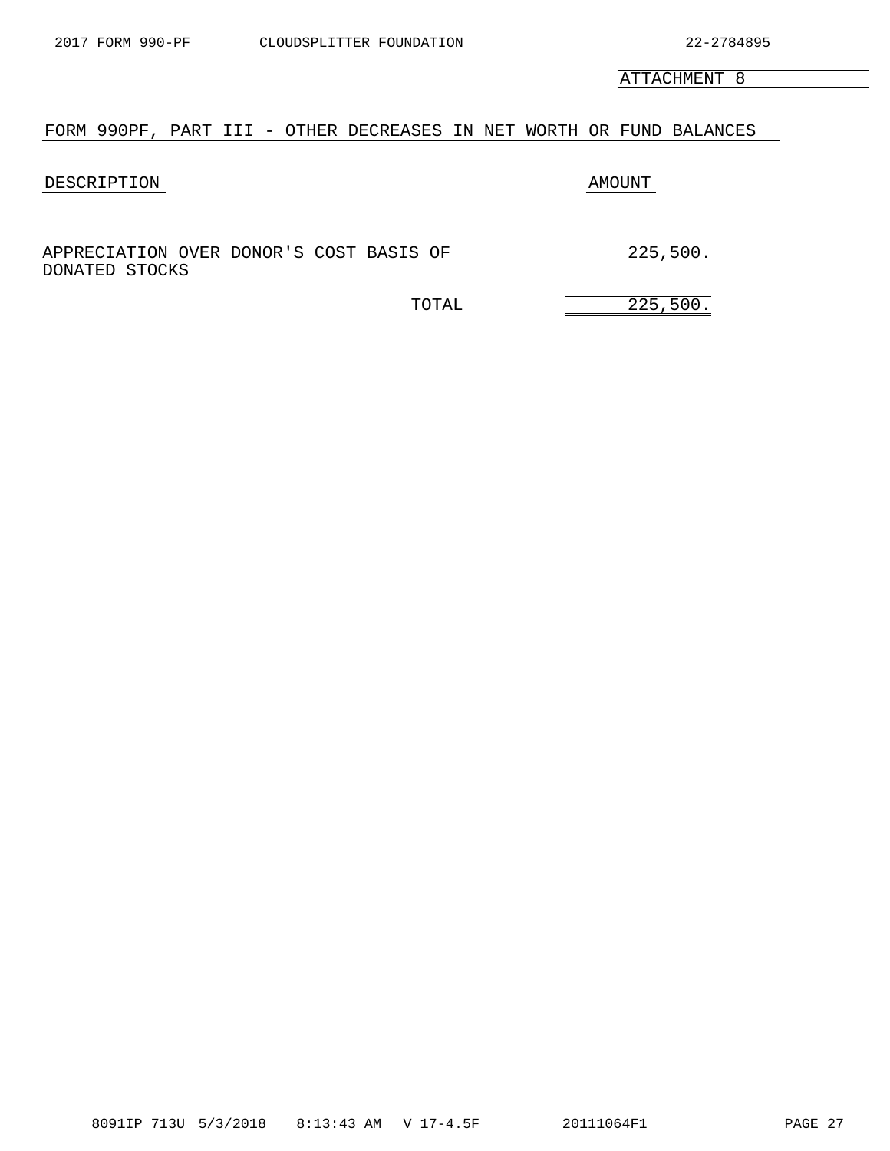# <span id="page-25-0"></span>FORM 990PF, PART III - OTHER DECREASES IN NET WORTH OR FUND BALANCES

# DESCRIPTION AMOUNT

APPRECIATION OVER DONOR'S COST BASIS OF 225,500. DONATED STOCKS

TOTAL 225,500.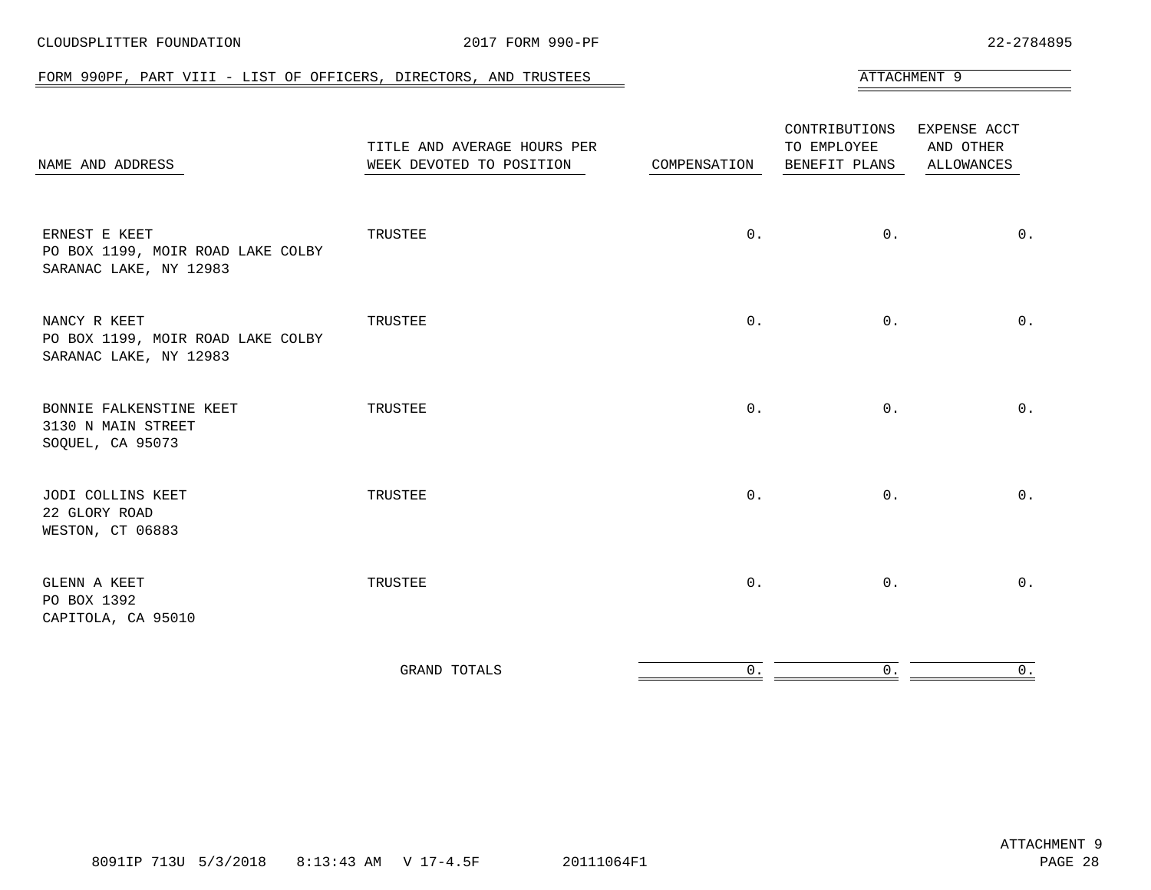<span id="page-26-0"></span>

| FORM 990PF, PART VIII - LIST OF OFFICERS, DIRECTORS, AND TRUSTEES            |                                                         |              |                                               | ATTACHMENT 9                                   |
|------------------------------------------------------------------------------|---------------------------------------------------------|--------------|-----------------------------------------------|------------------------------------------------|
| NAME AND ADDRESS                                                             | TITLE AND AVERAGE HOURS PER<br>WEEK DEVOTED TO POSITION | COMPENSATION | CONTRIBUTIONS<br>TO EMPLOYEE<br>BENEFIT PLANS | EXPENSE ACCT<br>AND OTHER<br><b>ALLOWANCES</b> |
| ERNEST E KEET<br>PO BOX 1199, MOIR ROAD LAKE COLBY<br>SARANAC LAKE, NY 12983 | TRUSTEE                                                 | $0$ .        | $0$ .                                         | $0$ .                                          |
| NANCY R KEET<br>PO BOX 1199, MOIR ROAD LAKE COLBY<br>SARANAC LAKE, NY 12983  | TRUSTEE                                                 | 0.           | 0.                                            | $0$ .                                          |
| BONNIE FALKENSTINE KEET<br>3130 N MAIN STREET<br>SOQUEL, CA 95073            | TRUSTEE                                                 | 0.           | 0.                                            | $0$ .                                          |
| JODI COLLINS KEET<br>22 GLORY ROAD<br>WESTON, CT 06883                       | TRUSTEE                                                 | $0$ .        | 0.                                            | $0$ .                                          |
| GLENN A KEET<br>PO BOX 1392<br>CAPITOLA, CA 95010                            | TRUSTEE                                                 | $0$ .        | 0.                                            | $0$ .                                          |
|                                                                              |                                                         |              |                                               |                                                |

| $\sim$ $\sim$ |  |  |
|---------------|--|--|
|               |  |  |

## CLOUDSPLITTER FOUNDATION 2017 FORM 990-PF 22-2784895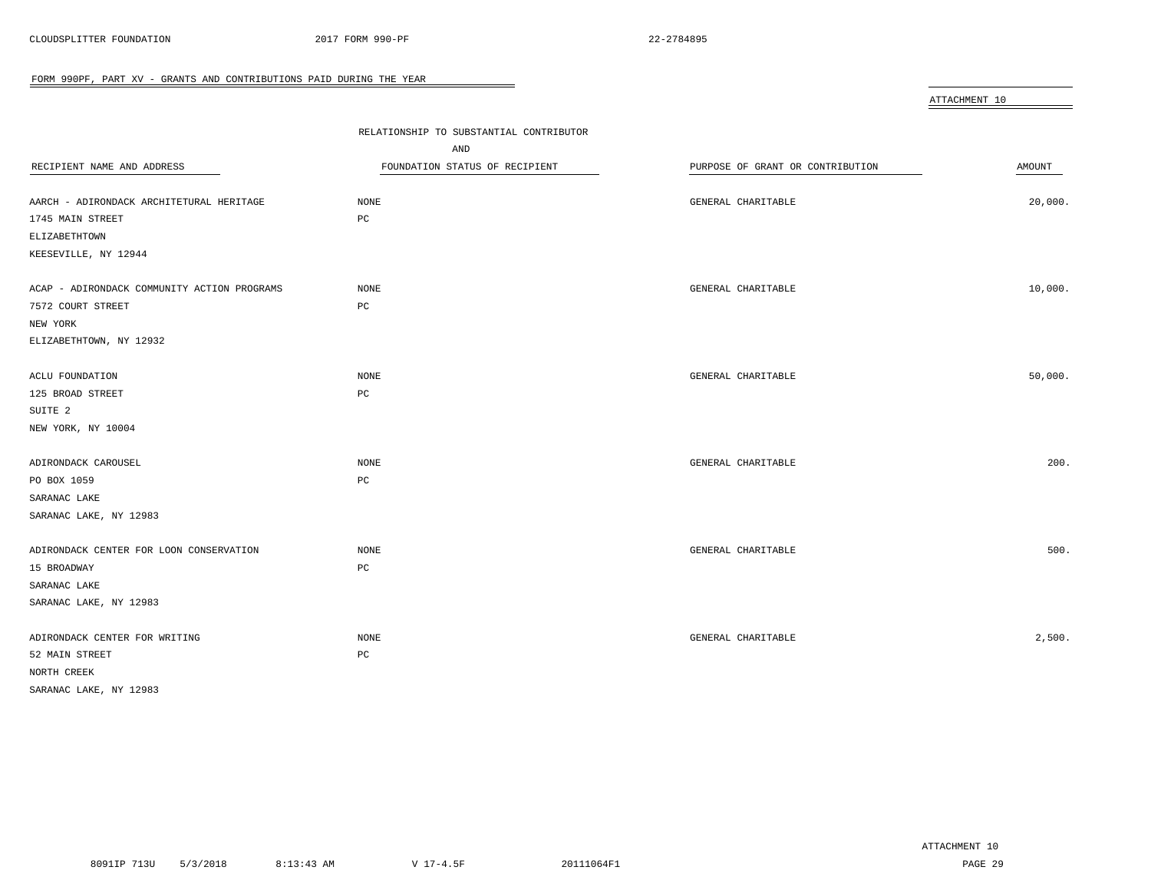<span id="page-27-0"></span>

|                                             |                                         |                                  | ATTACHMENT 10 |
|---------------------------------------------|-----------------------------------------|----------------------------------|---------------|
|                                             | RELATIONSHIP TO SUBSTANTIAL CONTRIBUTOR |                                  |               |
|                                             | AND                                     |                                  |               |
| RECIPIENT NAME AND ADDRESS                  | FOUNDATION STATUS OF RECIPIENT          | PURPOSE OF GRANT OR CONTRIBUTION | AMOUNT        |
|                                             |                                         |                                  |               |
| AARCH - ADIRONDACK ARCHITETURAL HERITAGE    | NONE                                    | GENERAL CHARITABLE               | 20,000.       |
| 1745 MAIN STREET                            | РC                                      |                                  |               |
| <b>ELIZABETHTOWN</b>                        |                                         |                                  |               |
| KEESEVILLE, NY 12944                        |                                         |                                  |               |
| ACAP - ADIRONDACK COMMUNITY ACTION PROGRAMS | NONE                                    | GENERAL CHARITABLE               | 10,000.       |
| 7572 COURT STREET                           | PC                                      |                                  |               |
| NEW YORK                                    |                                         |                                  |               |
| ELIZABETHTOWN, NY 12932                     |                                         |                                  |               |
| ACLU FOUNDATION                             | NONE                                    | GENERAL CHARITABLE               | 50,000.       |
| 125 BROAD STREET                            | PC                                      |                                  |               |
| SUITE <sub>2</sub>                          |                                         |                                  |               |
| NEW YORK, NY 10004                          |                                         |                                  |               |
| ADIRONDACK CAROUSEL                         | $\rm{NONE}$                             | GENERAL CHARITABLE               | 200.          |
| PO BOX 1059                                 | PC                                      |                                  |               |
| SARANAC LAKE                                |                                         |                                  |               |
| SARANAC LAKE, NY 12983                      |                                         |                                  |               |
| ADIRONDACK CENTER FOR LOON CONSERVATION     | NONE                                    | GENERAL CHARITABLE               | 500.          |
| 15 BROADWAY                                 | $_{\rm PC}$                             |                                  |               |
| SARANAC LAKE                                |                                         |                                  |               |
| SARANAC LAKE, NY 12983                      |                                         |                                  |               |
| ADIRONDACK CENTER FOR WRITING               | NONE                                    | GENERAL CHARITABLE               | 2,500.        |
| 52 MAIN STREET                              | PC                                      |                                  |               |
| NORTH CREEK                                 |                                         |                                  |               |
| SARANAC LAKE, NY 12983                      |                                         |                                  |               |

 $\overline{\phantom{0}}$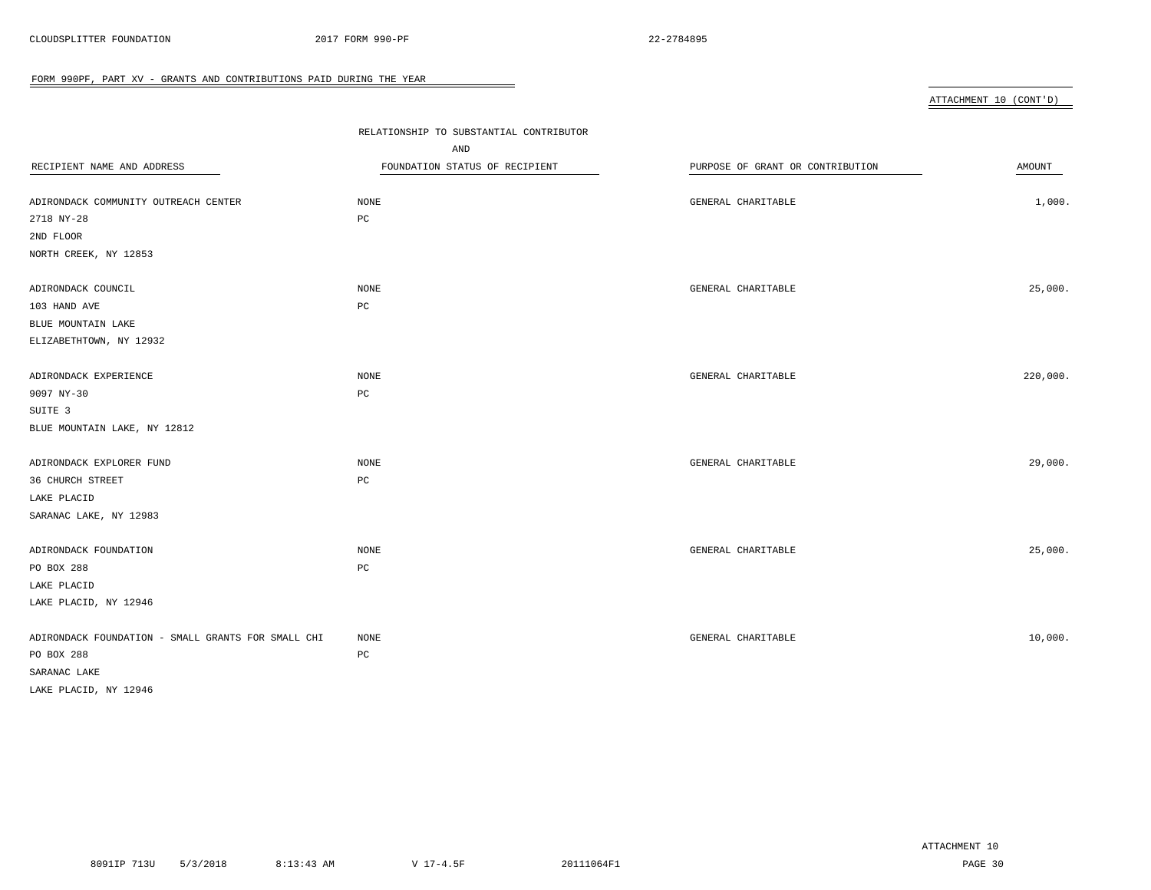| ATTACHMENT 10<br>(CONT'D) |
|---------------------------|

|                                                    | RELATIONSHIP TO SUBSTANTIAL CONTRIBUTOR |                                  |          |  |
|----------------------------------------------------|-----------------------------------------|----------------------------------|----------|--|
|                                                    | AND                                     |                                  |          |  |
| RECIPIENT NAME AND ADDRESS                         | FOUNDATION STATUS OF RECIPIENT          | PURPOSE OF GRANT OR CONTRIBUTION | AMOUNT   |  |
|                                                    |                                         |                                  |          |  |
| ADIRONDACK COMMUNITY OUTREACH CENTER               | NONE                                    | GENERAL CHARITABLE               | 1,000.   |  |
| 2718 NY-28                                         | PC                                      |                                  |          |  |
| 2ND FLOOR                                          |                                         |                                  |          |  |
| NORTH CREEK, NY 12853                              |                                         |                                  |          |  |
| ADIRONDACK COUNCIL                                 | NONE                                    | GENERAL CHARITABLE               | 25,000.  |  |
| 103 HAND AVE                                       | PC                                      |                                  |          |  |
| BLUE MOUNTAIN LAKE                                 |                                         |                                  |          |  |
| ELIZABETHTOWN, NY 12932                            |                                         |                                  |          |  |
| ADIRONDACK EXPERIENCE                              | <b>NONE</b>                             | GENERAL CHARITABLE               | 220,000. |  |
| 9097 NY-30                                         | $_{\rm PC}$                             |                                  |          |  |
| SUITE 3                                            |                                         |                                  |          |  |
| BLUE MOUNTAIN LAKE, NY 12812                       |                                         |                                  |          |  |
|                                                    |                                         |                                  |          |  |
| ADIRONDACK EXPLORER FUND                           | <b>NONE</b>                             | GENERAL CHARITABLE               | 29,000.  |  |
| 36 CHURCH STREET                                   | PC                                      |                                  |          |  |
| LAKE PLACID                                        |                                         |                                  |          |  |
| SARANAC LAKE, NY 12983                             |                                         |                                  |          |  |
| ADIRONDACK FOUNDATION                              | <b>NONE</b>                             | GENERAL CHARITABLE               | 25,000.  |  |
| PO BOX 288                                         | PC                                      |                                  |          |  |
| LAKE PLACID                                        |                                         |                                  |          |  |
| LAKE PLACID, NY 12946                              |                                         |                                  |          |  |
| ADIRONDACK FOUNDATION - SMALL GRANTS FOR SMALL CHI | <b>NONE</b>                             | GENERAL CHARITABLE               | 10,000.  |  |
| PO BOX 288                                         | PC                                      |                                  |          |  |
| SARANAC LAKE                                       |                                         |                                  |          |  |
| LAKE PLACID, NY 12946                              |                                         |                                  |          |  |

 $\overline{\phantom{0}}$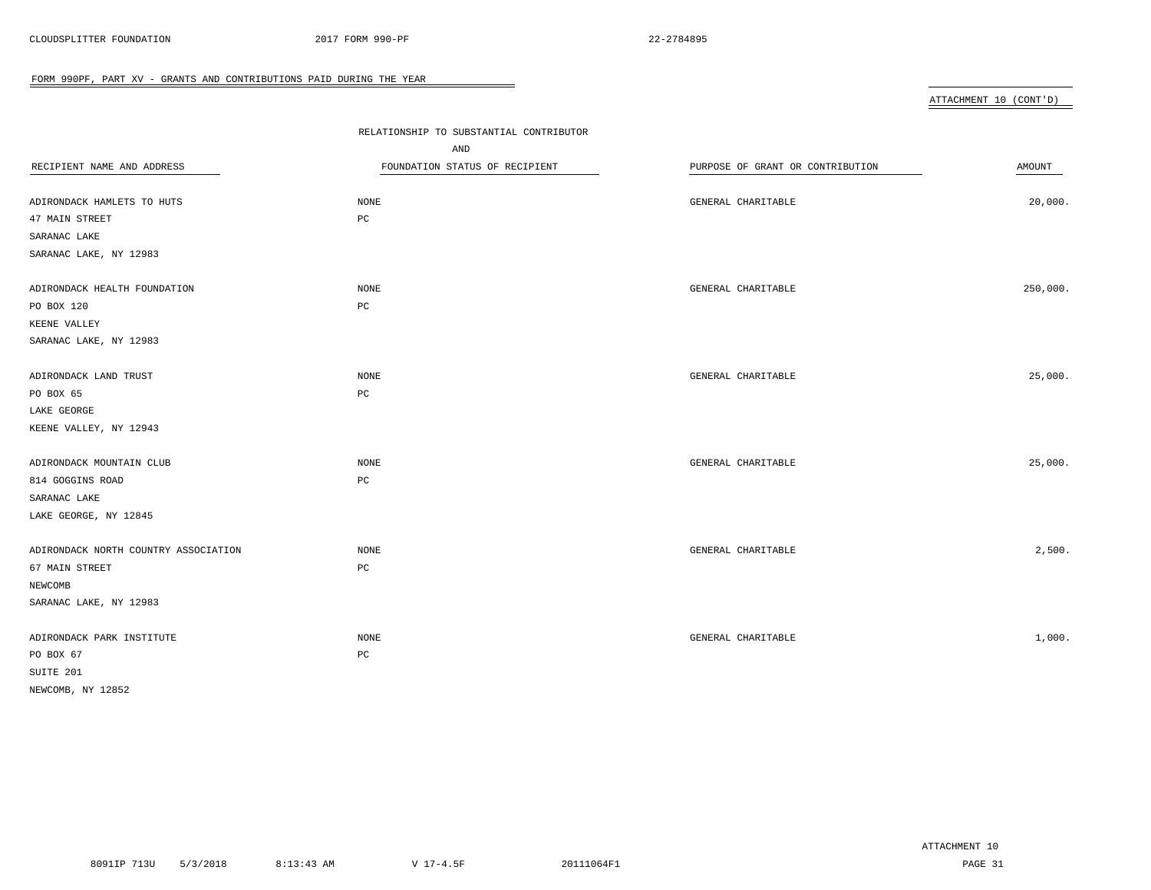ATTACHMENT 10 (CONT'D)

| RECIPIENT NAME AND ADDRESS<br>ADIRONDACK HAMLETS TO HUTS<br>47 MAIN STREET<br>SARANAC LAKE<br>SARANAC LAKE, NY 12983 | RELATIONSHIP TO SUBSTANTIAL CONTRIBUTOR<br>AND<br>FOUNDATION STATUS OF RECIPIENT<br><b>NONE</b><br>PC | PURPOSE OF GRANT OR CONTRIBUTION<br>GENERAL CHARITABLE | AMOUNT<br>20,000. |
|----------------------------------------------------------------------------------------------------------------------|-------------------------------------------------------------------------------------------------------|--------------------------------------------------------|-------------------|
| ADIRONDACK HEALTH FOUNDATION<br>PO BOX 120<br>KEENE VALLEY<br>SARANAC LAKE, NY 12983                                 | <b>NONE</b><br>PC                                                                                     | GENERAL CHARITABLE                                     | 250,000.          |
| ADIRONDACK LAND TRUST<br>PO BOX 65<br>LAKE GEORGE                                                                    | <b>NONE</b><br>PC                                                                                     | GENERAL CHARITABLE                                     | 25,000.           |
| KEENE VALLEY, NY 12943<br>ADIRONDACK MOUNTAIN CLUB<br>814 GOGGINS ROAD<br>SARANAC LAKE                               | <b>NONE</b><br>$_{\rm PC}$                                                                            | GENERAL CHARITABLE                                     | 25,000.           |
| LAKE GEORGE, NY 12845<br>ADIRONDACK NORTH COUNTRY ASSOCIATION<br>67 MAIN STREET<br>NEWCOMB<br>SARANAC LAKE, NY 12983 | <b>NONE</b><br>PC                                                                                     | GENERAL CHARITABLE                                     | 2,500.            |
| ADIRONDACK PARK INSTITUTE<br>PO BOX 67<br>SUITE 201<br>NEWCOMB, NY 12852                                             | <b>NONE</b><br>PC                                                                                     | GENERAL CHARITABLE                                     | 1,000.            |

 $\overline{\phantom{a}}$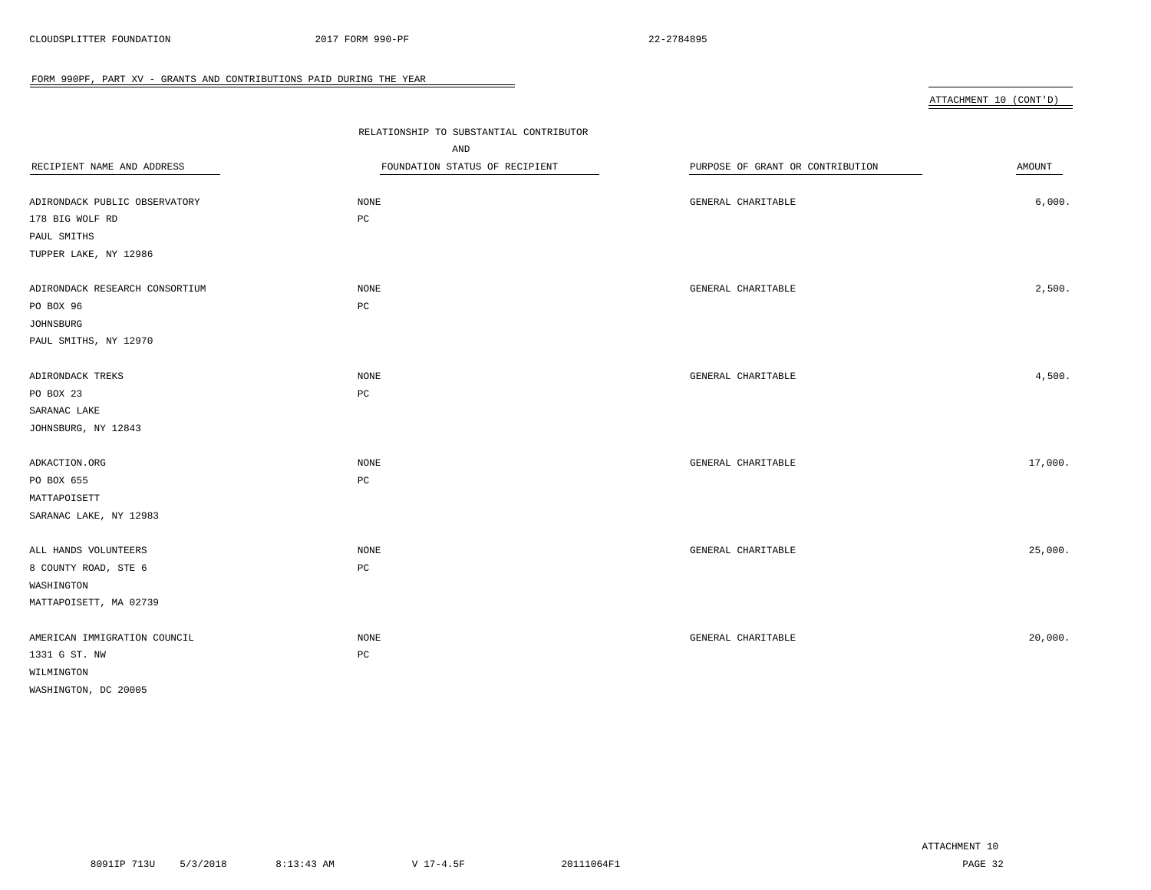ATTACHMENT 10 (CONT'D)

| RECIPIENT NAME AND ADDRESS<br>ADIRONDACK PUBLIC OBSERVATORY<br>178 BIG WOLF RD<br>PAUL SMITHS<br>TUPPER LAKE, NY 12986 | RELATIONSHIP TO SUBSTANTIAL CONTRIBUTOR<br>AND<br>FOUNDATION STATUS OF RECIPIENT<br><b>NONE</b><br>PC | PURPOSE OF GRANT OR CONTRIBUTION<br>GENERAL CHARITABLE | AMOUNT<br>6,000. |
|------------------------------------------------------------------------------------------------------------------------|-------------------------------------------------------------------------------------------------------|--------------------------------------------------------|------------------|
| ADIRONDACK RESEARCH CONSORTIUM<br>PO BOX 96<br>JOHNSBURG<br>PAUL SMITHS, NY 12970                                      | NONE<br>$_{\rm PC}$                                                                                   | GENERAL CHARITABLE                                     | 2,500.           |
| ADIRONDACK TREKS<br>PO BOX 23<br>SARANAC LAKE                                                                          | NONE<br>PC                                                                                            | GENERAL CHARITABLE                                     | 4,500.           |
| JOHNSBURG, NY 12843<br>ADKACTION.ORG<br>PO BOX 655<br>MATTAPOISETT                                                     | NONE<br>PC                                                                                            | GENERAL CHARITABLE                                     | 17,000.          |
| SARANAC LAKE, NY 12983<br>ALL HANDS VOLUNTEERS<br>8 COUNTY ROAD, STE 6<br>WASHINGTON                                   | NONE<br>PC                                                                                            | GENERAL CHARITABLE                                     | 25,000.          |
| MATTAPOISETT, MA 02739<br>AMERICAN IMMIGRATION COUNCIL<br>1331 G ST. NW<br>WILMINGTON<br>WASHINGTON, DC 20005          | NONE<br>PC                                                                                            | GENERAL CHARITABLE                                     | 20,000.          |

 $\overline{\phantom{a}}$ 

ATTACHMENT 10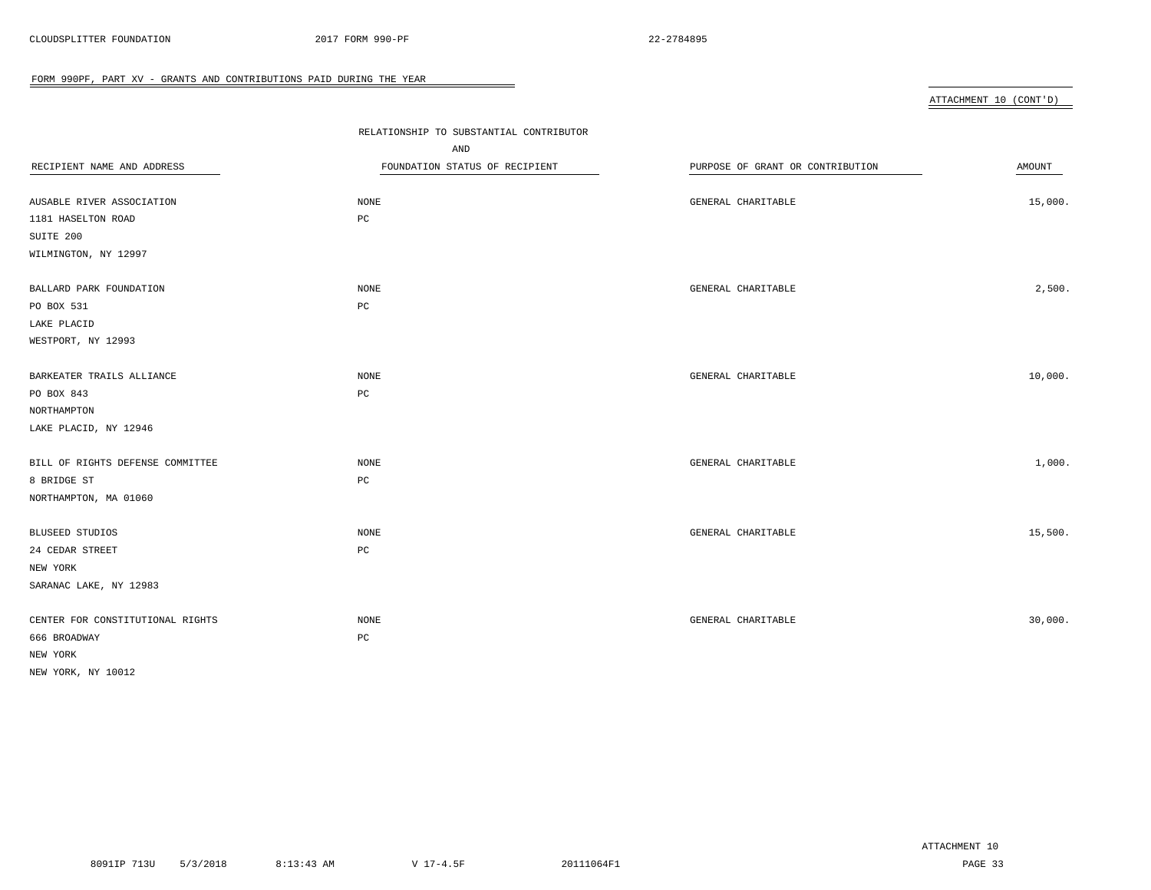| ATTACHMENT 10 (CONT'D) |  |
|------------------------|--|
|                        |  |

|                                  | RELATIONSHIP TO SUBSTANTIAL CONTRIBUTOR |                                  |         |
|----------------------------------|-----------------------------------------|----------------------------------|---------|
|                                  | AND                                     |                                  |         |
| RECIPIENT NAME AND ADDRESS       | FOUNDATION STATUS OF RECIPIENT          | PURPOSE OF GRANT OR CONTRIBUTION | AMOUNT  |
|                                  |                                         |                                  |         |
| AUSABLE RIVER ASSOCIATION        | NONE                                    | GENERAL CHARITABLE               | 15,000. |
| 1181 HASELTON ROAD               | $_{\rm PC}$                             |                                  |         |
| SUITE 200                        |                                         |                                  |         |
| WILMINGTON, NY 12997             |                                         |                                  |         |
| BALLARD PARK FOUNDATION          | NONE                                    | GENERAL CHARITABLE               | 2,500.  |
| PO BOX 531                       | PC                                      |                                  |         |
| LAKE PLACID                      |                                         |                                  |         |
| WESTPORT, NY 12993               |                                         |                                  |         |
| BARKEATER TRAILS ALLIANCE        | NONE                                    | GENERAL CHARITABLE               | 10,000. |
| PO BOX 843                       | PC                                      |                                  |         |
| NORTHAMPTON                      |                                         |                                  |         |
| LAKE PLACID, NY 12946            |                                         |                                  |         |
| BILL OF RIGHTS DEFENSE COMMITTEE | NONE                                    | GENERAL CHARITABLE               | 1,000.  |
| 8 BRIDGE ST                      | PC                                      |                                  |         |
| NORTHAMPTON, MA 01060            |                                         |                                  |         |
| <b>BLUSEED STUDIOS</b>           | <b>NONE</b>                             | GENERAL CHARITABLE               | 15,500. |
| 24 CEDAR STREET                  | $_{\rm PC}$                             |                                  |         |
| NEW YORK                         |                                         |                                  |         |
| SARANAC LAKE, NY 12983           |                                         |                                  |         |
| CENTER FOR CONSTITUTIONAL RIGHTS | <b>NONE</b>                             | GENERAL CHARITABLE               | 30,000. |
| 666 BROADWAY                     | $_{\rm PC}$                             |                                  |         |
| NEW YORK                         |                                         |                                  |         |
| NEW YORK, NY 10012               |                                         |                                  |         |

 $\overline{\phantom{0}}$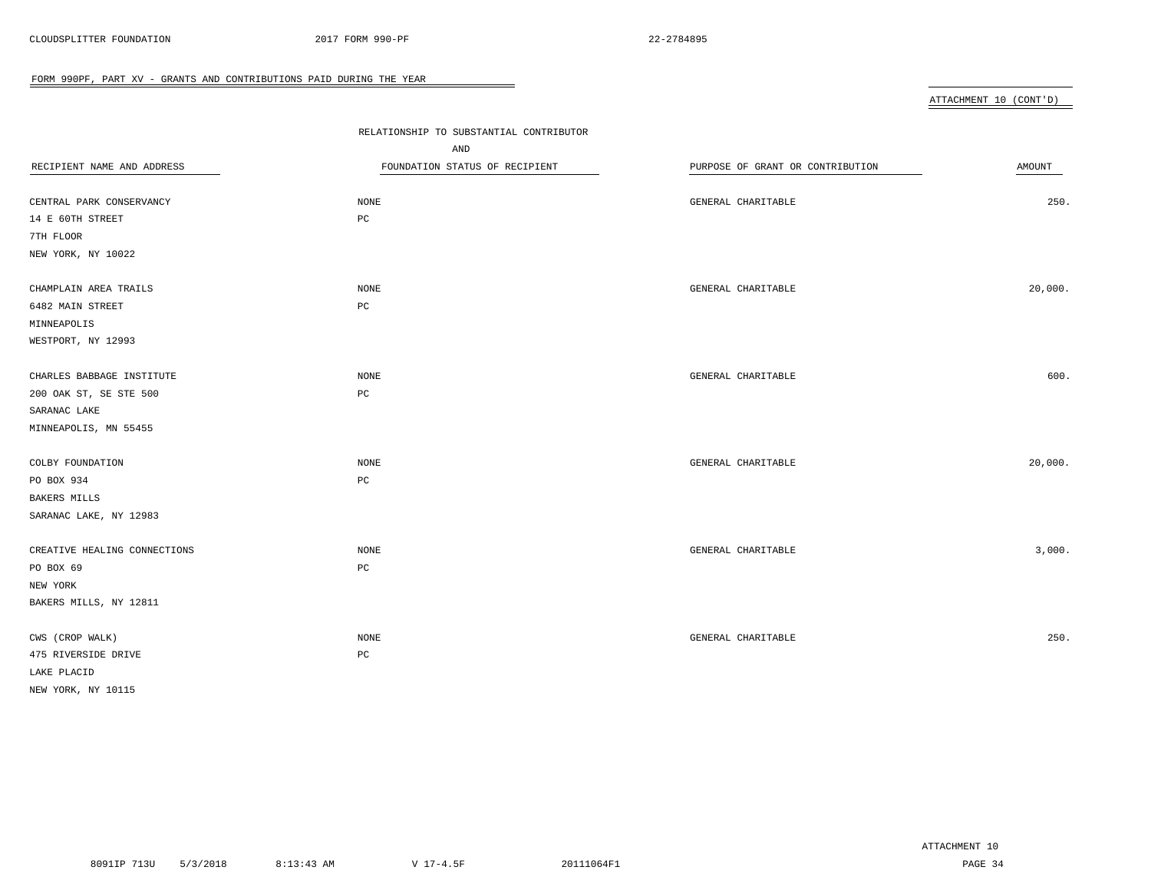ATTACHMENT 10 (CONT'D)

| RECIPIENT NAME AND ADDRESS<br>CENTRAL PARK CONSERVANCY<br>14 E 60TH STREET<br>7TH FLOOR               | RELATIONSHIP TO SUBSTANTIAL CONTRIBUTOR<br>AND<br>FOUNDATION STATUS OF RECIPIENT<br>$\rm{NONE}$<br>PC | PURPOSE OF GRANT OR CONTRIBUTION<br>GENERAL CHARITABLE | AMOUNT<br>250. |
|-------------------------------------------------------------------------------------------------------|-------------------------------------------------------------------------------------------------------|--------------------------------------------------------|----------------|
| NEW YORK, NY 10022<br>CHAMPLAIN AREA TRAILS<br>6482 MAIN STREET<br>MINNEAPOLIS<br>WESTPORT, NY 12993  | NONE<br>$_{\rm PC}$                                                                                   | GENERAL CHARITABLE                                     | 20,000.        |
| CHARLES BABBAGE INSTITUTE<br>200 OAK ST, SE STE 500<br>SARANAC LAKE                                   | $\rm{NONE}$<br>PC                                                                                     | GENERAL CHARITABLE                                     | 600.           |
| MINNEAPOLIS, MN 55455<br>COLBY FOUNDATION<br>PO BOX 934<br>BAKERS MILLS                               | $\rm{NONE}$<br>$_{\rm PC}$                                                                            | GENERAL CHARITABLE                                     | 20,000.        |
| SARANAC LAKE, NY 12983<br>CREATIVE HEALING CONNECTIONS<br>PO BOX 69<br>NEW YORK                       | NONE<br>PC                                                                                            | GENERAL CHARITABLE                                     | 3,000.         |
| BAKERS MILLS, NY 12811<br>CWS (CROP WALK)<br>475 RIVERSIDE DRIVE<br>LAKE PLACID<br>NEW YORK, NY 10115 | NONE<br>PC                                                                                            | GENERAL CHARITABLE                                     | 250.           |

 $\overline{\phantom{a}}$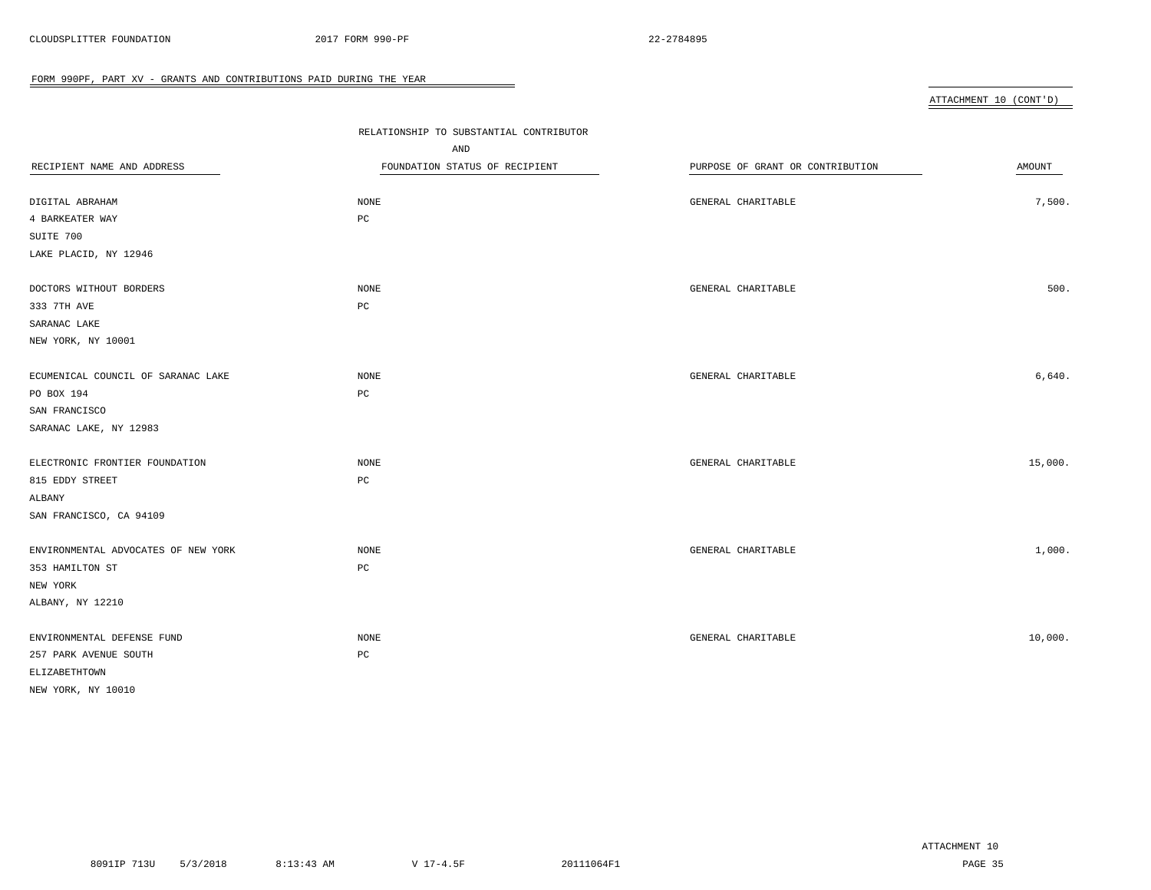# ATTACHMENT 10 (CONT'D)

|                                     | RELATIONSHIP TO SUBSTANTIAL CONTRIBUTOR |                                  |               |
|-------------------------------------|-----------------------------------------|----------------------------------|---------------|
|                                     | AND                                     |                                  |               |
| RECIPIENT NAME AND ADDRESS          | FOUNDATION STATUS OF RECIPIENT          | PURPOSE OF GRANT OR CONTRIBUTION | <b>AMOUNT</b> |
|                                     |                                         |                                  |               |
| DIGITAL ABRAHAM                     | NONE                                    | GENERAL CHARITABLE               | 7,500.        |
| 4 BARKEATER WAY                     | $_{\rm PC}$                             |                                  |               |
| SUITE 700                           |                                         |                                  |               |
| LAKE PLACID, NY 12946               |                                         |                                  |               |
| DOCTORS WITHOUT BORDERS             | NONE                                    | GENERAL CHARITABLE               | 500.          |
| 333 7TH AVE                         | $_{\rm PC}$                             |                                  |               |
| SARANAC LAKE                        |                                         |                                  |               |
| NEW YORK, NY 10001                  |                                         |                                  |               |
| ECUMENICAL COUNCIL OF SARANAC LAKE  | NONE                                    | GENERAL CHARITABLE               | 6,640.        |
| PO BOX 194                          | $_{\rm PC}$                             |                                  |               |
| SAN FRANCISCO                       |                                         |                                  |               |
| SARANAC LAKE, NY 12983              |                                         |                                  |               |
| ELECTRONIC FRONTIER FOUNDATION      | NONE                                    | GENERAL CHARITABLE               | 15,000.       |
| 815 EDDY STREET                     | $_{\rm PC}$                             |                                  |               |
| ALBANY                              |                                         |                                  |               |
| SAN FRANCISCO, CA 94109             |                                         |                                  |               |
| ENVIRONMENTAL ADVOCATES OF NEW YORK | NONE                                    | GENERAL CHARITABLE               | 1,000.        |
| 353 HAMILTON ST                     | PC                                      |                                  |               |
| NEW YORK                            |                                         |                                  |               |
| ALBANY, NY 12210                    |                                         |                                  |               |
| ENVIRONMENTAL DEFENSE FUND          | NONE                                    | GENERAL CHARITABLE               | 10,000.       |
| 257 PARK AVENUE SOUTH               | $_{\rm PC}$                             |                                  |               |
| ELIZABETHTOWN                       |                                         |                                  |               |
| NEW YORK, NY 10010                  |                                         |                                  |               |
|                                     |                                         |                                  |               |

 $\overline{\phantom{a}}$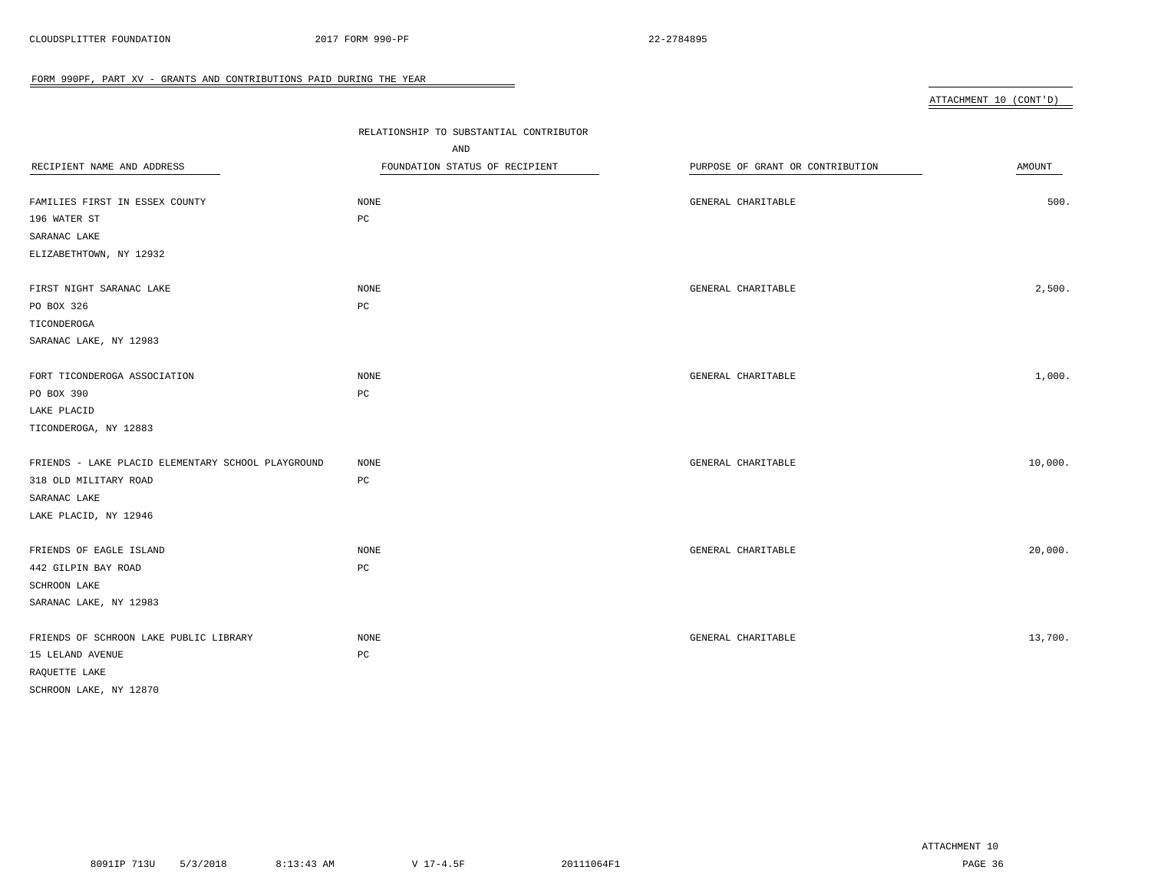| ATTACHMENT 10 (CONT'D) |  |
|------------------------|--|
|                        |  |

|                                                    | RELATIONSHIP TO SUBSTANTIAL CONTRIBUTOR |                                  |         |
|----------------------------------------------------|-----------------------------------------|----------------------------------|---------|
|                                                    | AND                                     |                                  |         |
| RECIPIENT NAME AND ADDRESS                         | FOUNDATION STATUS OF RECIPIENT          | PURPOSE OF GRANT OR CONTRIBUTION | AMOUNT  |
|                                                    |                                         |                                  |         |
| FAMILIES FIRST IN ESSEX COUNTY                     | <b>NONE</b>                             | GENERAL CHARITABLE               | 500.    |
| 196 WATER ST                                       | $_{\rm PC}$                             |                                  |         |
| SARANAC LAKE                                       |                                         |                                  |         |
| ELIZABETHTOWN, NY 12932                            |                                         |                                  |         |
| FIRST NIGHT SARANAC LAKE                           | NONE                                    | GENERAL CHARITABLE               | 2,500.  |
| PO BOX 326                                         | PC                                      |                                  |         |
| TICONDEROGA                                        |                                         |                                  |         |
| SARANAC LAKE, NY 12983                             |                                         |                                  |         |
| FORT TICONDEROGA ASSOCIATION                       | <b>NONE</b>                             | GENERAL CHARITABLE               | 1,000.  |
| PO BOX 390                                         | PC                                      |                                  |         |
| LAKE PLACID                                        |                                         |                                  |         |
| TICONDEROGA, NY 12883                              |                                         |                                  |         |
| FRIENDS - LAKE PLACID ELEMENTARY SCHOOL PLAYGROUND | NONE                                    | GENERAL CHARITABLE               | 10,000. |
| 318 OLD MILITARY ROAD                              | PC                                      |                                  |         |
| SARANAC LAKE                                       |                                         |                                  |         |
| LAKE PLACID, NY 12946                              |                                         |                                  |         |
| FRIENDS OF EAGLE ISLAND                            | <b>NONE</b>                             | GENERAL CHARITABLE               | 20,000. |
| 442 GILPIN BAY ROAD                                | $_{\rm PC}$                             |                                  |         |
| SCHROON LAKE                                       |                                         |                                  |         |
| SARANAC LAKE, NY 12983                             |                                         |                                  |         |
| FRIENDS OF SCHROON LAKE PUBLIC LIBRARY             | NONE                                    | GENERAL CHARITABLE               | 13,700. |
| 15 LELAND AVENUE                                   | $_{\rm PC}$                             |                                  |         |
| RAQUETTE LAKE                                      |                                         |                                  |         |
| SCHROON LAKE, NY 12870                             |                                         |                                  |         |
|                                                    |                                         |                                  |         |

 $\overline{\phantom{0}}$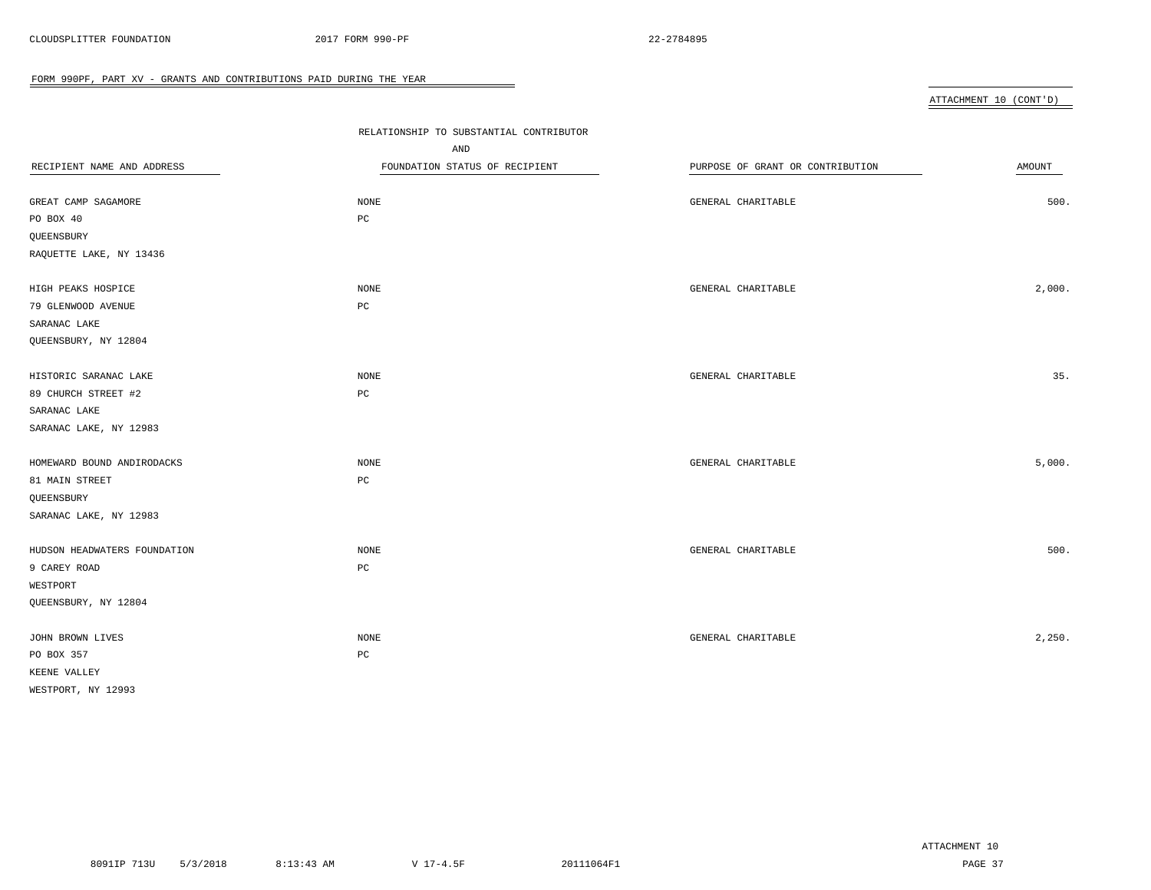ATTACHMENT 10 (CONT'D)

| RECIPIENT NAME AND ADDRESS<br>GREAT CAMP SAGAMORE<br>PO BOX 40<br>QUEENSBURY<br>RAQUETTE LAKE, NY 13436        | RELATIONSHIP TO SUBSTANTIAL CONTRIBUTOR<br>AND<br>FOUNDATION STATUS OF RECIPIENT<br><b>NONE</b><br>PC | PURPOSE OF GRANT OR CONTRIBUTION<br>GENERAL CHARITABLE | <b>AMOUNT</b><br>500. |
|----------------------------------------------------------------------------------------------------------------|-------------------------------------------------------------------------------------------------------|--------------------------------------------------------|-----------------------|
| HIGH PEAKS HOSPICE<br>79 GLENWOOD AVENUE<br>SARANAC LAKE                                                       | <b>NONE</b><br>$_{\rm PC}$                                                                            | GENERAL CHARITABLE                                     | 2,000.                |
| QUEENSBURY, NY 12804<br>HISTORIC SARANAC LAKE<br>89 CHURCH STREET #2<br>SARANAC LAKE<br>SARANAC LAKE, NY 12983 | $\rm{NONE}$<br>PC                                                                                     | GENERAL CHARITABLE                                     | 35.                   |
| HOMEWARD BOUND ANDIRODACKS<br>81 MAIN STREET<br>QUEENSBURY                                                     | <b>NONE</b><br>PC                                                                                     | GENERAL CHARITABLE                                     | 5,000.                |
| SARANAC LAKE, NY 12983<br>HUDSON HEADWATERS FOUNDATION<br>9 CAREY ROAD<br>WESTPORT<br>QUEENSBURY, NY 12804     | NONE<br>PC                                                                                            | GENERAL CHARITABLE                                     | 500.                  |
| JOHN BROWN LIVES<br>PO BOX 357<br>KEENE VALLEY<br>WESTPORT, NY 12993                                           | <b>NONE</b><br>PC                                                                                     | GENERAL CHARITABLE                                     | 2,250.                |

 $\overline{\phantom{a}}$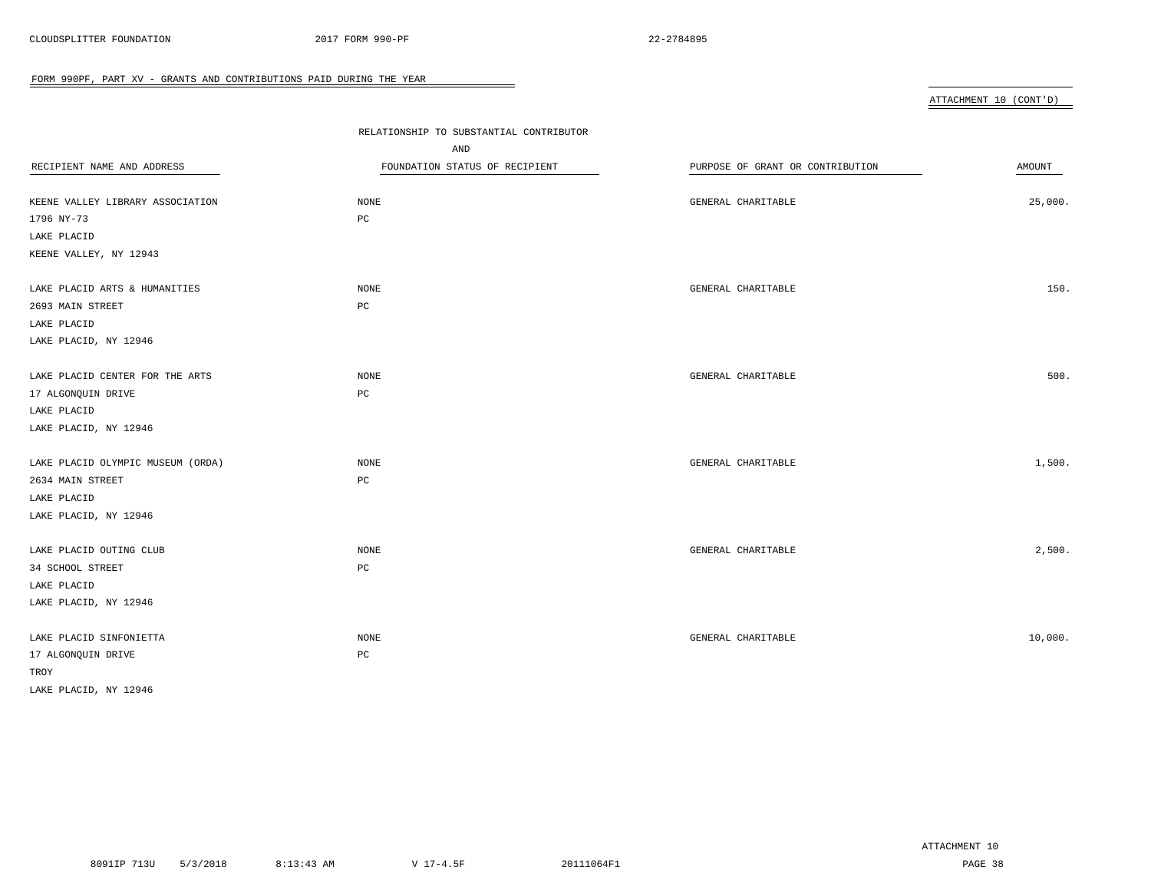#### ATTACHMENT 10 (CONT'D)

| RECIPIENT NAME AND ADDRESS<br>KEENE VALLEY LIBRARY ASSOCIATION<br>1796 NY-73<br>LAKE PLACID<br>KEENE VALLEY, NY 12943 | RELATIONSHIP TO SUBSTANTIAL CONTRIBUTOR<br>AND<br>FOUNDATION STATUS OF RECIPIENT<br>NONE<br>$_{\rm PC}$ | PURPOSE OF GRANT OR CONTRIBUTION<br>GENERAL CHARITABLE | AMOUNT<br>25,000. |
|-----------------------------------------------------------------------------------------------------------------------|---------------------------------------------------------------------------------------------------------|--------------------------------------------------------|-------------------|
| LAKE PLACID ARTS & HUMANITIES<br>2693 MAIN STREET<br>LAKE PLACID<br>LAKE PLACID, NY 12946                             | NONE<br>РC                                                                                              | GENERAL CHARITABLE                                     | 150.              |
| LAKE PLACID CENTER FOR THE ARTS<br>17 ALGONQUIN DRIVE<br>LAKE PLACID<br>LAKE PLACID, NY 12946                         | NONE<br>$_{\rm PC}$                                                                                     | GENERAL CHARITABLE                                     | 500.              |
| LAKE PLACID OLYMPIC MUSEUM (ORDA)<br>2634 MAIN STREET<br>LAKE PLACID<br>LAKE PLACID, NY 12946                         | NONE<br>$_{\rm PC}$                                                                                     | GENERAL CHARITABLE                                     | 1,500.            |
| LAKE PLACID OUTING CLUB<br>34 SCHOOL STREET<br>LAKE PLACID<br>LAKE PLACID, NY 12946                                   | NONE<br>$_{\rm PC}$                                                                                     | GENERAL CHARITABLE                                     | 2,500.            |
| LAKE PLACID SINFONIETTA<br>17 ALGONQUIN DRIVE<br>TROY<br>LAKE PLACID, NY 12946                                        | NONE<br>РC                                                                                              | GENERAL CHARITABLE                                     | 10,000.           |

 $\overline{\phantom{a}}$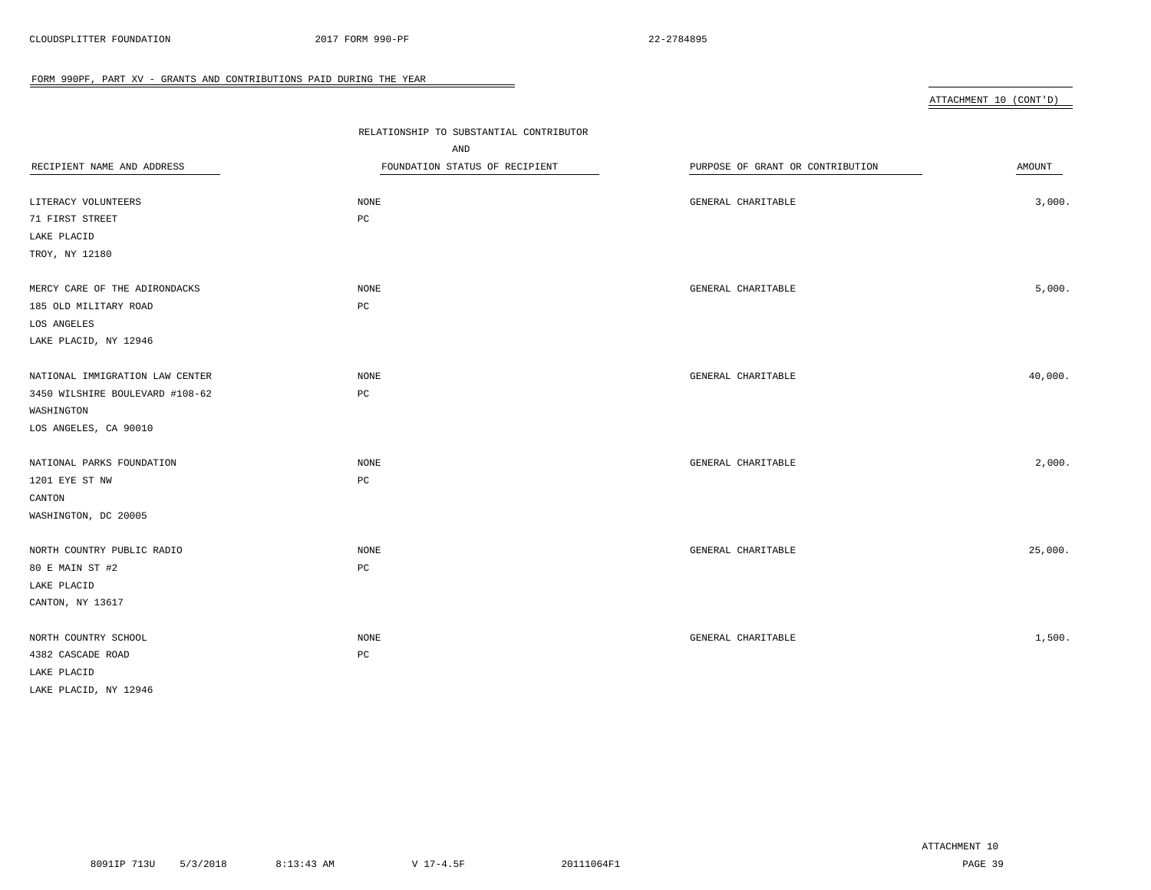| ATTACHMENT 10 (CONT'D) |  |
|------------------------|--|
|                        |  |

|                                 | RELATIONSHIP TO SUBSTANTIAL CONTRIBUTOR |                                  |         |
|---------------------------------|-----------------------------------------|----------------------------------|---------|
|                                 | AND                                     |                                  |         |
| RECIPIENT NAME AND ADDRESS      | FOUNDATION STATUS OF RECIPIENT          | PURPOSE OF GRANT OR CONTRIBUTION | AMOUNT  |
|                                 |                                         |                                  |         |
| LITERACY VOLUNTEERS             | NONE                                    | GENERAL CHARITABLE               | 3,000.  |
| 71 FIRST STREET                 | $_{\rm PC}$                             |                                  |         |
| LAKE PLACID                     |                                         |                                  |         |
| TROY, NY 12180                  |                                         |                                  |         |
| MERCY CARE OF THE ADIRONDACKS   | <b>NONE</b>                             | GENERAL CHARITABLE               | 5,000.  |
| 185 OLD MILITARY ROAD           | $_{\rm PC}$                             |                                  |         |
| LOS ANGELES                     |                                         |                                  |         |
| LAKE PLACID, NY 12946           |                                         |                                  |         |
| NATIONAL IMMIGRATION LAW CENTER | <b>NONE</b>                             | GENERAL CHARITABLE               | 40,000. |
| 3450 WILSHIRE BOULEVARD #108-62 | $_{\rm PC}$                             |                                  |         |
| WASHINGTON                      |                                         |                                  |         |
| LOS ANGELES, CA 90010           |                                         |                                  |         |
| NATIONAL PARKS FOUNDATION       | <b>NONE</b>                             | GENERAL CHARITABLE               | 2,000.  |
| 1201 EYE ST NW                  | $_{\rm PC}$                             |                                  |         |
| CANTON                          |                                         |                                  |         |
| WASHINGTON, DC 20005            |                                         |                                  |         |
| NORTH COUNTRY PUBLIC RADIO      | <b>NONE</b>                             | GENERAL CHARITABLE               | 25,000. |
| 80 E MAIN ST #2                 | $_{\rm PC}$                             |                                  |         |
| LAKE PLACID                     |                                         |                                  |         |
| CANTON, NY 13617                |                                         |                                  |         |
| NORTH COUNTRY SCHOOL            | <b>NONE</b>                             | GENERAL CHARITABLE               | 1,500.  |
| 4382 CASCADE ROAD               | $_{\rm PC}$                             |                                  |         |
| LAKE PLACID                     |                                         |                                  |         |
| LAKE PLACID, NY 12946           |                                         |                                  |         |
|                                 |                                         |                                  |         |

 $\overline{\phantom{0}}$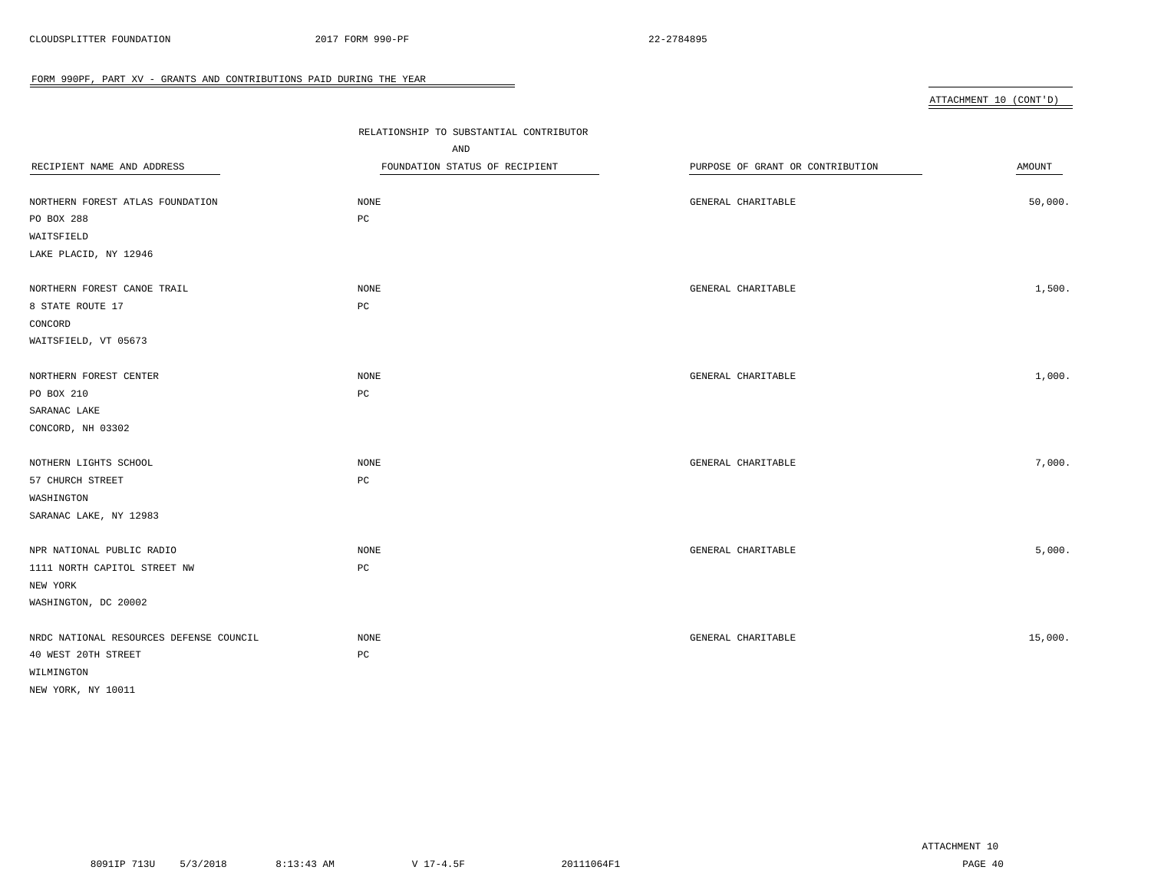### ATTACHMENT 10 (CONT'D)

|                                         | RELATIONSHIP TO SUBSTANTIAL CONTRIBUTOR |                                  |         |
|-----------------------------------------|-----------------------------------------|----------------------------------|---------|
|                                         | AND                                     |                                  |         |
| RECIPIENT NAME AND ADDRESS              | FOUNDATION STATUS OF RECIPIENT          | PURPOSE OF GRANT OR CONTRIBUTION | AMOUNT  |
| NORTHERN FOREST ATLAS FOUNDATION        | $\rm{NONE}$                             | GENERAL CHARITABLE               | 50,000. |
| PO BOX 288                              | PC                                      |                                  |         |
| WAITSFIELD                              |                                         |                                  |         |
| LAKE PLACID, NY 12946                   |                                         |                                  |         |
| NORTHERN FOREST CANOE TRAIL             | <b>NONE</b>                             | GENERAL CHARITABLE               | 1,500.  |
| 8 STATE ROUTE 17                        | $_{\rm PC}$                             |                                  |         |
| CONCORD                                 |                                         |                                  |         |
| WAITSFIELD, VT 05673                    |                                         |                                  |         |
| NORTHERN FOREST CENTER                  | NONE                                    | GENERAL CHARITABLE               | 1,000.  |
| PO BOX 210                              | PC                                      |                                  |         |
| SARANAC LAKE                            |                                         |                                  |         |
| CONCORD, NH 03302                       |                                         |                                  |         |
| NOTHERN LIGHTS SCHOOL                   | <b>NONE</b>                             | GENERAL CHARITABLE               | 7,000.  |
| 57 CHURCH STREET                        | $_{\rm PC}$                             |                                  |         |
| WASHINGTON                              |                                         |                                  |         |
| SARANAC LAKE, NY 12983                  |                                         |                                  |         |
| NPR NATIONAL PUBLIC RADIO               | $\rm{NONE}$                             | GENERAL CHARITABLE               | 5,000.  |
| 1111 NORTH CAPITOL STREET NW            | РC                                      |                                  |         |
| NEW YORK                                |                                         |                                  |         |
| WASHINGTON, DC 20002                    |                                         |                                  |         |
| NRDC NATIONAL RESOURCES DEFENSE COUNCIL | <b>NONE</b>                             | GENERAL CHARITABLE               | 15,000. |
| 40 WEST 20TH STREET                     | $_{\rm PC}$                             |                                  |         |
| WILMINGTON                              |                                         |                                  |         |
| NEW YORK, NY 10011                      |                                         |                                  |         |

 $\overline{\phantom{a}}$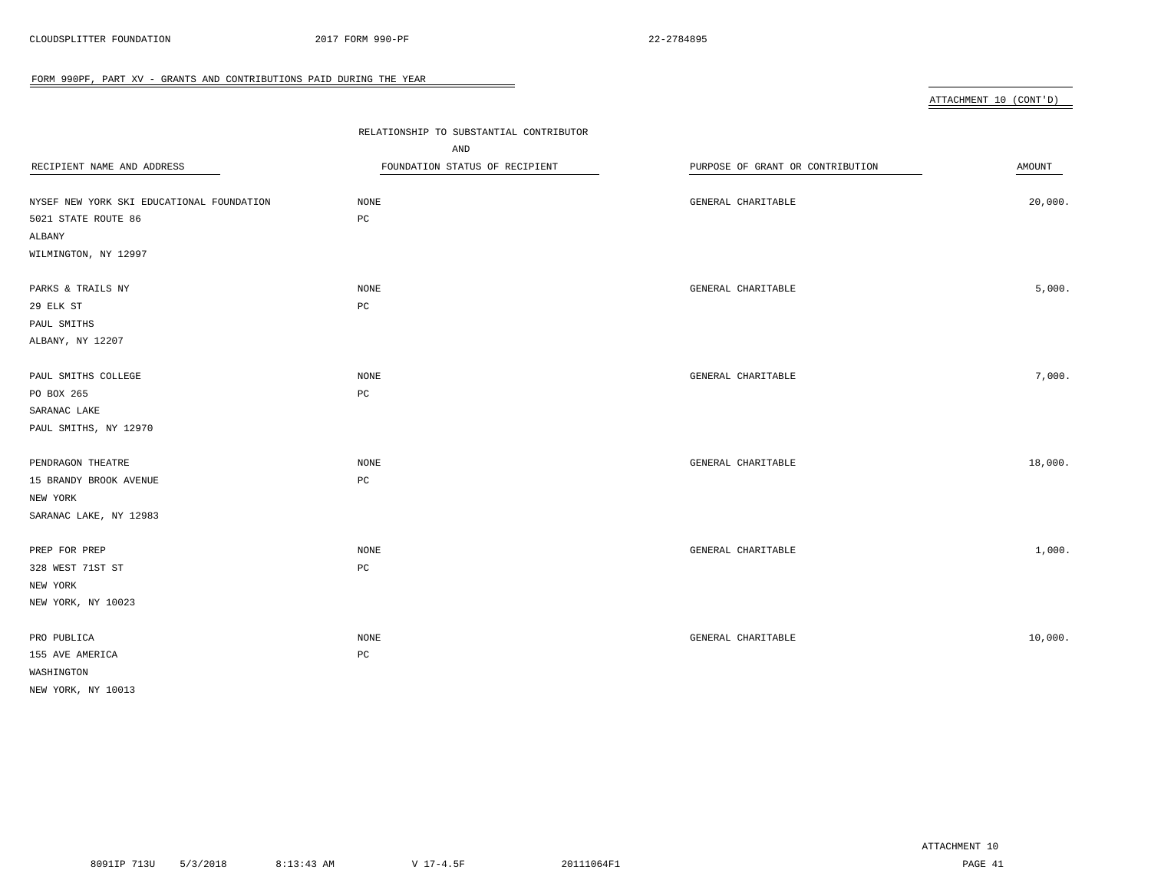ATTACHMENT 10 (CONT'D)

| RECIPIENT NAME AND ADDRESS                | RELATIONSHIP TO SUBSTANTIAL CONTRIBUTOR<br>AND<br>FOUNDATION STATUS OF RECIPIENT | PURPOSE OF GRANT OR CONTRIBUTION | AMOUNT  |
|-------------------------------------------|----------------------------------------------------------------------------------|----------------------------------|---------|
| NYSEF NEW YORK SKI EDUCATIONAL FOUNDATION | NONE                                                                             | GENERAL CHARITABLE               | 20,000. |
| 5021 STATE ROUTE 86<br>ALBANY             | $_{\rm PC}$                                                                      |                                  |         |
| WILMINGTON, NY 12997                      |                                                                                  |                                  |         |
| PARKS & TRAILS NY                         | $\rm{NONE}$                                                                      | GENERAL CHARITABLE               | 5,000.  |
| 29 ELK ST                                 | PC                                                                               |                                  |         |
| PAUL SMITHS                               |                                                                                  |                                  |         |
| ALBANY, NY 12207                          |                                                                                  |                                  |         |
| PAUL SMITHS COLLEGE                       | NONE                                                                             | GENERAL CHARITABLE               | 7,000.  |
| PO BOX 265                                | $_{\rm PC}$                                                                      |                                  |         |
| SARANAC LAKE                              |                                                                                  |                                  |         |
| PAUL SMITHS, NY 12970                     |                                                                                  |                                  |         |
| PENDRAGON THEATRE                         | <b>NONE</b>                                                                      | GENERAL CHARITABLE               | 18,000. |
| 15 BRANDY BROOK AVENUE                    | $_{\rm PC}$                                                                      |                                  |         |
| NEW YORK                                  |                                                                                  |                                  |         |
| SARANAC LAKE, NY 12983                    |                                                                                  |                                  |         |
| PREP FOR PREP                             | <b>NONE</b>                                                                      | GENERAL CHARITABLE               | 1,000.  |
| 328 WEST 71ST ST                          | $_{\rm PC}$                                                                      |                                  |         |
| NEW YORK                                  |                                                                                  |                                  |         |
| NEW YORK, NY 10023                        |                                                                                  |                                  |         |
| PRO PUBLICA                               | NONE                                                                             | GENERAL CHARITABLE               | 10,000. |
| 155 AVE AMERICA                           | $_{\rm PC}$                                                                      |                                  |         |
| WASHINGTON                                |                                                                                  |                                  |         |
| NEW YORK, NY 10013                        |                                                                                  |                                  |         |

 $\overline{\phantom{a}}$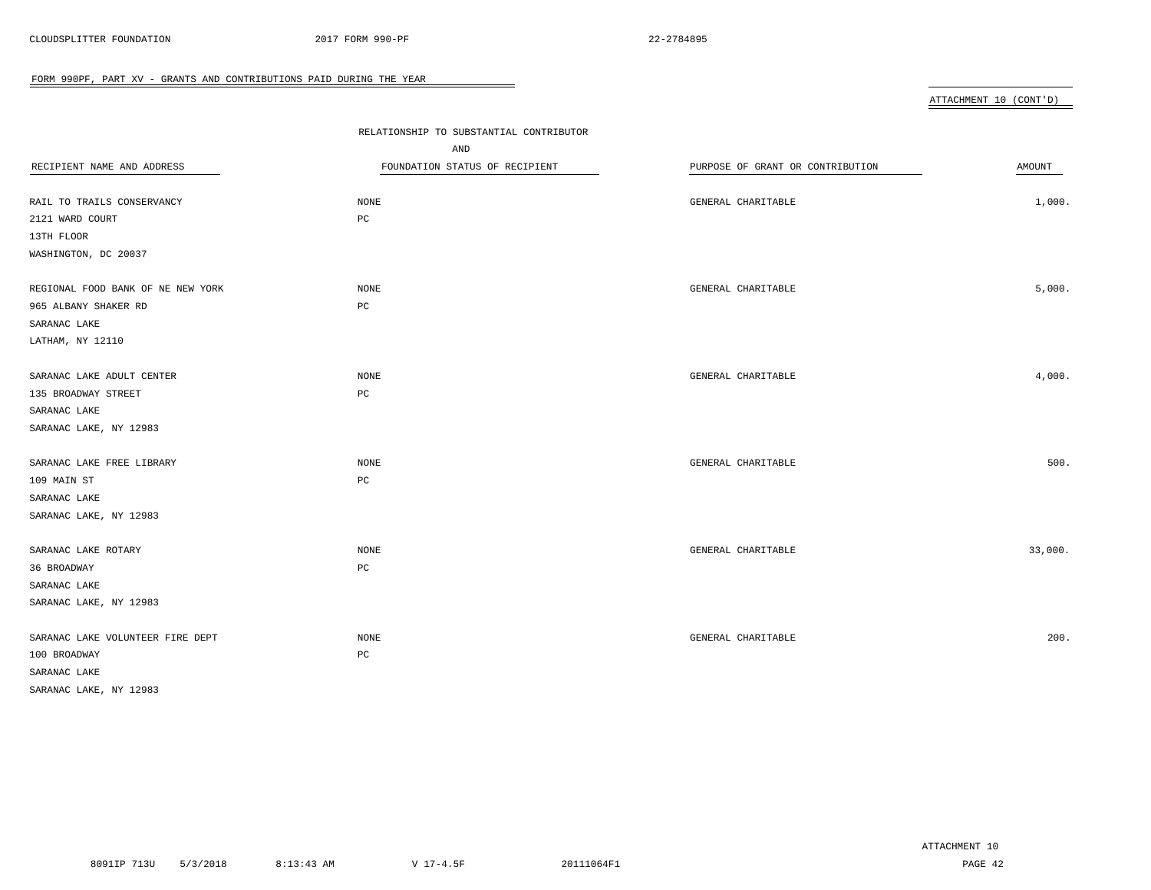ATTACHMENT 10 (CONT'D)

| RECIPIENT NAME AND ADDRESS<br>RAIL TO TRAILS CONSERVANCY<br>2121 WARD COURT<br>13TH FLOOR | RELATIONSHIP TO SUBSTANTIAL CONTRIBUTOR<br>AND<br>FOUNDATION STATUS OF RECIPIENT<br><b>NONE</b><br>PC | PURPOSE OF GRANT OR CONTRIBUTION<br>GENERAL CHARITABLE | AMOUNT<br>1,000. |
|-------------------------------------------------------------------------------------------|-------------------------------------------------------------------------------------------------------|--------------------------------------------------------|------------------|
| WASHINGTON, DC 20037                                                                      |                                                                                                       |                                                        |                  |
|                                                                                           |                                                                                                       |                                                        |                  |
| REGIONAL FOOD BANK OF NE NEW YORK                                                         | <b>NONE</b>                                                                                           | GENERAL CHARITABLE                                     | 5,000.           |
| 965 ALBANY SHAKER RD                                                                      | PC                                                                                                    |                                                        |                  |
| SARANAC LAKE                                                                              |                                                                                                       |                                                        |                  |
| LATHAM, NY 12110                                                                          |                                                                                                       |                                                        |                  |
|                                                                                           |                                                                                                       |                                                        |                  |
| SARANAC LAKE ADULT CENTER                                                                 | <b>NONE</b>                                                                                           | GENERAL CHARITABLE                                     | 4,000.           |
| 135 BROADWAY STREET                                                                       | PC                                                                                                    |                                                        |                  |
| SARANAC LAKE                                                                              |                                                                                                       |                                                        |                  |
| SARANAC LAKE, NY 12983                                                                    |                                                                                                       |                                                        |                  |
| SARANAC LAKE FREE LIBRARY                                                                 | NONE                                                                                                  | GENERAL CHARITABLE                                     | 500.             |
| 109 MAIN ST                                                                               | $_{\rm PC}$                                                                                           |                                                        |                  |
| SARANAC LAKE                                                                              |                                                                                                       |                                                        |                  |
| SARANAC LAKE, NY 12983                                                                    |                                                                                                       |                                                        |                  |
|                                                                                           |                                                                                                       |                                                        |                  |
| SARANAC LAKE ROTARY                                                                       | NONE                                                                                                  | GENERAL CHARITABLE                                     | 33,000.          |
| 36 BROADWAY                                                                               | PC                                                                                                    |                                                        |                  |
| SARANAC LAKE                                                                              |                                                                                                       |                                                        |                  |
| SARANAC LAKE, NY 12983                                                                    |                                                                                                       |                                                        |                  |
|                                                                                           |                                                                                                       |                                                        |                  |
| SARANAC LAKE VOLUNTEER FIRE DEPT                                                          | NONE                                                                                                  | GENERAL CHARITABLE                                     | 200.             |
| 100 BROADWAY                                                                              | PC                                                                                                    |                                                        |                  |
| SARANAC LAKE                                                                              |                                                                                                       |                                                        |                  |
| SARANAC LAKE, NY 12983                                                                    |                                                                                                       |                                                        |                  |

 $\overline{\phantom{a}}$ 

ATTACHMENT 10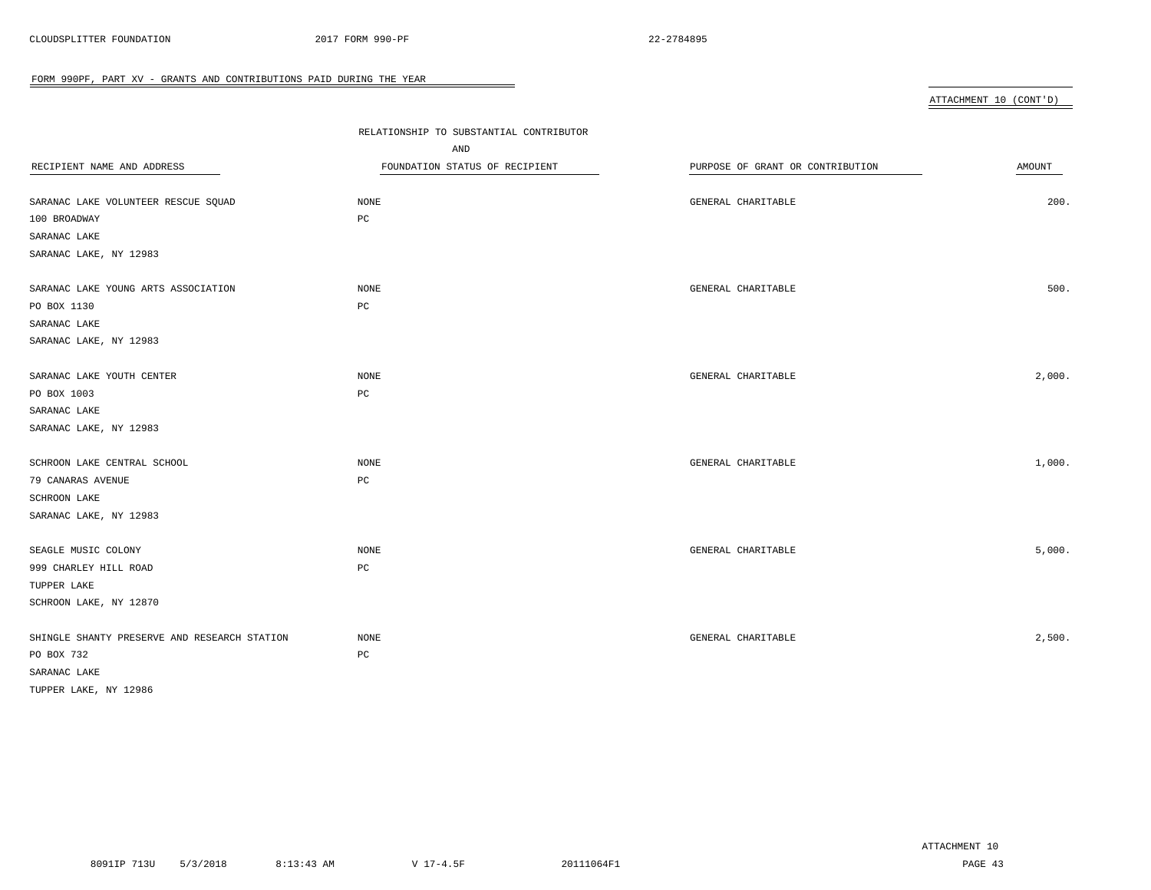ATTACHMENT 10 (CONT'D)

|                                              | RELATIONSHIP TO SUBSTANTIAL CONTRIBUTOR |                                  |        |
|----------------------------------------------|-----------------------------------------|----------------------------------|--------|
|                                              | AND                                     |                                  |        |
| RECIPIENT NAME AND ADDRESS                   | FOUNDATION STATUS OF RECIPIENT          | PURPOSE OF GRANT OR CONTRIBUTION | AMOUNT |
|                                              |                                         |                                  |        |
| SARANAC LAKE VOLUNTEER RESCUE SQUAD          | NONE                                    | GENERAL CHARITABLE               | 200.   |
| 100 BROADWAY                                 | $_{\rm PC}$                             |                                  |        |
| SARANAC LAKE                                 |                                         |                                  |        |
| SARANAC LAKE, NY 12983                       |                                         |                                  |        |
|                                              |                                         |                                  |        |
| SARANAC LAKE YOUNG ARTS ASSOCIATION          | <b>NONE</b>                             | GENERAL CHARITABLE               | 500.   |
| PO BOX 1130                                  | $_{\rm PC}$                             |                                  |        |
| SARANAC LAKE                                 |                                         |                                  |        |
| SARANAC LAKE, NY 12983                       |                                         |                                  |        |
| SARANAC LAKE YOUTH CENTER                    | NONE                                    | GENERAL CHARITABLE               | 2,000. |
| PO BOX 1003                                  | $_{\rm PC}$                             |                                  |        |
| SARANAC LAKE                                 |                                         |                                  |        |
| SARANAC LAKE, NY 12983                       |                                         |                                  |        |
|                                              |                                         |                                  |        |
| SCHROON LAKE CENTRAL SCHOOL                  | NONE                                    | GENERAL CHARITABLE               | 1,000. |
| 79 CANARAS AVENUE                            | $_{\rm PC}$                             |                                  |        |
| SCHROON LAKE                                 |                                         |                                  |        |
| SARANAC LAKE, NY 12983                       |                                         |                                  |        |
|                                              |                                         |                                  |        |
| SEAGLE MUSIC COLONY                          | NONE                                    | GENERAL CHARITABLE               | 5,000. |
| 999 CHARLEY HILL ROAD                        | $_{\rm PC}$                             |                                  |        |
| TUPPER LAKE                                  |                                         |                                  |        |
| SCHROON LAKE, NY 12870                       |                                         |                                  |        |
| SHINGLE SHANTY PRESERVE AND RESEARCH STATION | NONE                                    | GENERAL CHARITABLE               | 2,500. |
| PO BOX 732                                   | PC                                      |                                  |        |
| SARANAC LAKE                                 |                                         |                                  |        |
| TUPPER LAKE, NY 12986                        |                                         |                                  |        |

 $\overline{\phantom{a}}$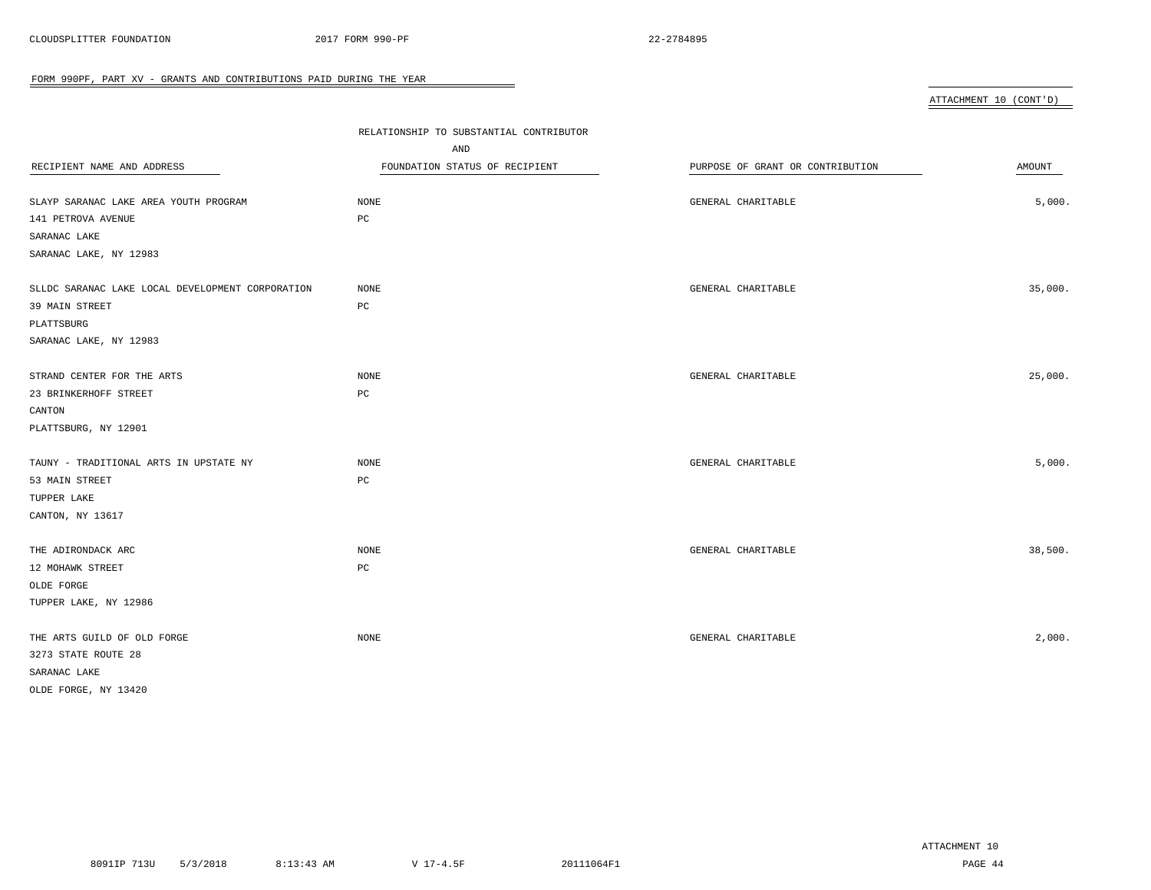|                                                  |                                         |                                  | ATTACHMENT 10 (CONT'D) |
|--------------------------------------------------|-----------------------------------------|----------------------------------|------------------------|
|                                                  | RELATIONSHIP TO SUBSTANTIAL CONTRIBUTOR |                                  |                        |
|                                                  | AND                                     |                                  |                        |
| RECIPIENT NAME AND ADDRESS                       | FOUNDATION STATUS OF RECIPIENT          | PURPOSE OF GRANT OR CONTRIBUTION | AMOUNT                 |
|                                                  |                                         |                                  |                        |
| SLAYP SARANAC LAKE AREA YOUTH PROGRAM            | <b>NONE</b>                             | GENERAL CHARITABLE               | 5,000.                 |
| 141 PETROVA AVENUE                               | PC                                      |                                  |                        |
| SARANAC LAKE                                     |                                         |                                  |                        |
| SARANAC LAKE, NY 12983                           |                                         |                                  |                        |
| SLLDC SARANAC LAKE LOCAL DEVELOPMENT CORPORATION | <b>NONE</b>                             | GENERAL CHARITABLE               | 35,000.                |
| 39 MAIN STREET                                   | PC                                      |                                  |                        |
| PLATTSBURG                                       |                                         |                                  |                        |
| SARANAC LAKE, NY 12983                           |                                         |                                  |                        |
|                                                  |                                         |                                  |                        |
| STRAND CENTER FOR THE ARTS                       | NONE                                    | GENERAL CHARITABLE               | 25,000.                |
| 23 BRINKERHOFF STREET                            | PC                                      |                                  |                        |
| CANTON                                           |                                         |                                  |                        |
| PLATTSBURG, NY 12901                             |                                         |                                  |                        |
|                                                  |                                         |                                  |                        |
| TAUNY - TRADITIONAL ARTS IN UPSTATE NY           | NONE                                    | GENERAL CHARITABLE               | 5,000.                 |
| 53 MAIN STREET                                   | $_{\rm PC}$                             |                                  |                        |
| TUPPER LAKE                                      |                                         |                                  |                        |
| CANTON, NY 13617                                 |                                         |                                  |                        |

 $\overline{\phantom{0}}$ 

| NONE | GENERAL CHARITABLE | 38,500. |
|------|--------------------|---------|
| PC   |                    |         |
|      |                    |         |
|      |                    |         |
|      |                    |         |

| THE ARTS GUILD OF OLD FORGE | NONE | GENERAL CHARITABLE | 2,000. |
|-----------------------------|------|--------------------|--------|
| 3273 STATE ROUTE 28         |      |                    |        |
| SARANAC LAKE                |      |                    |        |
| OLDE FORGE, NY 13420        |      |                    |        |

ATTACHMENT 10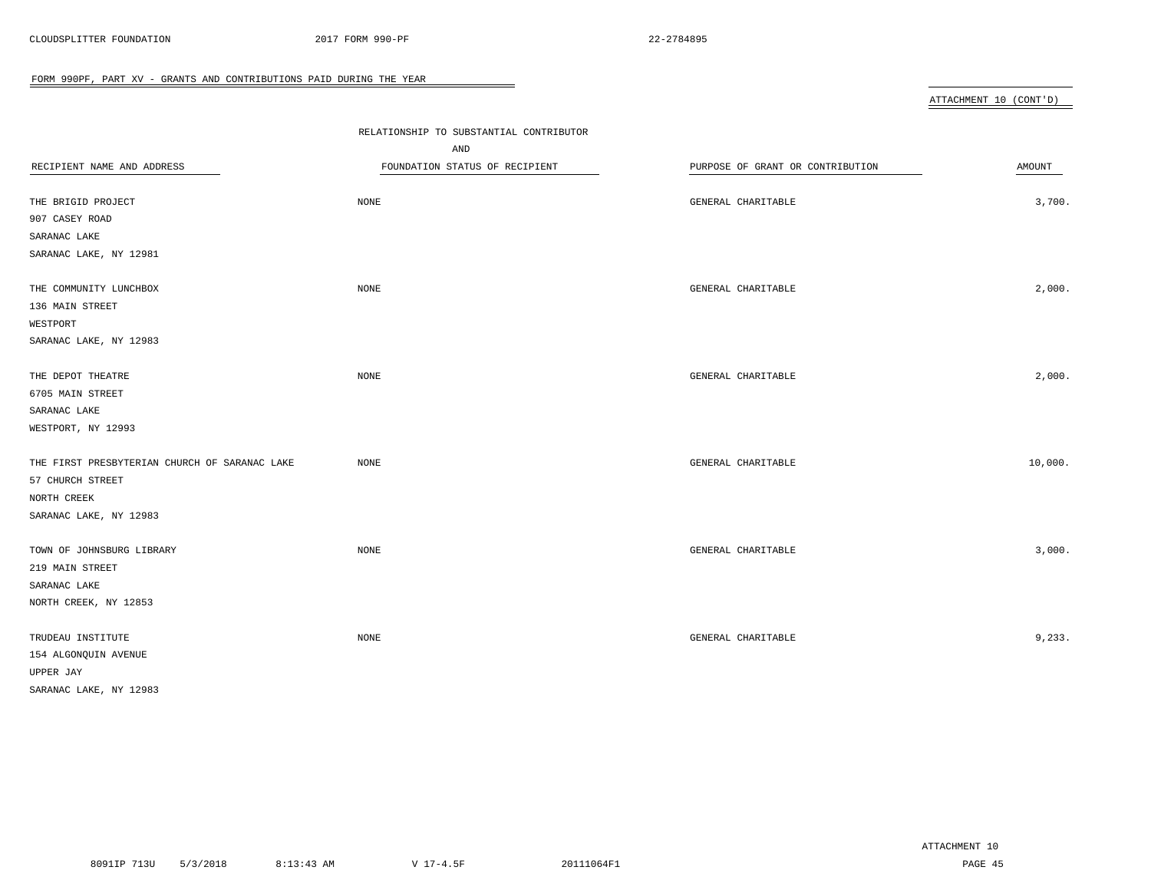|                                               |                                         |                                  | ATTACHMENT 10 (CONT'D) |
|-----------------------------------------------|-----------------------------------------|----------------------------------|------------------------|
|                                               |                                         |                                  |                        |
|                                               | RELATIONSHIP TO SUBSTANTIAL CONTRIBUTOR |                                  |                        |
|                                               | AND                                     |                                  |                        |
| RECIPIENT NAME AND ADDRESS                    | FOUNDATION STATUS OF RECIPIENT          | PURPOSE OF GRANT OR CONTRIBUTION | AMOUNT                 |
| THE BRIGID PROJECT                            | $\rm{NONE}$                             | GENERAL CHARITABLE               | 3,700.                 |
| 907 CASEY ROAD                                |                                         |                                  |                        |
| SARANAC LAKE                                  |                                         |                                  |                        |
| SARANAC LAKE, NY 12981                        |                                         |                                  |                        |
|                                               |                                         |                                  |                        |
| THE COMMUNITY LUNCHBOX                        | $\rm{NONE}$                             | GENERAL CHARITABLE               | 2,000.                 |
| 136 MAIN STREET                               |                                         |                                  |                        |
| WESTPORT                                      |                                         |                                  |                        |
| SARANAC LAKE, NY 12983                        |                                         |                                  |                        |
|                                               |                                         |                                  |                        |
| THE DEPOT THEATRE                             | <b>NONE</b>                             | GENERAL CHARITABLE               | 2,000.                 |
| 6705 MAIN STREET                              |                                         |                                  |                        |
| SARANAC LAKE                                  |                                         |                                  |                        |
| WESTPORT, NY 12993                            |                                         |                                  |                        |
|                                               |                                         |                                  |                        |
| THE FIRST PRESBYTERIAN CHURCH OF SARANAC LAKE | NONE                                    | GENERAL CHARITABLE               | 10,000.                |
| 57 CHURCH STREET                              |                                         |                                  |                        |
| NORTH CREEK                                   |                                         |                                  |                        |
| SARANAC LAKE, NY 12983                        |                                         |                                  |                        |
|                                               |                                         |                                  |                        |
| TOWN OF JOHNSBURG LIBRARY                     | NONE                                    | GENERAL CHARITABLE               | 3,000.                 |
| 219 MAIN STREET                               |                                         |                                  |                        |
| SARANAC LAKE                                  |                                         |                                  |                        |
| NORTH CREEK, NY 12853                         |                                         |                                  |                        |
|                                               |                                         |                                  |                        |
| TRUDEAU INSTITUTE                             | NONE                                    | GENERAL CHARITABLE               | 9,233.                 |
| 154 ALGONQUIN AVENUE                          |                                         |                                  |                        |
| UPPER JAY                                     |                                         |                                  |                        |

 $\overline{\phantom{0}}$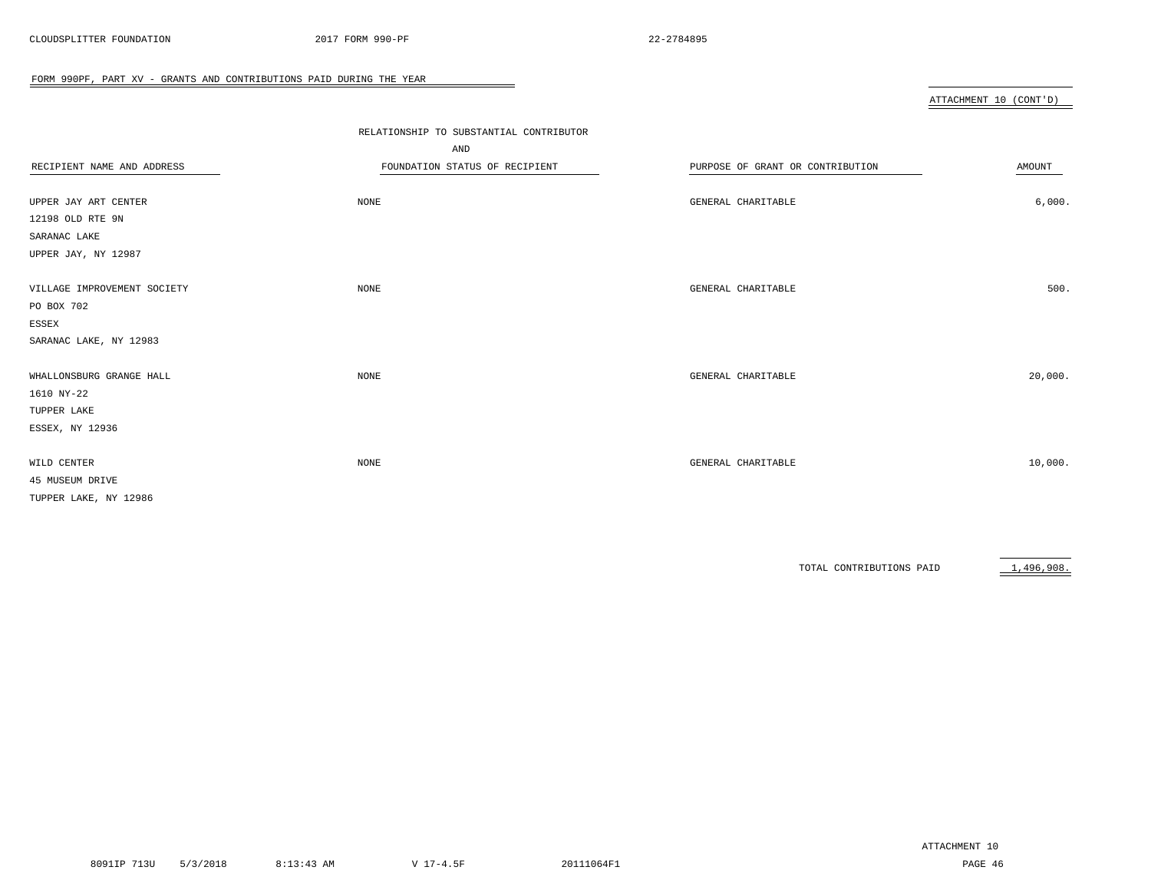|                             |                                         |                                  | ATTACHMENT 10 (CONT'D) |
|-----------------------------|-----------------------------------------|----------------------------------|------------------------|
|                             |                                         |                                  |                        |
|                             | RELATIONSHIP TO SUBSTANTIAL CONTRIBUTOR |                                  |                        |
|                             | AND                                     |                                  |                        |
| RECIPIENT NAME AND ADDRESS  | FOUNDATION STATUS OF RECIPIENT          | PURPOSE OF GRANT OR CONTRIBUTION | AMOUNT                 |
|                             |                                         |                                  |                        |
| UPPER JAY ART CENTER        | NONE                                    | GENERAL CHARITABLE               | 6,000.                 |
| 12198 OLD RTE 9N            |                                         |                                  |                        |
| SARANAC LAKE                |                                         |                                  |                        |
| UPPER JAY, NY 12987         |                                         |                                  |                        |
|                             |                                         |                                  |                        |
| VILLAGE IMPROVEMENT SOCIETY | NONE                                    | GENERAL CHARITABLE               | 500.                   |
| PO BOX 702                  |                                         |                                  |                        |
| ESSEX                       |                                         |                                  |                        |
| SARANAC LAKE, NY 12983      |                                         |                                  |                        |
| WHALLONSBURG GRANGE HALL    | NONE                                    | GENERAL CHARITABLE               | 20,000.                |
| 1610 NY-22                  |                                         |                                  |                        |
| TUPPER LAKE                 |                                         |                                  |                        |
| ESSEX, NY 12936             |                                         |                                  |                        |
|                             |                                         |                                  |                        |
| WILD CENTER                 | NONE                                    | GENERAL CHARITABLE               | 10,000.                |
| 45 MUSEUM DRIVE             |                                         |                                  |                        |
| TUPPER LAKE, NY 12986       |                                         |                                  |                        |

 $\overline{\phantom{a}}$ 

TOTAL CONTRIBUTIONS PAID 1,496,908.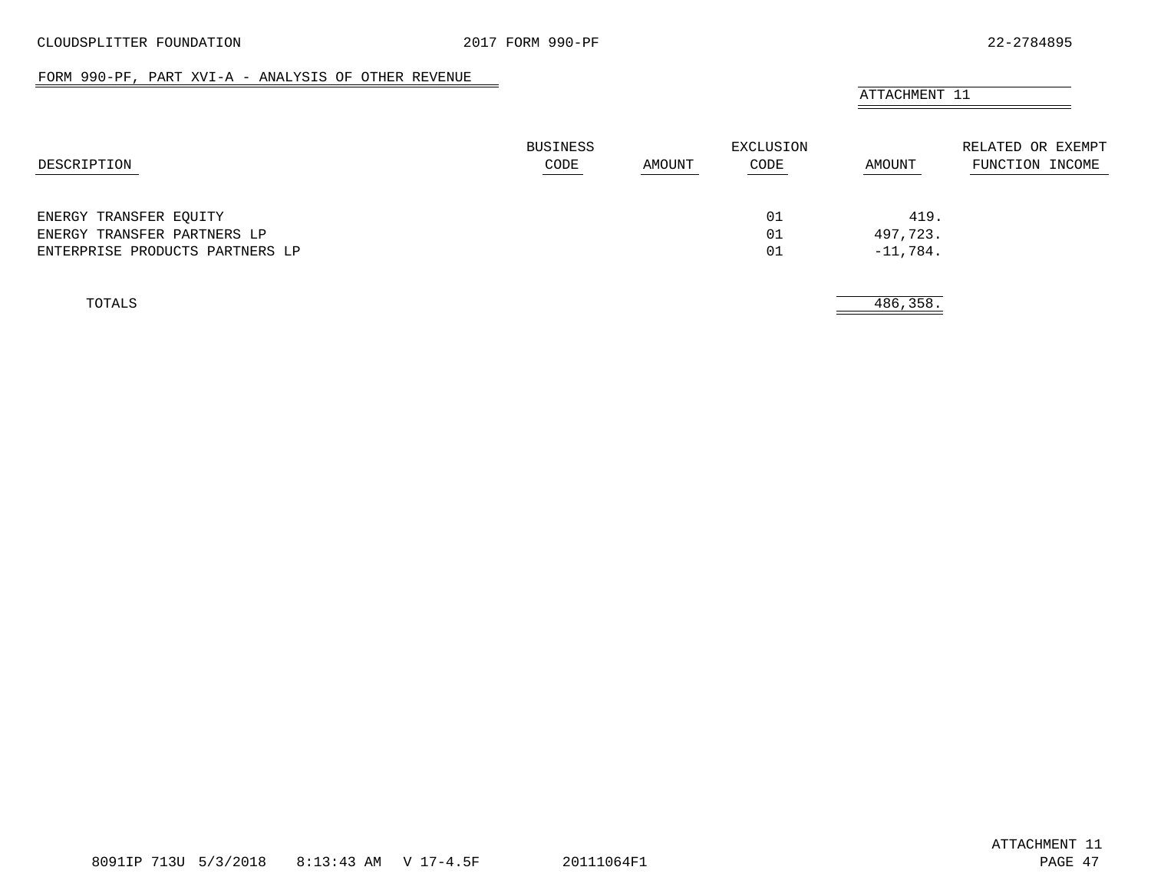#### FORM 990-PF, PART XVI-A - ANALYSIS OF OTHER REVENUE

<span id="page-45-0"></span>

|                                 | BUSINESS |        | EXCLUSION |            | RELATED OR EXEMPT |
|---------------------------------|----------|--------|-----------|------------|-------------------|
| DESCRIPTION                     | CODE     | AMOUNT | CODE      | AMOUNT     | FUNCTION INCOME   |
| ENERGY TRANSFER EQUITY          |          |        | 01        | 419.       |                   |
| ENERGY TRANSFER PARTNERS LP     |          |        | 01        | 497,723.   |                   |
| ENTERPRISE PRODUCTS PARTNERS LP |          |        | 01        | $-11,784.$ |                   |
| TOTALS                          |          |        |           | 486,358.   |                   |

8091IP 713U 5/3/2018 8:13:43 AM V 17-4.5F 20111064F1 PAGE 47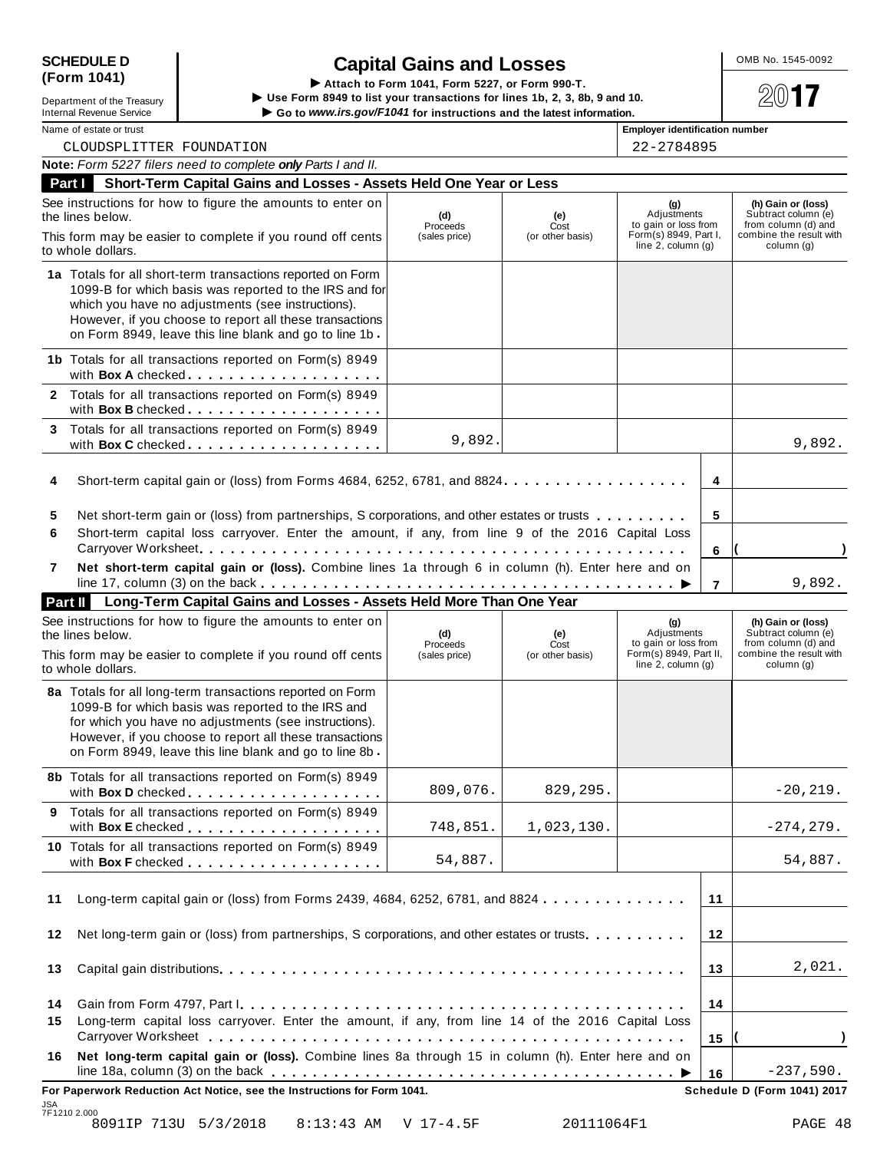| <b>SCHEDULE D</b> |  |
|-------------------|--|
| (Form 1041)       |  |

SCHEDULE D<br>
(Form 1041)<br>
Lepartment of the Treasury<br>
Lepartment of the Treasury<br>
Lepartment of the Treasury<br>
Computer of the Section 1994 to list your transactions for lines 1b, 2, 3, 8b, 9 and 10.<br>
Computer of the Sectio Department of the Treasury<br>Internal Revenue Service<br>Internal Revenue Service<br>Name of estate or trust<br>Name of estate or trust<br>Name of estate or trust<br>Name of estate or trust<br>Internal Revenue Service<br>Internal Revenue Service

| Name of estate or trust |  |  |  |
|-------------------------|--|--|--|

| າe of estate or trust |            | <b>Emplover identification nur</b> |  |
|-----------------------|------------|------------------------------------|--|
| CLOUDSPLITTER         | FOUNDATION | 22-2784895                         |  |

|                                       | Note: Form 5227 filers need to complete only Parts I and II.                                                                                                                                                                                                                                   |                                  |                                 |                                                                                                 |                     |                                                                                                           |
|---------------------------------------|------------------------------------------------------------------------------------------------------------------------------------------------------------------------------------------------------------------------------------------------------------------------------------------------|----------------------------------|---------------------------------|-------------------------------------------------------------------------------------------------|---------------------|-----------------------------------------------------------------------------------------------------------|
| Part I                                | Short-Term Capital Gains and Losses - Assets Held One Year or Less                                                                                                                                                                                                                             |                                  |                                 |                                                                                                 |                     |                                                                                                           |
| the lines below.<br>to whole dollars. | See instructions for how to figure the amounts to enter on<br>This form may be easier to complete if you round off cents                                                                                                                                                                       | (d)<br>Proceeds<br>(sales price) | (e)<br>Cost<br>(or other basis) | (g)<br>Adjustments<br>to gain or loss from<br>Form(s) 8949, Part I,<br>line $2$ , column $(g)$  |                     | (h) Gain or (loss)<br>Subtract column (e)<br>from column (d) and<br>combine the result with<br>column (q) |
|                                       | 1a Totals for all short-term transactions reported on Form<br>1099-B for which basis was reported to the IRS and for<br>which you have no adjustments (see instructions).<br>However, if you choose to report all these transactions<br>on Form 8949, leave this line blank and go to line 1b. |                                  |                                 |                                                                                                 |                     |                                                                                                           |
|                                       | 1b Totals for all transactions reported on Form(s) 8949<br>with Box A checked                                                                                                                                                                                                                  |                                  |                                 |                                                                                                 |                     |                                                                                                           |
|                                       | 2 Totals for all transactions reported on Form(s) 8949                                                                                                                                                                                                                                         |                                  |                                 |                                                                                                 |                     |                                                                                                           |
| 3                                     | Totals for all transactions reported on Form(s) 8949<br>with Box C checked.                                                                                                                                                                                                                    | 9,892.                           |                                 |                                                                                                 |                     | 9,892.                                                                                                    |
| 4                                     | Short-term capital gain or (loss) from Forms 4684, 6252, 6781, and 8824.                                                                                                                                                                                                                       |                                  |                                 |                                                                                                 | 4                   |                                                                                                           |
| 5<br>6                                | Net short-term gain or (loss) from partnerships, S corporations, and other estates or trusts<br>Short-term capital loss carryover. Enter the amount, if any, from line 9 of the 2016 Capital Loss                                                                                              |                                  |                                 |                                                                                                 | 5                   |                                                                                                           |
| 7                                     | Carryover Worksheet.<br>Net short-term capital gain or (loss). Combine lines 1a through 6 in column (h). Enter here and on                                                                                                                                                                     |                                  |                                 |                                                                                                 | 6<br>$\overline{7}$ | 9,892.                                                                                                    |
| Part II                               | Long-Term Capital Gains and Losses - Assets Held More Than One Year                                                                                                                                                                                                                            |                                  |                                 |                                                                                                 |                     |                                                                                                           |
| the lines below.<br>to whole dollars. | See instructions for how to figure the amounts to enter on<br>This form may be easier to complete if you round off cents                                                                                                                                                                       | (d)<br>Proceeds<br>(sales price) | (e)<br>Cost<br>(or other basis) | (g)<br>Adjustments<br>to gain or loss from<br>Form(s) 8949, Part II,<br>line $2$ , column $(g)$ |                     | (h) Gain or (loss)<br>Subtract column (e)<br>from column (d) and<br>combine the result with<br>column (g) |
|                                       | 8a Totals for all long-term transactions reported on Form<br>1099-B for which basis was reported to the IRS and<br>for which you have no adjustments (see instructions).<br>However, if you choose to report all these transactions<br>on Form 8949, leave this line blank and go to line 8b   |                                  |                                 |                                                                                                 |                     |                                                                                                           |
|                                       | 8b Totals for all transactions reported on Form(s) 8949<br>with Box D checked                                                                                                                                                                                                                  | 809,076.                         | 829,295.                        |                                                                                                 |                     | $-20, 219.$                                                                                               |
|                                       | Totals for all transactions reported on Form(s) 8949                                                                                                                                                                                                                                           | 748,851.                         | 1,023,130.                      |                                                                                                 |                     | $-274, 279.$                                                                                              |
|                                       | 10 Totals for all transactions reported on Form(s) 8949                                                                                                                                                                                                                                        | 54,887.                          |                                 |                                                                                                 |                     | 54,887.                                                                                                   |
| 11                                    | Long-term capital gain or (loss) from Forms 2439, 4684, 6252, 6781, and 8824                                                                                                                                                                                                                   |                                  |                                 |                                                                                                 | 11                  |                                                                                                           |
| 12                                    | Net long-term gain or (loss) from partnerships, S corporations, and other estates or trusts                                                                                                                                                                                                    |                                  |                                 |                                                                                                 | 12                  |                                                                                                           |
| 13                                    |                                                                                                                                                                                                                                                                                                |                                  |                                 |                                                                                                 | 13                  | 2,021.                                                                                                    |
| 14<br>15                              | Long-term capital loss carryover. Enter the amount, if any, from line 14 of the 2016 Capital Loss                                                                                                                                                                                              |                                  |                                 |                                                                                                 | 14<br>15            |                                                                                                           |
| 16                                    | Net long-term capital gain or (loss). Combine lines 8a through 15 in column (h). Enter here and on                                                                                                                                                                                             |                                  |                                 |                                                                                                 | 16                  | $-237,590.$                                                                                               |
|                                       | For Paperwork Reduction Act Notice, see the Instructions for Form 1041.                                                                                                                                                                                                                        |                                  |                                 |                                                                                                 |                     | Schedule D (Form 1041) 2017                                                                               |
| JSA<br>7F1210 2.000                   | 8091IP 713U 5/3/2018<br>$8:13:43$ AM                                                                                                                                                                                                                                                           | V 17-4.5F                        | 20111064F1                      |                                                                                                 |                     | PAGE 48                                                                                                   |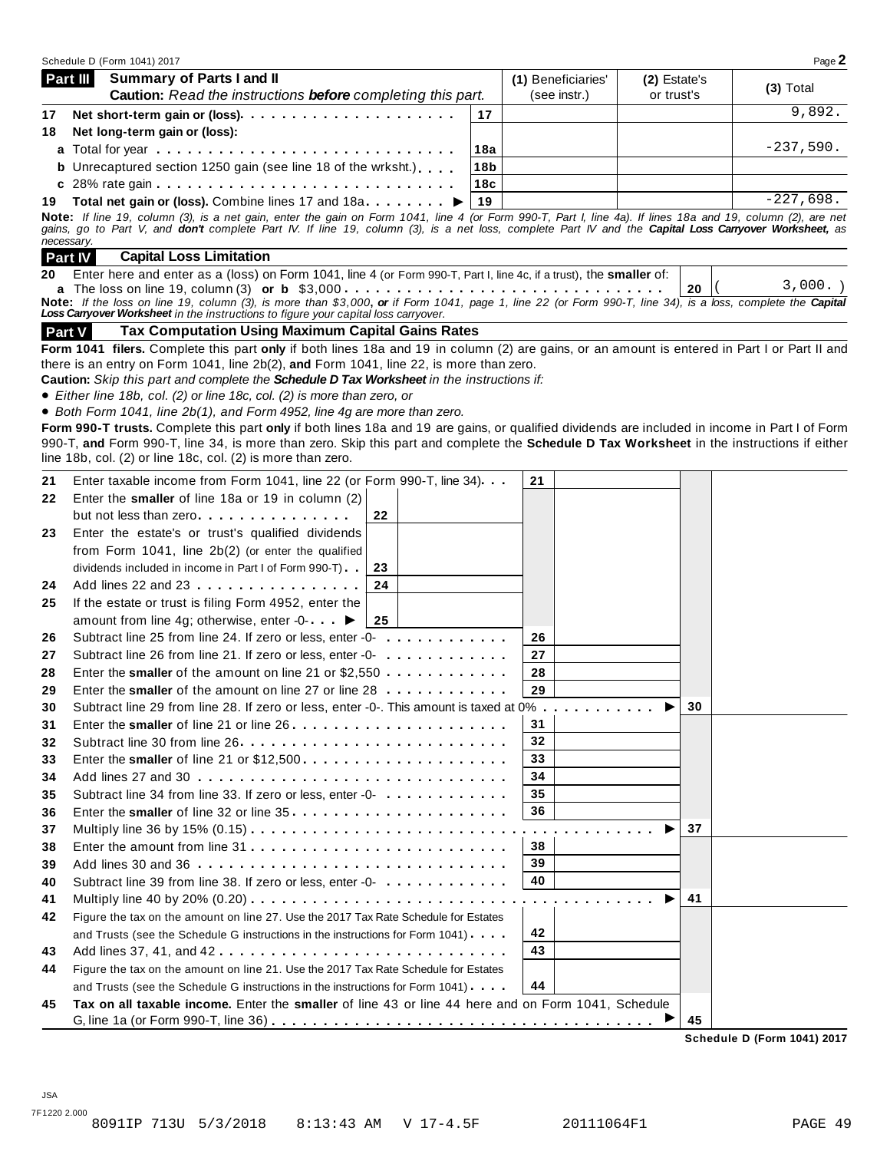| Schedule D (Form 1041) 2017                                                                                                                                                                                                            |                 |                                                |              | Page 2      |
|----------------------------------------------------------------------------------------------------------------------------------------------------------------------------------------------------------------------------------------|-----------------|------------------------------------------------|--------------|-------------|
| Summary of Parts I and II<br><b>Part III</b>                                                                                                                                                                                           |                 | (1) Beneficiaries'                             | (2) Estate's |             |
| <b>Caution:</b> Read the instructions <b>before</b> completing this part.                                                                                                                                                              |                 | (see instr.)                                   | or trust's   | $(3)$ Total |
| Net short-term gain or (loss)<br>17                                                                                                                                                                                                    | 17              |                                                |              | 9,892.      |
| Net long-term gain or (loss):<br>18                                                                                                                                                                                                    |                 |                                                |              |             |
|                                                                                                                                                                                                                                        | 18a             |                                                |              | $-237,590.$ |
| <b>b</b> Unrecaptured section 1250 gain (see line 18 of the wrksht.)                                                                                                                                                                   | 18 <sub>b</sub> |                                                |              |             |
| c 28% rate gain $\ldots$ $\ldots$ $\ldots$ $\ldots$ $\ldots$ $\ldots$ $\ldots$ $\ldots$ $\ldots$ $\ldots$ $\ldots$                                                                                                                     | 18c             |                                                |              |             |
| Total net gain or (loss). Combine lines 17 and 18a ▶<br>19                                                                                                                                                                             | 19              |                                                |              | $-227,698.$ |
| Note: If line 19, column (3), is a net gain, enter the gain on Form 1041, line 4 (or Form 990-T, Part I, line 4a). If lines 18a and 19, column (2), are net                                                                            |                 |                                                |              |             |
| gains, go to Part V, and don't complete Part IV. If line 19, column (3), is a net loss, complete Part IV and the Capital Loss Carryover Worksheet, as<br>necessary.                                                                    |                 |                                                |              |             |
| <b>Capital Loss Limitation</b><br><b>Part IV</b>                                                                                                                                                                                       |                 |                                                |              |             |
| Enter here and enter as a (loss) on Form 1041, line 4 (or Form 990-T, Part I, line 4c, if a trust), the smaller of:<br>20                                                                                                              |                 |                                                |              |             |
|                                                                                                                                                                                                                                        |                 |                                                | 20           | $3,000.$ )  |
| Note: If the loss on line 19, column (3), is more than \$3,000, or if Form 1041, page 1, line 22 (or Form 990-T, line 34), is a loss, complete the Capital                                                                             |                 |                                                |              |             |
| Loss Carryover Worksheet in the instructions to figure your capital loss carryover.                                                                                                                                                    |                 |                                                |              |             |
| <b>Tax Computation Using Maximum Capital Gains Rates</b><br><b>Part V</b>                                                                                                                                                              |                 |                                                |              |             |
| Form 1041 filers. Complete this part only if both lines 18a and 19 in column (2) are gains, or an amount is entered in Part I or Part II and<br>there is an entry on Form 1041, line 2b(2), and Form 1041, line 22, is more than zero. |                 |                                                |              |             |
| Caution: Skip this part and complete the Schedule D Tax Worksheet in the instructions if:                                                                                                                                              |                 |                                                |              |             |
| • Either line 18b, col. (2) or line 18c, col. (2) is more than zero, or                                                                                                                                                                |                 |                                                |              |             |
| • Both Form 1041, line 2b(1), and Form 4952, line 4g are more than zero.                                                                                                                                                               |                 |                                                |              |             |
| Form 990-T trusts. Complete this part only if both lines 18a and 19 are gains, or qualified dividends are included in income in Part I of Form                                                                                         |                 |                                                |              |             |
| 990-T, and Form 990-T, line 34, is more than zero. Skip this part and complete the Schedule D Tax Worksheet in the instructions if either                                                                                              |                 |                                                |              |             |
| line 18b, col. (2) or line 18c, col. (2) is more than zero.                                                                                                                                                                            |                 |                                                |              |             |
| Enter taxable income from Form 1041, line 22 (or Form 990-T, line 34).<br>21                                                                                                                                                           |                 | 21                                             |              |             |
| Enter the smaller of line 18a or 19 in column (2)<br>22                                                                                                                                                                                |                 |                                                |              |             |
| but not less than zero<br>22                                                                                                                                                                                                           |                 |                                                |              |             |
| Enter the estate's or trust's qualified dividends<br>23                                                                                                                                                                                |                 |                                                |              |             |
| from Form 1041, line 2b(2) (or enter the qualified                                                                                                                                                                                     |                 |                                                |              |             |
| dividends included in income in Part I of Form 990-T)<br>23                                                                                                                                                                            |                 |                                                |              |             |
| 24<br>Add lines 22 and 23<br>24                                                                                                                                                                                                        |                 |                                                |              |             |
| If the estate or trust is filing Form 4952, enter the<br>25                                                                                                                                                                            |                 |                                                |              |             |
| amount from line 4g; otherwise, enter -0- ▶<br>25                                                                                                                                                                                      |                 |                                                |              |             |
| Subtract line 25 from line 24. If zero or less, enter -0-<br>26                                                                                                                                                                        |                 | 26                                             |              |             |
| Subtract line 26 from line 21. If zero or less, enter -0-<br>27                                                                                                                                                                        |                 | 27                                             |              |             |
| Enter the smaller of the amount on line 21 or $$2,550$<br>28                                                                                                                                                                           |                 | 28                                             |              |             |
| Enter the smaller of the amount on line 27 or line 28<br>29                                                                                                                                                                            |                 | 29                                             |              |             |
| Subtract line 29 from line 28. If zero or less, enter -0-. This amount is taxed at 0%.<br>30                                                                                                                                           |                 | a construction of the construction of the con- | 30           |             |
| 31                                                                                                                                                                                                                                     |                 | 31                                             |              |             |
| Subtract line 30 from line 26<br>32                                                                                                                                                                                                    |                 | 32                                             |              |             |
| Enter the smaller of line 21 or \$12,500<br>33                                                                                                                                                                                         |                 | 33                                             |              |             |
| 34                                                                                                                                                                                                                                     |                 | 34                                             |              |             |
| Subtract line 34 from line 33. If zero or less, enter -0-<br>35                                                                                                                                                                        |                 | 35                                             |              |             |
| 36                                                                                                                                                                                                                                     |                 | 36                                             |              |             |
| 37                                                                                                                                                                                                                                     |                 |                                                | 37           |             |
| 38                                                                                                                                                                                                                                     |                 | .<br>38                                        |              |             |
|                                                                                                                                                                                                                                        |                 | 39                                             |              |             |
| 39<br>Subtract line 39 from line 38. If zero or less, enter -0-                                                                                                                                                                        |                 | 40                                             |              |             |
| 40                                                                                                                                                                                                                                     |                 |                                                |              |             |
| 41                                                                                                                                                                                                                                     |                 |                                                | 41           |             |
| Figure the tax on the amount on line 27. Use the 2017 Tax Rate Schedule for Estates<br>42                                                                                                                                              |                 |                                                |              |             |
| and Trusts (see the Schedule G instructions in the instructions for Form 1041).                                                                                                                                                        |                 | 42                                             |              |             |
| Add lines 37, 41, and 42<br>43                                                                                                                                                                                                         |                 | 43                                             |              |             |
| Figure the tax on the amount on line 21. Use the 2017 Tax Rate Schedule for Estates<br>44                                                                                                                                              |                 |                                                |              |             |
| and Trusts (see the Schedule G instructions in the instructions for Form 1041).                                                                                                                                                        |                 | 44                                             |              |             |
| Tax on all taxable income. Enter the smaller of line 43 or line 44 here and on Form 1041, Schedule<br>45                                                                                                                               |                 |                                                |              |             |
|                                                                                                                                                                                                                                        |                 |                                                | 45           |             |

**Schedule D (Form 1041) 2017**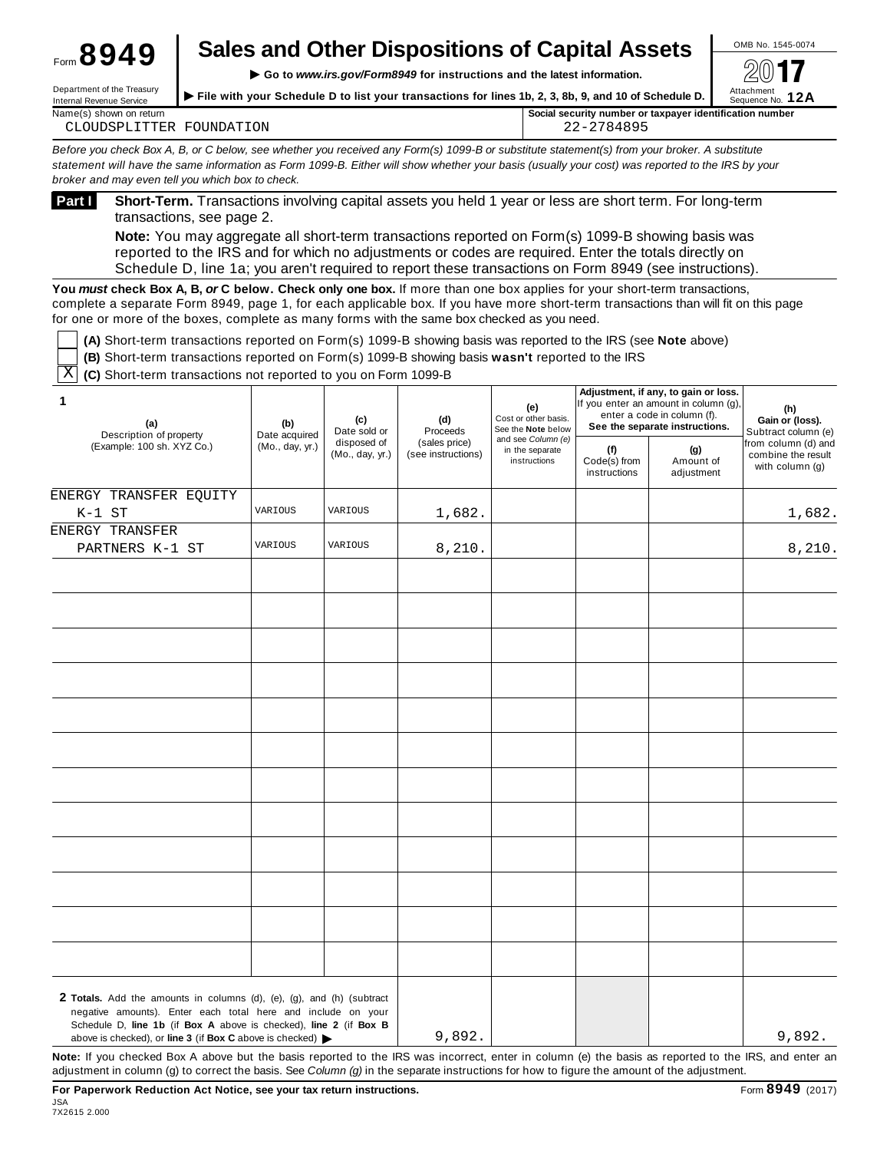# **Sales and Other Dispositions of Capital Assets**  $\frac{\circ}{\cdot}$

**Internal Revenue Service**<br>Internal Revenue Service → File with your Schedule D to list your transactions for lines 1b, 2, 3, 8b, 9, and 10 of Schedule D. Sequence No. 12A Displaced in the treation's **School File with your Schedule D to list your transactions for lines 1b, 2, 3, 8b, 9, and 10 of Schedule D.** 

| Name(s<br>shown on return              | $\cdot$<br>r identification number<br><b>Social security</b><br>∵taxpaver<br>' number or |
|----------------------------------------|------------------------------------------------------------------------------------------|
| ON<br>せい<br>I N.<br>'H∶R<br>$\sqrt{2}$ | ∩ ′<br>.<br>.<br>$\overline{L}$                                                          |

Before you check Box A, B, or C below, see whether you received any Form(s) 1099-B or substitute statement(s) from your broker. A substitute statement will have the same information as Form 1099-B. Either will show whether your basis (usually your cost) was reported to the IRS by your *broker and may even tell you which box to check.*

Form **8949**

**Short-Term.** Transactions involving capital assets you held 1 year or less are short term. For long-term transactions, see page 2. **Part <sup>I</sup>**

**Note:** You may aggregate all short-term transactions reported on Form(s) 1099-B showing basis was reported to the IRS and for which no adjustments or codes are required. Enter the totals directly on Schedule D, line 1a; you aren't required to report these transactions on Form 8949 (see instructions).

**You** *must* **check Box A, B,** *or* **C below. Check only one box.** If more than one box applies for your short-term transactions, complete a separate Form 8949, page 1, for each applicable box. If you have more short-term transactions than will fit on this page for one or more of the boxes, complete as many forms with the same box checked as you need.

**(A)** Short-term transactions reported on Form(s) 1099-B showing basis was reported to the IRS (see **Note** above)

| $\mid$ (B) Short-term transactions reported on Form(s) 1099-B showing basis wasn't reported to the IRS |
|--------------------------------------------------------------------------------------------------------|
|                                                                                                        |

 $\overline{\mathrm{X}}$  (C) Short-term transactions not reported to you on Form 1099-B

| 1<br>(a)<br>Description of property                                                                                                                                                                                                    | (e)<br>Cost or other basis.<br>(c)<br>(d)<br>(b)<br>Date sold or<br>Proceeds<br>Date acquired<br>and see Column (e)<br>disposed of<br>(sales price)<br>(Mo., day, yr.)<br>in the separate<br>(Mo., day, yr.)<br>(see instructions)<br>instructions | See the Note below |                                     | enter a code in column (f).    |                                                                | See the separate instructions. |        | Adjustment, if any, to gain or loss.<br>If you enter an amount in column (g), | (h)<br>Gain or (loss).<br>Subtract column (e) |
|----------------------------------------------------------------------------------------------------------------------------------------------------------------------------------------------------------------------------------------|----------------------------------------------------------------------------------------------------------------------------------------------------------------------------------------------------------------------------------------------------|--------------------|-------------------------------------|--------------------------------|----------------------------------------------------------------|--------------------------------|--------|-------------------------------------------------------------------------------|-----------------------------------------------|
| (Example: 100 sh. XYZ Co.)                                                                                                                                                                                                             |                                                                                                                                                                                                                                                    |                    | (f)<br>Code(s) from<br>instructions | (g)<br>Amount of<br>adjustment | from column (d) and<br>combine the result<br>with column $(g)$ |                                |        |                                                                               |                                               |
| ENERGY TRANSFER EQUITY                                                                                                                                                                                                                 | VARIOUS                                                                                                                                                                                                                                            | VARIOUS            |                                     |                                |                                                                |                                |        |                                                                               |                                               |
| $K-1$ ST                                                                                                                                                                                                                               |                                                                                                                                                                                                                                                    |                    | 1,682.                              |                                |                                                                |                                | 1,682. |                                                                               |                                               |
| ENERGY TRANSFER<br>PARTNERS K-1 ST                                                                                                                                                                                                     | VARIOUS                                                                                                                                                                                                                                            | VARIOUS            | 8,210.                              |                                |                                                                |                                | 8,210. |                                                                               |                                               |
|                                                                                                                                                                                                                                        |                                                                                                                                                                                                                                                    |                    |                                     |                                |                                                                |                                |        |                                                                               |                                               |
|                                                                                                                                                                                                                                        |                                                                                                                                                                                                                                                    |                    |                                     |                                |                                                                |                                |        |                                                                               |                                               |
|                                                                                                                                                                                                                                        |                                                                                                                                                                                                                                                    |                    |                                     |                                |                                                                |                                |        |                                                                               |                                               |
|                                                                                                                                                                                                                                        |                                                                                                                                                                                                                                                    |                    |                                     |                                |                                                                |                                |        |                                                                               |                                               |
|                                                                                                                                                                                                                                        |                                                                                                                                                                                                                                                    |                    |                                     |                                |                                                                |                                |        |                                                                               |                                               |
|                                                                                                                                                                                                                                        |                                                                                                                                                                                                                                                    |                    |                                     |                                |                                                                |                                |        |                                                                               |                                               |
|                                                                                                                                                                                                                                        |                                                                                                                                                                                                                                                    |                    |                                     |                                |                                                                |                                |        |                                                                               |                                               |
|                                                                                                                                                                                                                                        |                                                                                                                                                                                                                                                    |                    |                                     |                                |                                                                |                                |        |                                                                               |                                               |
|                                                                                                                                                                                                                                        |                                                                                                                                                                                                                                                    |                    |                                     |                                |                                                                |                                |        |                                                                               |                                               |
|                                                                                                                                                                                                                                        |                                                                                                                                                                                                                                                    |                    |                                     |                                |                                                                |                                |        |                                                                               |                                               |
|                                                                                                                                                                                                                                        |                                                                                                                                                                                                                                                    |                    |                                     |                                |                                                                |                                |        |                                                                               |                                               |
|                                                                                                                                                                                                                                        |                                                                                                                                                                                                                                                    |                    |                                     |                                |                                                                |                                |        |                                                                               |                                               |
|                                                                                                                                                                                                                                        |                                                                                                                                                                                                                                                    |                    |                                     |                                |                                                                |                                |        |                                                                               |                                               |
|                                                                                                                                                                                                                                        |                                                                                                                                                                                                                                                    |                    |                                     |                                |                                                                |                                |        |                                                                               |                                               |
| <b>2 Totals.</b> Add the amounts in columns (d), (e), (g), and (h) (subtract<br>negative amounts). Enter each total here and include on your<br>Schedule D, line 1b (if Box A above is checked), line 2 (if Box B                      |                                                                                                                                                                                                                                                    |                    |                                     |                                |                                                                |                                |        |                                                                               |                                               |
| above is checked), or line 3 (if Box C above is checked) $\blacktriangleright$<br>Note: If you checked Box A above but the basis reported to the IRS was incorrect, enter in column (e) the basis as reported to the IRS, and enter an |                                                                                                                                                                                                                                                    |                    | 9,892.                              |                                |                                                                |                                | 9,892. |                                                                               |                                               |

adjustment in column (g) to correct the basis. See *Column (g)* in the separate instructions for how to figure the amount of the adjustment.

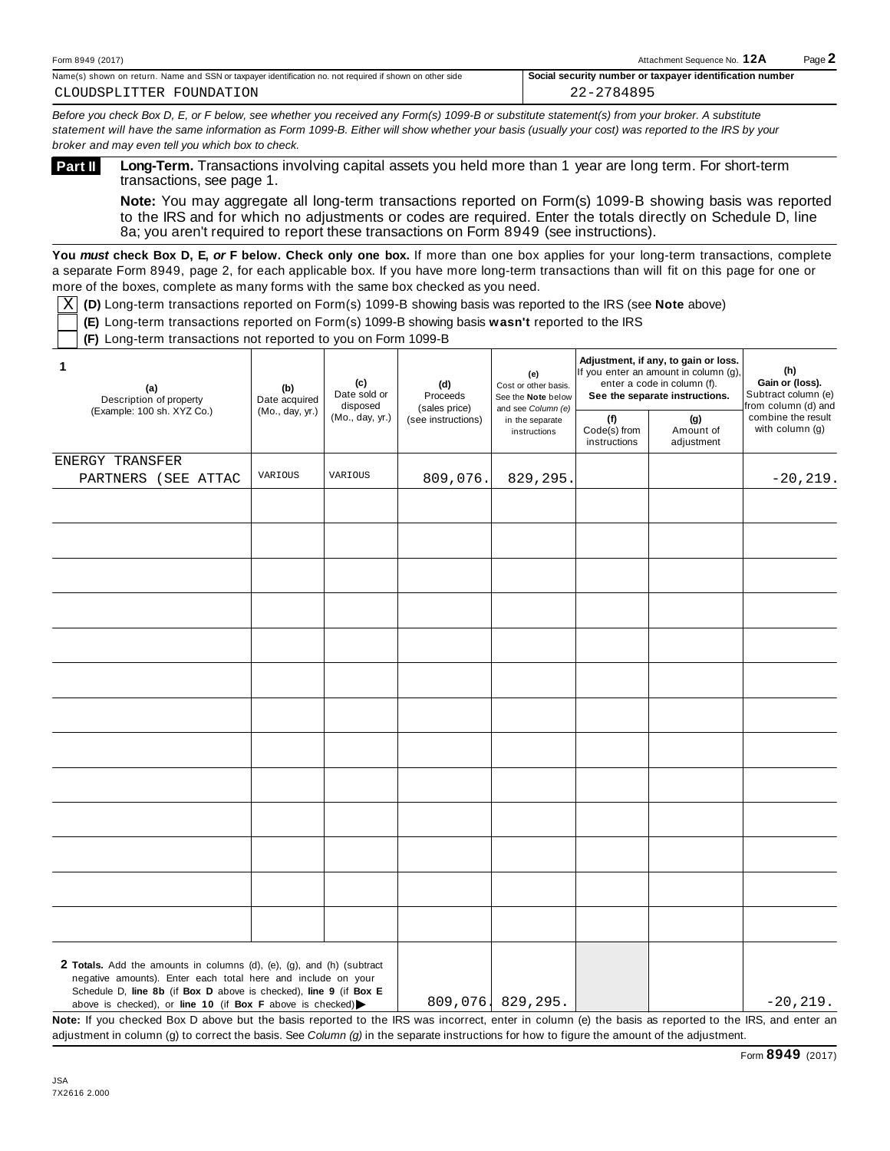Name(s) shown on return. Name and SSN ortaxpayer identification no. not required if shown on other side **Social security number or taxpayer identification number** CLOUDSPLITTER FOUNDATION 22-2784895

Before you check Box D, E, or F below, see whether you received any Form(s) 1099-B or substitute statement(s) from your broker. A substitute statement will have the same information as Form 1099-B. Either will show whether your basis (usually your cost) was reported to the IRS by your *broker and may even tell you which box to check.*

**Long-Term.** Transactions involving capital assets you held more than 1 year are long term. For short-term transactions, see page 1. **Part II**

**Note:** You may aggregate all long-term transactions reported on Form(s) 1099-B showing basis was reported to the IRS and for which no adjustments or codes are required. Enter the totals directly on Schedule D, line 8a; you aren't required to report these transactions on Form 8949 (see instructions).

**You** *must* **check Box D, E,** *or* **F below. Check only one box.** If more than one box applies for your long-term transactions, complete a separate Form 8949, page 2, for each applicable box. If you have more long-term transactions than will fit on this page for one or more of the boxes, complete as many forms with the same box checked as you need.

 $\overline{\text{X}}$  (D) Long-term transactions reported on Form(s) 1099-B showing basis was reported to the IRS (see **Note** above)

**(E)** Long-term transactions reported on Form(s) 1099-B showing basis **wasn't** reported to the IRS

**(F)** Long-term transactions not reported to you on Form 1099-B

| 1<br>(a)<br>Description of property                                                                                                                                                                                                                                                           | (c)<br>(b)<br>Date sold or<br>Date acquired<br>disposed | (d)<br>Proceeds | (e)<br>Cost or other basis.<br>See the Note below |                                                       | Adjustment, if any, to gain or loss.<br>If you enter an amount in column (g),<br>enter a code in column (f).<br>See the separate instructions. | (h)<br>Gain or (loss).<br>Subtract column (e)<br>from column (d) and |                                         |
|-----------------------------------------------------------------------------------------------------------------------------------------------------------------------------------------------------------------------------------------------------------------------------------------------|---------------------------------------------------------|-----------------|---------------------------------------------------|-------------------------------------------------------|------------------------------------------------------------------------------------------------------------------------------------------------|----------------------------------------------------------------------|-----------------------------------------|
| (Example: 100 sh. XYZ Co.)                                                                                                                                                                                                                                                                    | (Mo., day, yr.)                                         | (Mo., day, yr.) | (sales price)<br>(see instructions)               | and see Column (e)<br>in the separate<br>instructions | (f)<br>Code(s) from<br>instructions                                                                                                            | (g)<br>Amount of<br>adjustment                                       | combine the result<br>with column $(g)$ |
| ENERGY TRANSFER                                                                                                                                                                                                                                                                               |                                                         |                 |                                                   |                                                       |                                                                                                                                                |                                                                      |                                         |
| PARTNERS (SEE ATTAC                                                                                                                                                                                                                                                                           | VARIOUS                                                 | VARIOUS         | 809,076.                                          | 829,295.                                              |                                                                                                                                                |                                                                      | $-20, 219.$                             |
|                                                                                                                                                                                                                                                                                               |                                                         |                 |                                                   |                                                       |                                                                                                                                                |                                                                      |                                         |
|                                                                                                                                                                                                                                                                                               |                                                         |                 |                                                   |                                                       |                                                                                                                                                |                                                                      |                                         |
|                                                                                                                                                                                                                                                                                               |                                                         |                 |                                                   |                                                       |                                                                                                                                                |                                                                      |                                         |
|                                                                                                                                                                                                                                                                                               |                                                         |                 |                                                   |                                                       |                                                                                                                                                |                                                                      |                                         |
|                                                                                                                                                                                                                                                                                               |                                                         |                 |                                                   |                                                       |                                                                                                                                                |                                                                      |                                         |
|                                                                                                                                                                                                                                                                                               |                                                         |                 |                                                   |                                                       |                                                                                                                                                |                                                                      |                                         |
|                                                                                                                                                                                                                                                                                               |                                                         |                 |                                                   |                                                       |                                                                                                                                                |                                                                      |                                         |
|                                                                                                                                                                                                                                                                                               |                                                         |                 |                                                   |                                                       |                                                                                                                                                |                                                                      |                                         |
|                                                                                                                                                                                                                                                                                               |                                                         |                 |                                                   |                                                       |                                                                                                                                                |                                                                      |                                         |
|                                                                                                                                                                                                                                                                                               |                                                         |                 |                                                   |                                                       |                                                                                                                                                |                                                                      |                                         |
|                                                                                                                                                                                                                                                                                               |                                                         |                 |                                                   |                                                       |                                                                                                                                                |                                                                      |                                         |
|                                                                                                                                                                                                                                                                                               |                                                         |                 |                                                   |                                                       |                                                                                                                                                |                                                                      |                                         |
|                                                                                                                                                                                                                                                                                               |                                                         |                 |                                                   |                                                       |                                                                                                                                                |                                                                      |                                         |
|                                                                                                                                                                                                                                                                                               |                                                         |                 |                                                   |                                                       |                                                                                                                                                |                                                                      |                                         |
|                                                                                                                                                                                                                                                                                               |                                                         |                 |                                                   |                                                       |                                                                                                                                                |                                                                      |                                         |
|                                                                                                                                                                                                                                                                                               |                                                         |                 |                                                   |                                                       |                                                                                                                                                |                                                                      |                                         |
|                                                                                                                                                                                                                                                                                               |                                                         |                 |                                                   |                                                       |                                                                                                                                                |                                                                      |                                         |
|                                                                                                                                                                                                                                                                                               |                                                         |                 |                                                   |                                                       |                                                                                                                                                |                                                                      |                                         |
|                                                                                                                                                                                                                                                                                               |                                                         |                 |                                                   |                                                       |                                                                                                                                                |                                                                      |                                         |
|                                                                                                                                                                                                                                                                                               |                                                         |                 |                                                   |                                                       |                                                                                                                                                |                                                                      |                                         |
|                                                                                                                                                                                                                                                                                               |                                                         |                 |                                                   |                                                       |                                                                                                                                                |                                                                      |                                         |
| 2 Totals. Add the amounts in columns (d), (e), (g), and (h) (subtract<br>negative amounts). Enter each total here and include on your<br>Schedule D, line 8b (if Box D above is checked), line 9 (if Box E<br>above is checked), or line 10 (if Box F above is checked) $\blacktriangleright$ |                                                         |                 |                                                   | 809,076, 829,295.                                     |                                                                                                                                                |                                                                      | $-20, 219.$                             |

Schedule D, **line 8b** (if **Box D** above is checked), **line 9** (if **Box E** above is checked), or **line 10** (if **Box F** above is checked)

**Note:** If you checked Box D above but the basis reported to the IRS was incorrect, enter in column (e) the basis as reported to the IRS, and enter an adjustment in column (g) to correct the basis. See *Column (g)* in the separate instructions for how to figure the amount of the adjustment.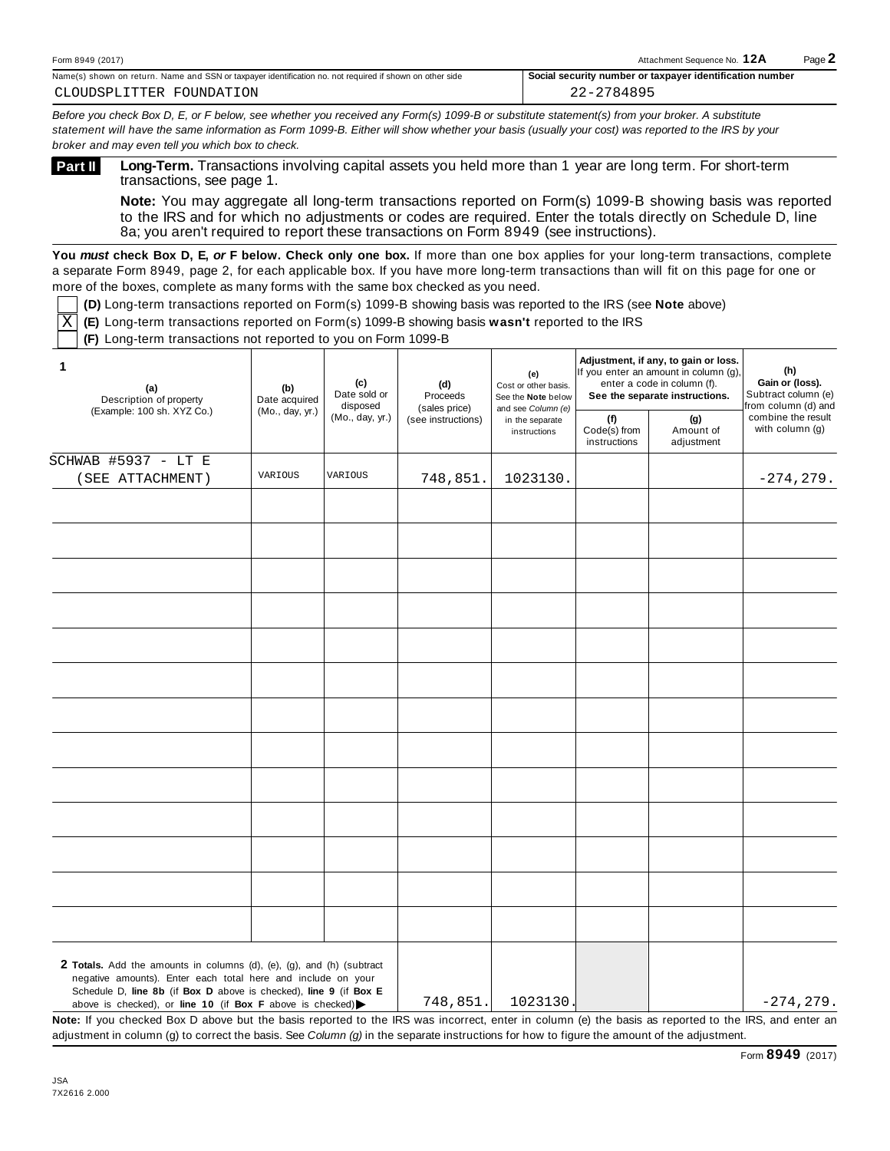| 12017<br>n 8949<br>Forr | ת כ<br>chment Seauence No.<br>Attac<br>.<br>and the contract of the contract of the contract of the contract of the contract of the contract of the contract of | Dooc<br>$\sim$ |
|-------------------------|-----------------------------------------------------------------------------------------------------------------------------------------------------------------|----------------|
|-------------------------|-----------------------------------------------------------------------------------------------------------------------------------------------------------------|----------------|

| Name(s) shown on return. Name and SSN or taxpayer identification no. not required if shown on other side |  |  |  |  |  |  |  |
|----------------------------------------------------------------------------------------------------------|--|--|--|--|--|--|--|
| CLOUDSPLITTER FOUNDATION                                                                                 |  |  |  |  |  |  |  |

22-2784895

Before you check Box D, E, or F below, see whether you received any Form(s) 1099-B or substitute statement(s) from your broker. A substitute statement will have the same information as Form 1099-B. Either will show whether your basis (usually your cost) was reported to the IRS by your *broker and may even tell you which box to check.*

**Long-Term.** Transactions involving capital assets you held more than 1 year are long term. For short-term transactions, see page 1. **Part II**

**Note:** You may aggregate all long-term transactions reported on Form(s) 1099-B showing basis was reported to the IRS and for which no adjustments or codes are required. Enter the totals directly on Schedule D, line 8a; you aren't required to report these transactions on Form 8949 (see instructions).

**You** *must* **check Box D, E,** *or* **F below. Check only one box.** If more than one box applies for your long-term transactions, complete a separate Form 8949, page 2, for each applicable box. If you have more long-term transactions than will fit on this page for one or more of the boxes, complete as many forms with the same box checked as you need.

**(D)** Long-term transactions reported on Form(s) 1099-B showing basis was reported to the IRS (see **Note** above)

**(E)** Long-term transactions reported on Form(s) 1099-B showing basis **wasn't** reported to the IRS X

**(F)** Long-term transactions not reported to you on Form 1099-B

| 1<br>(a)<br>Description of property                                                                                                                                                                                                                                                           | (b)<br>Date acquired<br>(Mo., day, yr.) | (c)<br>Date sold or<br>disposed | (d)<br>Proceeds                     | (e)<br>Cost or other basis.<br>See the Note below<br>and see Column (e)<br>in the separate<br>instructions |                                     | Adjustment, if any, to gain or loss.<br>If you enter an amount in column (g),<br>enter a code in column (f).<br>See the separate instructions. | (h)<br>Gain or (loss).<br>Subtract column (e)<br>from column (d) and |
|-----------------------------------------------------------------------------------------------------------------------------------------------------------------------------------------------------------------------------------------------------------------------------------------------|-----------------------------------------|---------------------------------|-------------------------------------|------------------------------------------------------------------------------------------------------------|-------------------------------------|------------------------------------------------------------------------------------------------------------------------------------------------|----------------------------------------------------------------------|
| (Example: 100 sh. XYZ Co.)                                                                                                                                                                                                                                                                    |                                         | (Mo., day, yr.)                 | (sales price)<br>(see instructions) |                                                                                                            | (f)<br>Code(s) from<br>instructions | (g)<br>Amount of<br>adjustment                                                                                                                 | combine the result<br>with column (g)                                |
| <b>SCHWAB #5937 - LT E</b>                                                                                                                                                                                                                                                                    |                                         |                                 |                                     |                                                                                                            |                                     |                                                                                                                                                |                                                                      |
| (SEE ATTACHMENT)                                                                                                                                                                                                                                                                              | VARIOUS                                 | VARIOUS                         | 748,851.                            | 1023130.                                                                                                   |                                     |                                                                                                                                                | $-274, 279.$                                                         |
|                                                                                                                                                                                                                                                                                               |                                         |                                 |                                     |                                                                                                            |                                     |                                                                                                                                                |                                                                      |
|                                                                                                                                                                                                                                                                                               |                                         |                                 |                                     |                                                                                                            |                                     |                                                                                                                                                |                                                                      |
|                                                                                                                                                                                                                                                                                               |                                         |                                 |                                     |                                                                                                            |                                     |                                                                                                                                                |                                                                      |
|                                                                                                                                                                                                                                                                                               |                                         |                                 |                                     |                                                                                                            |                                     |                                                                                                                                                |                                                                      |
|                                                                                                                                                                                                                                                                                               |                                         |                                 |                                     |                                                                                                            |                                     |                                                                                                                                                |                                                                      |
|                                                                                                                                                                                                                                                                                               |                                         |                                 |                                     |                                                                                                            |                                     |                                                                                                                                                |                                                                      |
|                                                                                                                                                                                                                                                                                               |                                         |                                 |                                     |                                                                                                            |                                     |                                                                                                                                                |                                                                      |
|                                                                                                                                                                                                                                                                                               |                                         |                                 |                                     |                                                                                                            |                                     |                                                                                                                                                |                                                                      |
|                                                                                                                                                                                                                                                                                               |                                         |                                 |                                     |                                                                                                            |                                     |                                                                                                                                                |                                                                      |
|                                                                                                                                                                                                                                                                                               |                                         |                                 |                                     |                                                                                                            |                                     |                                                                                                                                                |                                                                      |
|                                                                                                                                                                                                                                                                                               |                                         |                                 |                                     |                                                                                                            |                                     |                                                                                                                                                |                                                                      |
|                                                                                                                                                                                                                                                                                               |                                         |                                 |                                     |                                                                                                            |                                     |                                                                                                                                                |                                                                      |
|                                                                                                                                                                                                                                                                                               |                                         |                                 |                                     |                                                                                                            |                                     |                                                                                                                                                |                                                                      |
|                                                                                                                                                                                                                                                                                               |                                         |                                 |                                     |                                                                                                            |                                     |                                                                                                                                                |                                                                      |
|                                                                                                                                                                                                                                                                                               |                                         |                                 |                                     |                                                                                                            |                                     |                                                                                                                                                |                                                                      |
|                                                                                                                                                                                                                                                                                               |                                         |                                 |                                     |                                                                                                            |                                     |                                                                                                                                                |                                                                      |
|                                                                                                                                                                                                                                                                                               |                                         |                                 |                                     |                                                                                                            |                                     |                                                                                                                                                |                                                                      |
|                                                                                                                                                                                                                                                                                               |                                         |                                 |                                     |                                                                                                            |                                     |                                                                                                                                                |                                                                      |
|                                                                                                                                                                                                                                                                                               |                                         |                                 |                                     |                                                                                                            |                                     |                                                                                                                                                |                                                                      |
|                                                                                                                                                                                                                                                                                               |                                         |                                 |                                     |                                                                                                            |                                     |                                                                                                                                                |                                                                      |
|                                                                                                                                                                                                                                                                                               |                                         |                                 |                                     |                                                                                                            |                                     |                                                                                                                                                |                                                                      |
|                                                                                                                                                                                                                                                                                               |                                         |                                 |                                     |                                                                                                            |                                     |                                                                                                                                                |                                                                      |
|                                                                                                                                                                                                                                                                                               |                                         |                                 |                                     |                                                                                                            |                                     |                                                                                                                                                |                                                                      |
| 2 Totals. Add the amounts in columns (d), (e), (g), and (h) (subtract<br>negative amounts). Enter each total here and include on your<br>Schedule D, line 8b (if Box D above is checked), line 9 (if Box E<br>above is checked), or line 10 (if Box F above is checked) $\blacktriangleright$ |                                         |                                 | 748,851.                            | 1023130.                                                                                                   |                                     |                                                                                                                                                | $-274, 279.$                                                         |

**Note:** If you checked Box D above but the basis reported to the IRS was incorrect, enter in column (e) the basis as reported to the IRS, and enter an adjustment in column (g) to correct the basis. See *Column (g)* in the separate instructions for how to figure the amount of the adjustment.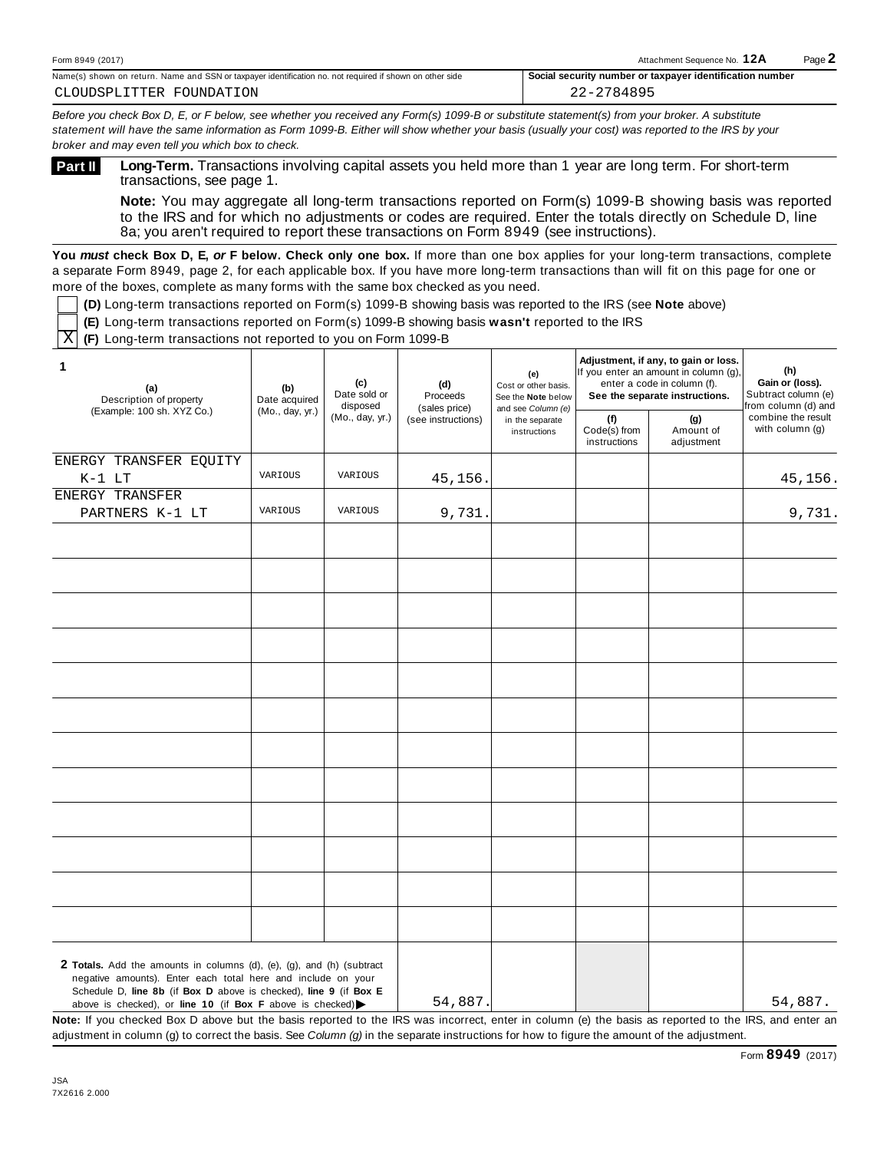Name(s) shown on return. Name and SSN ortaxpayer identification no. not required if shown on other side **Social security number or taxpayer identification number** CLOUDSPLITTER FOUNDATION 22-2784895

Before you check Box D, E, or F below, see whether you received any Form(s) 1099-B or substitute statement(s) from your broker. A substitute statement will have the same information as Form 1099-B. Either will show whether your basis (usually your cost) was reported to the IRS by your *broker and may even tell you which box to check.*

**Long-Term.** Transactions involving capital assets you held more than 1 year are long term. For short-term transactions, see page 1. **Part II**

**Note:** You may aggregate all long-term transactions reported on Form(s) 1099-B showing basis was reported to the IRS and for which no adjustments or codes are required. Enter the totals directly on Schedule D, line 8a; you aren't required to report these transactions on Form 8949 (see instructions).

**You** *must* **check Box D, E,** *or* **F below. Check only one box.** If more than one box applies for your long-term transactions, complete a separate Form 8949, page 2, for each applicable box. If you have more long-term transactions than will fit on this page for one or more of the boxes, complete as many forms with the same box checked as you need.

**(D)** Long-term transactions reported on Form(s) 1099-B showing basis was reported to the IRS (see **Note** above)

**(E)** Long-term transactions reported on Form(s) 1099-B showing basis **wasn't** reported to the IRS

**(F)** Long-term transactions not reported to you on Form 1099-B  $\overline{\mathbf{X}}$ 

| 1<br>(a)<br>Description of property                                                                                                                                                                                                                                                           | (c)<br>(b)<br>Date acquired<br>disposed<br>(Mo., day, yr.) | Date sold or    | (d)<br>Proceeds<br>(sales price)<br>(see instructions) | (e)<br>Cost or other basis.<br>See the Note below<br>and see Column (e)<br>in the separate<br>instructions |                                     | Adjustment, if any, to gain or loss.<br>If you enter an amount in column (g),<br>enter a code in column (f).<br>See the separate instructions. | (h)<br>Gain or (loss).<br>Subtract column (e)<br>from column (d) and |
|-----------------------------------------------------------------------------------------------------------------------------------------------------------------------------------------------------------------------------------------------------------------------------------------------|------------------------------------------------------------|-----------------|--------------------------------------------------------|------------------------------------------------------------------------------------------------------------|-------------------------------------|------------------------------------------------------------------------------------------------------------------------------------------------|----------------------------------------------------------------------|
| (Example: 100 sh. XYZ Co.)                                                                                                                                                                                                                                                                    |                                                            | (Mo., day, yr.) |                                                        |                                                                                                            | (f)<br>Code(s) from<br>instructions | (g)<br>Amount of<br>adjustment                                                                                                                 | combine the result<br>with column (g)                                |
| ENERGY TRANSFER EQUITY<br>$K-1$ LT                                                                                                                                                                                                                                                            | VARIOUS                                                    | VARIOUS         | 45,156.                                                |                                                                                                            |                                     |                                                                                                                                                | 45,156.                                                              |
| ENERGY TRANSFER<br>PARTNERS K-1 LT                                                                                                                                                                                                                                                            | VARIOUS                                                    | VARIOUS         | 9,731.                                                 |                                                                                                            |                                     |                                                                                                                                                | 9,731.                                                               |
|                                                                                                                                                                                                                                                                                               |                                                            |                 |                                                        |                                                                                                            |                                     |                                                                                                                                                |                                                                      |
|                                                                                                                                                                                                                                                                                               |                                                            |                 |                                                        |                                                                                                            |                                     |                                                                                                                                                |                                                                      |
|                                                                                                                                                                                                                                                                                               |                                                            |                 |                                                        |                                                                                                            |                                     |                                                                                                                                                |                                                                      |
|                                                                                                                                                                                                                                                                                               |                                                            |                 |                                                        |                                                                                                            |                                     |                                                                                                                                                |                                                                      |
|                                                                                                                                                                                                                                                                                               |                                                            |                 |                                                        |                                                                                                            |                                     |                                                                                                                                                |                                                                      |
|                                                                                                                                                                                                                                                                                               |                                                            |                 |                                                        |                                                                                                            |                                     |                                                                                                                                                |                                                                      |
|                                                                                                                                                                                                                                                                                               |                                                            |                 |                                                        |                                                                                                            |                                     |                                                                                                                                                |                                                                      |
|                                                                                                                                                                                                                                                                                               |                                                            |                 |                                                        |                                                                                                            |                                     |                                                                                                                                                |                                                                      |
|                                                                                                                                                                                                                                                                                               |                                                            |                 |                                                        |                                                                                                            |                                     |                                                                                                                                                |                                                                      |
| 2 Totals. Add the amounts in columns (d), (e), (g), and (h) (subtract<br>negative amounts). Enter each total here and include on your<br>Schedule D, line 8b (if Box D above is checked), line 9 (if Box E<br>above is checked), or line 10 (if Box F above is checked) $\blacktriangleright$ |                                                            |                 | 54,887.                                                |                                                                                                            |                                     |                                                                                                                                                | 54,887.                                                              |

54,887. 54,887.

**Note:** If you checked Box D above but the basis reported to the IRS was incorrect, enter in column (e) the basis as reported to the IRS, and enter an adjustment in column (g) to correct the basis. See *Column (g)* in the separate instructions for how to figure the amount of the adjustment.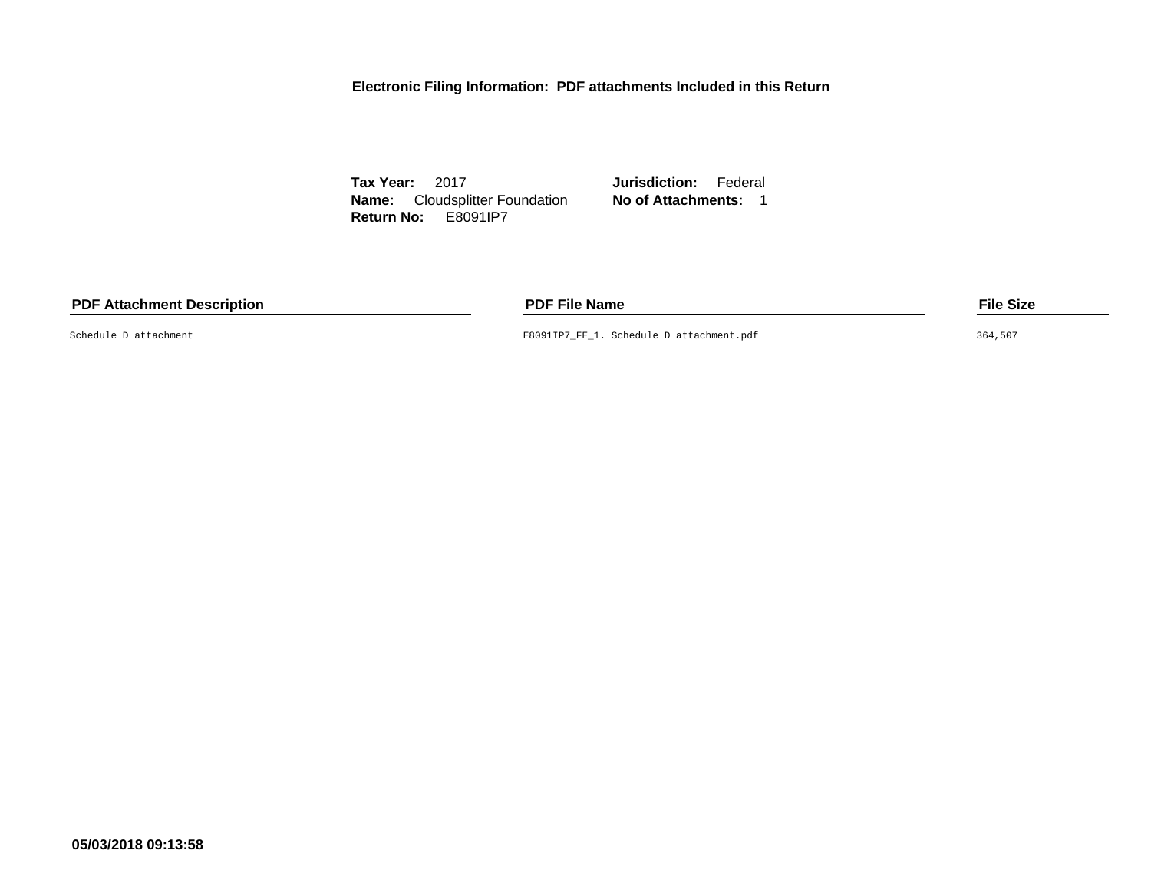**Electronic Filing Information: PDF attachments Included in this Return**

**Tax Year:** 2017 **Jurisdiction:** Federal **Name:** Cloudsplitter Foundation **No of Attachments:** 1 **Return No:** E8091IP7

## **PDF Attachment Description PDF File Name File Size**

Schedule D attachment E8091IP7\_FE\_1. Schedule D attachment.pdf 364,507